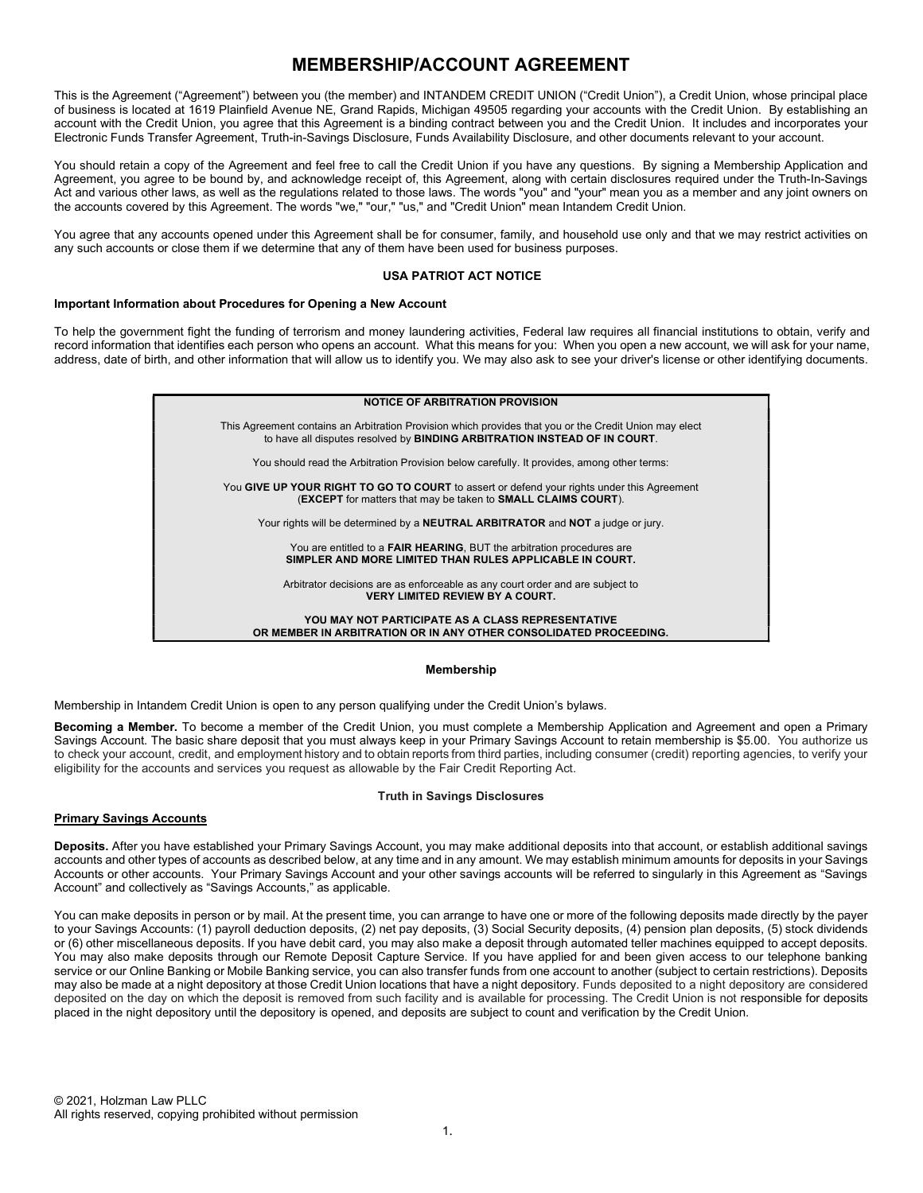# MEMBERSHIP/ACCOUNT AGREEMENT

This is the Agreement ("Agreement") between you (the member) and INTANDEM CREDIT UNION ("Credit Union"), a Credit Union, whose principal place of business is located at 1619 Plainfield Avenue NE, Grand Rapids, Michigan 49505 regarding your accounts with the Credit Union. By establishing an account with the Credit Union, you agree that this Agreement is a binding contract between you and the Credit Union. It includes and incorporates your Electronic Funds Transfer Agreement, Truth-in-Savings Disclosure, Funds Availability Disclosure, and other documents relevant to your account.

You should retain a copy of the Agreement and feel free to call the Credit Union if you have any questions. By signing a Membership Application and Agreement, you agree to be bound by, and acknowledge receipt of, this Agreement, along with certain disclosures required under the Truth-In-Savings Act and various other laws, as well as the regulations related to those laws. The words "you" and "your" mean you as a member and any joint owners on the accounts covered by this Agreement. The words "we," "our," "us," and "Credit Union" mean Intandem Credit Union.

You agree that any accounts opened under this Agreement shall be for consumer, family, and household use only and that we may restrict activities on any such accounts or close them if we determine that any of them have been used for business purposes.

### USA PATRIOT ACT NOTICE

# Important Information about Procedures for Opening a New Account

To help the government fight the funding of terrorism and money laundering activities, Federal law requires all financial institutions to obtain, verify and record information that identifies each person who opens an account. What this means for you: When you open a new account, we will ask for your name, address, date of birth, and other information that will allow us to identify you. We may also ask to see your driver's license or other identifying documents.

| <b>NOTICE OF ARBITRATION PROVISION</b>                                                                                                                                                      |  |
|---------------------------------------------------------------------------------------------------------------------------------------------------------------------------------------------|--|
| This Agreement contains an Arbitration Provision which provides that you or the Credit Union may elect<br>to have all disputes resolved by <b>BINDING ARBITRATION INSTEAD OF IN COURT</b> . |  |
| You should read the Arbitration Provision below carefully. It provides, among other terms:                                                                                                  |  |
| You GIVE UP YOUR RIGHT TO GO TO COURT to assert or defend your rights under this Agreement<br><b>(EXCEPT</b> for matters that may be taken to <b>SMALL CLAIMS COURT</b> ).                  |  |
| Your rights will be determined by a <b>NEUTRAL ARBITRATOR</b> and <b>NOT</b> a judge or jury.                                                                                               |  |
| You are entitled to a <b>FAIR HEARING</b> , BUT the arbitration procedures are<br>SIMPLER AND MORE LIMITED THAN RULES APPLICABLE IN COURT.                                                  |  |
| Arbitrator decisions are as enforceable as any court order and are subject to<br><b>VERY LIMITED REVIEW BY A COURT.</b>                                                                     |  |
| YOU MAY NOT PARTICIPATE AS A CLASS REPRESENTATIVE<br>OR MEMBER IN ARBITRATION OR IN ANY OTHER CONSOLIDATED PROCEEDING.                                                                      |  |

#### Membership

Membership in Intandem Credit Union is open to any person qualifying under the Credit Union's bylaws.

Becoming a Member. To become a member of the Credit Union, you must complete a Membership Application and Agreement and open a Primary Savings Account. The basic share deposit that you must always keep in your Primary Savings Account to retain membership is \$5.00. You authorize us to check your account, credit, and employment history and to obtain reports from third parties, including consumer (credit) reporting agencies, to verify your eligibility for the accounts and services you request as allowable by the Fair Credit Reporting Act.

### Truth in Savings Disclosures

### Primary Savings Accounts

Deposits. After you have established your Primary Savings Account, you may make additional deposits into that account, or establish additional savings accounts and other types of accounts as described below, at any time and in any amount. We may establish minimum amounts for deposits in your Savings Accounts or other accounts. Your Primary Savings Account and your other savings accounts will be referred to singularly in this Agreement as "Savings Account" and collectively as "Savings Accounts," as applicable.

You can make deposits in person or by mail. At the present time, you can arrange to have one or more of the following deposits made directly by the payer to your Savings Accounts: (1) payroll deduction deposits, (2) net pay deposits, (3) Social Security deposits, (4) pension plan deposits, (5) stock dividends or (6) other miscellaneous deposits. If you have debit card, you may also make a deposit through automated teller machines equipped to accept deposits. You may also make deposits through our Remote Deposit Capture Service. If you have applied for and been given access to our telephone banking service or our Online Banking or Mobile Banking service, you can also transfer funds from one account to another (subject to certain restrictions). Deposits may also be made at a night depository at those Credit Union locations that have a night depository. Funds deposited to a night depository are considered deposited on the day on which the deposit is removed from such facility and is available for processing. The Credit Union is not responsible for deposits placed in the night depository until the depository is opened, and deposits are subject to count and verification by the Credit Union.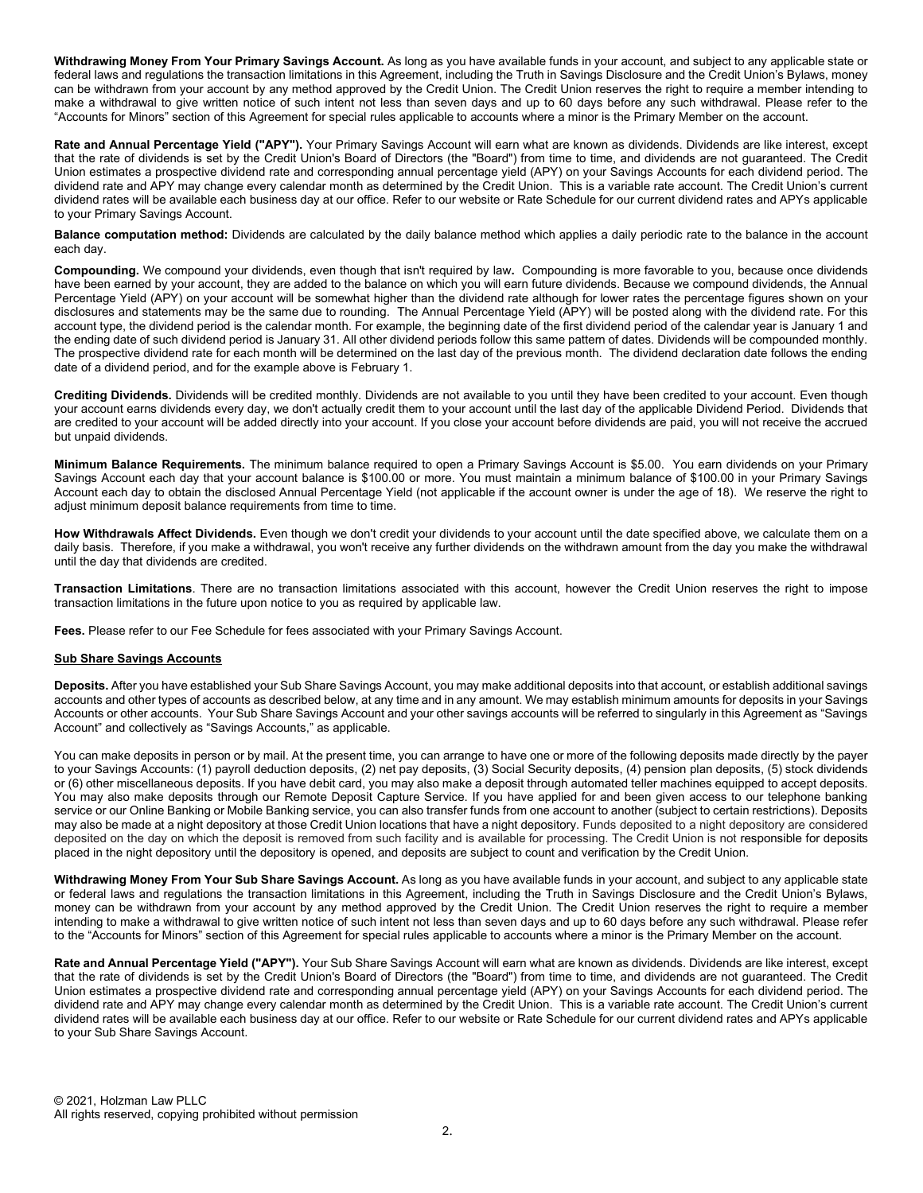Withdrawing Money From Your Primary Savings Account. As long as you have available funds in your account, and subject to any applicable state or federal laws and regulations the transaction limitations in this Agreement, including the Truth in Savings Disclosure and the Credit Union's Bylaws, money can be withdrawn from your account by any method approved by the Credit Union. The Credit Union reserves the right to require a member intending to make a withdrawal to give written notice of such intent not less than seven days and up to 60 days before any such withdrawal. Please refer to the "Accounts for Minors" section of this Agreement for special rules applicable to accounts where a minor is the Primary Member on the account.

Rate and Annual Percentage Yield ("APY"). Your Primary Savings Account will earn what are known as dividends. Dividends are like interest, except that the rate of dividends is set by the Credit Union's Board of Directors (the "Board") from time to time, and dividends are not guaranteed. The Credit Union estimates a prospective dividend rate and corresponding annual percentage yield (APY) on your Savings Accounts for each dividend period. The dividend rate and APY may change every calendar month as determined by the Credit Union. This is a variable rate account. The Credit Union's current dividend rates will be available each business day at our office. Refer to our website or Rate Schedule for our current dividend rates and APYs applicable to your Primary Savings Account.

Balance computation method: Dividends are calculated by the daily balance method which applies a daily periodic rate to the balance in the account each day.

Compounding. We compound your dividends, even though that isn't required by law. Compounding is more favorable to you, because once dividends have been earned by your account, they are added to the balance on which you will earn future dividends. Because we compound dividends, the Annual Percentage Yield (APY) on your account will be somewhat higher than the dividend rate although for lower rates the percentage figures shown on your disclosures and statements may be the same due to rounding. The Annual Percentage Yield (APY) will be posted along with the dividend rate. For this account type, the dividend period is the calendar month. For example, the beginning date of the first dividend period of the calendar year is January 1 and the ending date of such dividend period is January 31. All other dividend periods follow this same pattern of dates. Dividends will be compounded monthly. The prospective dividend rate for each month will be determined on the last day of the previous month. The dividend declaration date follows the ending date of a dividend period, and for the example above is February 1.

Crediting Dividends. Dividends will be credited monthly. Dividends are not available to you until they have been credited to your account. Even though your account earns dividends every day, we don't actually credit them to your account until the last day of the applicable Dividend Period. Dividends that are credited to your account will be added directly into your account. If you close your account before dividends are paid, you will not receive the accrued but unpaid dividends.

Minimum Balance Requirements. The minimum balance required to open a Primary Savings Account is \$5.00. You earn dividends on your Primary Savings Account each day that your account balance is \$100.00 or more. You must maintain a minimum balance of \$100.00 in your Primary Savings Account each day to obtain the disclosed Annual Percentage Yield (not applicable if the account owner is under the age of 18). We reserve the right to adjust minimum deposit balance requirements from time to time.

How Withdrawals Affect Dividends. Even though we don't credit your dividends to your account until the date specified above, we calculate them on a daily basis. Therefore, if you make a withdrawal, you won't receive any further dividends on the withdrawn amount from the day you make the withdrawal until the day that dividends are credited.

Transaction Limitations. There are no transaction limitations associated with this account, however the Credit Union reserves the right to impose transaction limitations in the future upon notice to you as required by applicable law.

Fees. Please refer to our Fee Schedule for fees associated with your Primary Savings Account.

### **Sub Share Savings Accounts**

Deposits. After you have established your Sub Share Savings Account, you may make additional deposits into that account, or establish additional savings accounts and other types of accounts as described below, at any time and in any amount. We may establish minimum amounts for deposits in your Savings Accounts or other accounts. Your Sub Share Savings Account and your other savings accounts will be referred to singularly in this Agreement as "Savings Account" and collectively as "Savings Accounts," as applicable.

You can make deposits in person or by mail. At the present time, you can arrange to have one or more of the following deposits made directly by the payer to your Savings Accounts: (1) payroll deduction deposits, (2) net pay deposits, (3) Social Security deposits, (4) pension plan deposits, (5) stock dividends or (6) other miscellaneous deposits. If you have debit card, you may also make a deposit through automated teller machines equipped to accept deposits. You may also make deposits through our Remote Deposit Capture Service. If you have applied for and been given access to our telephone banking service or our Online Banking or Mobile Banking service, you can also transfer funds from one account to another (subject to certain restrictions). Deposits may also be made at a night depository at those Credit Union locations that have a night depository. Funds deposited to a night depository are considered deposited on the day on which the deposit is removed from such facility and is available for processing. The Credit Union is not responsible for deposits placed in the night depository until the depository is opened, and deposits are subject to count and verification by the Credit Union.

Withdrawing Money From Your Sub Share Savings Account. As long as you have available funds in your account, and subject to any applicable state or federal laws and regulations the transaction limitations in this Agreement, including the Truth in Savings Disclosure and the Credit Union's Bylaws, money can be withdrawn from your account by any method approved by the Credit Union. The Credit Union reserves the right to require a member intending to make a withdrawal to give written notice of such intent not less than seven days and up to 60 days before any such withdrawal. Please refer to the "Accounts for Minors" section of this Agreement for special rules applicable to accounts where a minor is the Primary Member on the account.

Rate and Annual Percentage Yield ("APY"). Your Sub Share Savings Account will earn what are known as dividends. Dividends are like interest, except that the rate of dividends is set by the Credit Union's Board of Directors (the "Board") from time to time, and dividends are not guaranteed. The Credit Union estimates a prospective dividend rate and corresponding annual percentage yield (APY) on your Savings Accounts for each dividend period. The dividend rate and APY may change every calendar month as determined by the Credit Union. This is a variable rate account. The Credit Union's current dividend rates will be available each business day at our office. Refer to our website or Rate Schedule for our current dividend rates and APYs applicable to your Sub Share Savings Account.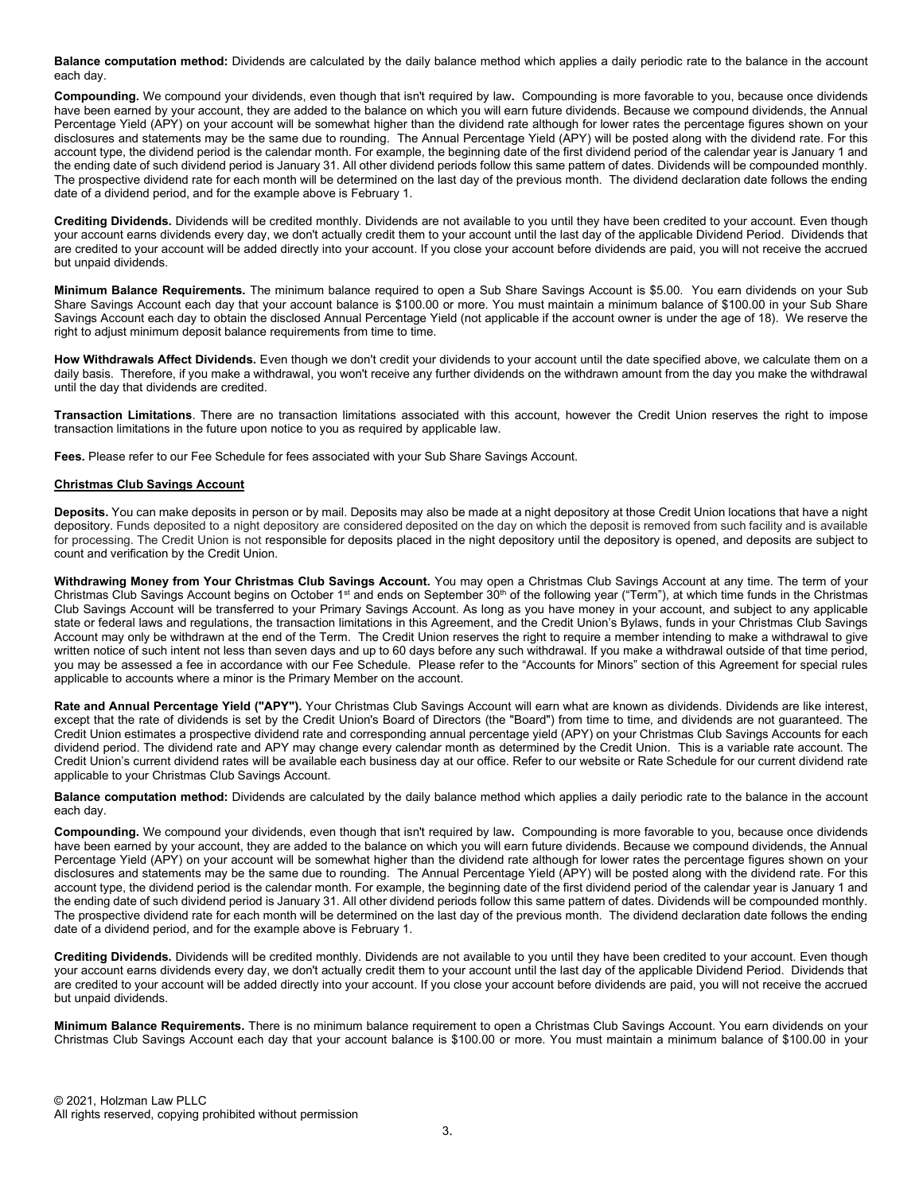Balance computation method: Dividends are calculated by the daily balance method which applies a daily periodic rate to the balance in the account each day.

Compounding. We compound your dividends, even though that isn't required by law. Compounding is more favorable to you, because once dividends have been earned by your account, they are added to the balance on which you will earn future dividends. Because we compound dividends, the Annual Percentage Yield (APY) on your account will be somewhat higher than the dividend rate although for lower rates the percentage figures shown on your disclosures and statements may be the same due to rounding. The Annual Percentage Yield (APY) will be posted along with the dividend rate. For this account type, the dividend period is the calendar month. For example, the beginning date of the first dividend period of the calendar year is January 1 and the ending date of such dividend period is January 31. All other dividend periods follow this same pattern of dates. Dividends will be compounded monthly. The prospective dividend rate for each month will be determined on the last day of the previous month. The dividend declaration date follows the ending date of a dividend period, and for the example above is February 1.

Crediting Dividends. Dividends will be credited monthly. Dividends are not available to you until they have been credited to your account. Even though your account earns dividends every day, we don't actually credit them to your account until the last day of the applicable Dividend Period. Dividends that are credited to your account will be added directly into your account. If you close your account before dividends are paid, you will not receive the accrued but unpaid dividends.

Minimum Balance Requirements. The minimum balance required to open a Sub Share Savings Account is \$5.00. You earn dividends on your Sub Share Savings Account each day that your account balance is \$100.00 or more. You must maintain a minimum balance of \$100.00 in your Sub Share Savings Account each day to obtain the disclosed Annual Percentage Yield (not applicable if the account owner is under the age of 18). We reserve the right to adjust minimum deposit balance requirements from time to time.

How Withdrawals Affect Dividends. Even though we don't credit your dividends to your account until the date specified above, we calculate them on a daily basis. Therefore, if you make a withdrawal, you won't receive any further dividends on the withdrawn amount from the day you make the withdrawal until the day that dividends are credited.

Transaction Limitations. There are no transaction limitations associated with this account, however the Credit Union reserves the right to impose transaction limitations in the future upon notice to you as required by applicable law.

Fees. Please refer to our Fee Schedule for fees associated with your Sub Share Savings Account.

### Christmas Club Savings Account

Deposits. You can make deposits in person or by mail. Deposits may also be made at a night depository at those Credit Union locations that have a night depository. Funds deposited to a night depository are considered deposited on the day on which the deposit is removed from such facility and is available for processing. The Credit Union is not responsible for deposits placed in the night depository until the depository is opened, and deposits are subject to count and verification by the Credit Union.

Withdrawing Money from Your Christmas Club Savings Account. You may open a Christmas Club Savings Account at any time. The term of your Christmas Club Savings Account begins on October 1<sup>st</sup> and ends on September 30<sup>th</sup> of the following year ("Term"), at which time funds in the Christmas Club Savings Account will be transferred to your Primary Savings Account. As long as you have money in your account, and subject to any applicable state or federal laws and regulations, the transaction limitations in this Agreement, and the Credit Union's Bylaws, funds in your Christmas Club Savings Account may only be withdrawn at the end of the Term. The Credit Union reserves the right to require a member intending to make a withdrawal to give written notice of such intent not less than seven days and up to 60 days before any such withdrawal. If you make a withdrawal outside of that time period, you may be assessed a fee in accordance with our Fee Schedule. Please refer to the "Accounts for Minors" section of this Agreement for special rules applicable to accounts where a minor is the Primary Member on the account.

Rate and Annual Percentage Yield ("APY"). Your Christmas Club Savings Account will earn what are known as dividends. Dividends are like interest, except that the rate of dividends is set by the Credit Union's Board of Directors (the "Board") from time to time, and dividends are not guaranteed. The Credit Union estimates a prospective dividend rate and corresponding annual percentage yield (APY) on your Christmas Club Savings Accounts for each dividend period. The dividend rate and APY may change every calendar month as determined by the Credit Union. This is a variable rate account. The Credit Union's current dividend rates will be available each business day at our office. Refer to our website or Rate Schedule for our current dividend rate applicable to your Christmas Club Savings Account.

Balance computation method: Dividends are calculated by the daily balance method which applies a daily periodic rate to the balance in the account each day.

Compounding. We compound your dividends, even though that isn't required by law. Compounding is more favorable to you, because once dividends have been earned by your account, they are added to the balance on which you will earn future dividends. Because we compound dividends, the Annual Percentage Yield (APY) on your account will be somewhat higher than the dividend rate although for lower rates the percentage figures shown on your disclosures and statements may be the same due to rounding. The Annual Percentage Yield (APY) will be posted along with the dividend rate. For this account type, the dividend period is the calendar month. For example, the beginning date of the first dividend period of the calendar year is January 1 and the ending date of such dividend period is January 31. All other dividend periods follow this same pattern of dates. Dividends will be compounded monthly. The prospective dividend rate for each month will be determined on the last day of the previous month. The dividend declaration date follows the ending date of a dividend period, and for the example above is February 1.

Crediting Dividends. Dividends will be credited monthly. Dividends are not available to you until they have been credited to your account. Even though your account earns dividends every day, we don't actually credit them to your account until the last day of the applicable Dividend Period. Dividends that are credited to your account will be added directly into your account. If you close your account before dividends are paid, you will not receive the accrued but unpaid dividends.

Minimum Balance Requirements. There is no minimum balance requirement to open a Christmas Club Savings Account. You earn dividends on your Christmas Club Savings Account each day that your account balance is \$100.00 or more. You must maintain a minimum balance of \$100.00 in your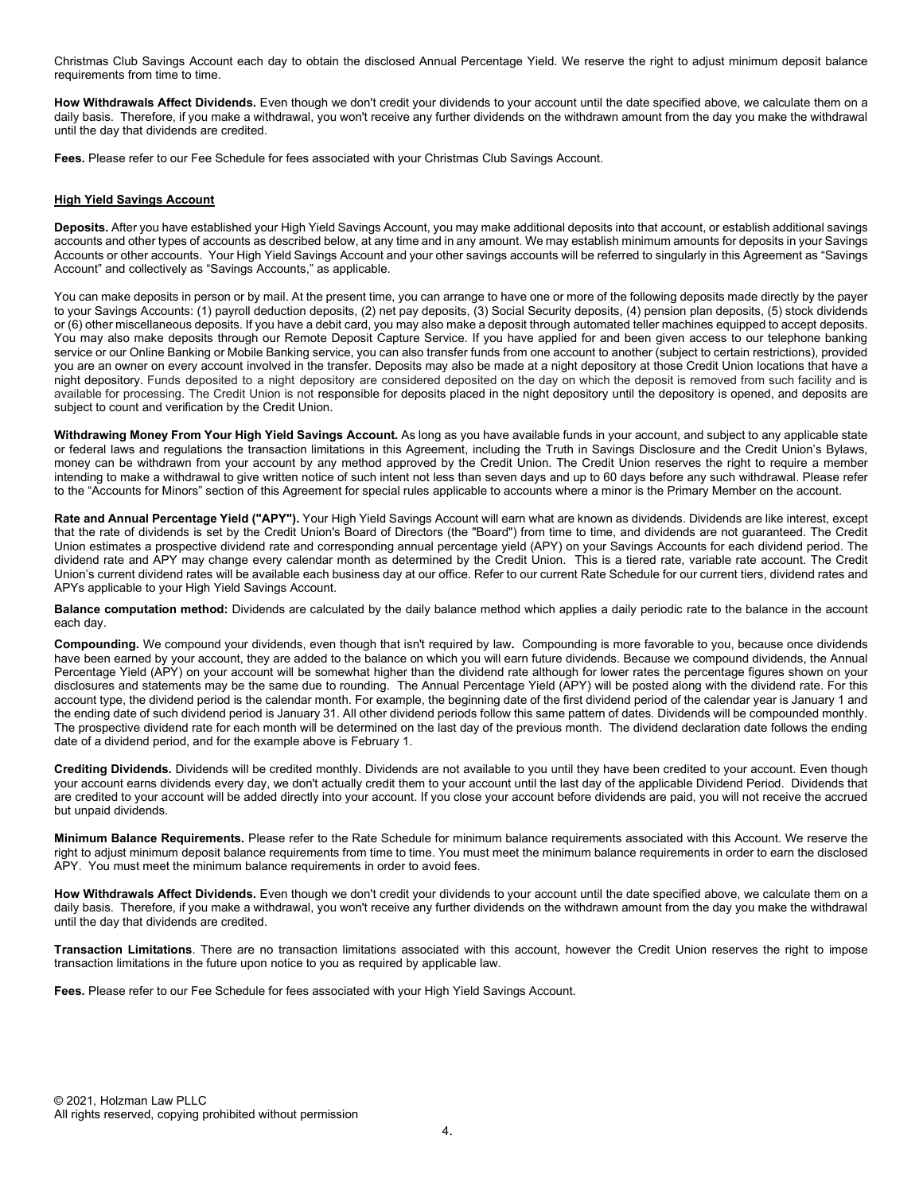Christmas Club Savings Account each day to obtain the disclosed Annual Percentage Yield. We reserve the right to adjust minimum deposit balance requirements from time to time.

How Withdrawals Affect Dividends. Even though we don't credit your dividends to your account until the date specified above, we calculate them on a daily basis. Therefore, if you make a withdrawal, you won't receive any further dividends on the withdrawn amount from the day you make the withdrawal until the day that dividends are credited.

Fees. Please refer to our Fee Schedule for fees associated with your Christmas Club Savings Account.

### **High Yield Savings Account**

Deposits. After you have established your High Yield Savings Account, you may make additional deposits into that account, or establish additional savings accounts and other types of accounts as described below, at any time and in any amount. We may establish minimum amounts for deposits in your Savings Accounts or other accounts. Your High Yield Savings Account and your other savings accounts will be referred to singularly in this Agreement as "Savings Account" and collectively as "Savings Accounts," as applicable.

You can make deposits in person or by mail. At the present time, you can arrange to have one or more of the following deposits made directly by the payer to your Savings Accounts: (1) payroll deduction deposits, (2) net pay deposits, (3) Social Security deposits, (4) pension plan deposits, (5) stock dividends or (6) other miscellaneous deposits. If you have a debit card, you may also make a deposit through automated teller machines equipped to accept deposits. You may also make deposits through our Remote Deposit Capture Service. If you have applied for and been given access to our telephone banking service or our Online Banking or Mobile Banking service, you can also transfer funds from one account to another (subject to certain restrictions), provided you are an owner on every account involved in the transfer. Deposits may also be made at a night depository at those Credit Union locations that have a night depository. Funds deposited to a night depository are considered deposited on the day on which the deposit is removed from such facility and is available for processing. The Credit Union is not responsible for deposits placed in the night depository until the depository is opened, and deposits are subject to count and verification by the Credit Union.

Withdrawing Money From Your High Yield Savings Account. As long as you have available funds in your account, and subject to any applicable state or federal laws and regulations the transaction limitations in this Agreement, including the Truth in Savings Disclosure and the Credit Union's Bylaws, money can be withdrawn from your account by any method approved by the Credit Union. The Credit Union reserves the right to require a member intending to make a withdrawal to give written notice of such intent not less than seven days and up to 60 days before any such withdrawal. Please refer to the "Accounts for Minors" section of this Agreement for special rules applicable to accounts where a minor is the Primary Member on the account.

Rate and Annual Percentage Yield ("APY"). Your High Yield Savings Account will earn what are known as dividends. Dividends are like interest, except that the rate of dividends is set by the Credit Union's Board of Directors (the "Board") from time to time, and dividends are not guaranteed. The Credit Union estimates a prospective dividend rate and corresponding annual percentage yield (APY) on your Savings Accounts for each dividend period. The dividend rate and APY may change every calendar month as determined by the Credit Union. This is a tiered rate, variable rate account. The Credit Union's current dividend rates will be available each business day at our office. Refer to our current Rate Schedule for our current tiers, dividend rates and APYs applicable to your High Yield Savings Account.

Balance computation method: Dividends are calculated by the daily balance method which applies a daily periodic rate to the balance in the account each day.

Compounding. We compound your dividends, even though that isn't required by law. Compounding is more favorable to you, because once dividends have been earned by your account, they are added to the balance on which you will earn future dividends. Because we compound dividends, the Annual Percentage Yield (APY) on your account will be somewhat higher than the dividend rate although for lower rates the percentage figures shown on your disclosures and statements may be the same due to rounding. The Annual Percentage Yield (APY) will be posted along with the dividend rate. For this account type, the dividend period is the calendar month. For example, the beginning date of the first dividend period of the calendar year is January 1 and the ending date of such dividend period is January 31. All other dividend periods follow this same pattern of dates. Dividends will be compounded monthly. The prospective dividend rate for each month will be determined on the last day of the previous month. The dividend declaration date follows the ending date of a dividend period, and for the example above is February 1.

Crediting Dividends. Dividends will be credited monthly. Dividends are not available to you until they have been credited to your account. Even though your account earns dividends every day, we don't actually credit them to your account until the last day of the applicable Dividend Period. Dividends that are credited to your account will be added directly into your account. If you close your account before dividends are paid, you will not receive the accrued but unpaid dividends.

Minimum Balance Requirements. Please refer to the Rate Schedule for minimum balance requirements associated with this Account. We reserve the right to adjust minimum deposit balance requirements from time to time. You must meet the minimum balance requirements in order to earn the disclosed APY. You must meet the minimum balance requirements in order to avoid fees.

How Withdrawals Affect Dividends. Even though we don't credit your dividends to your account until the date specified above, we calculate them on a daily basis. Therefore, if you make a withdrawal, you won't receive any further dividends on the withdrawn amount from the day you make the withdrawal until the day that dividends are credited.

Transaction Limitations. There are no transaction limitations associated with this account, however the Credit Union reserves the right to impose transaction limitations in the future upon notice to you as required by applicable law.

Fees. Please refer to our Fee Schedule for fees associated with your High Yield Savings Account.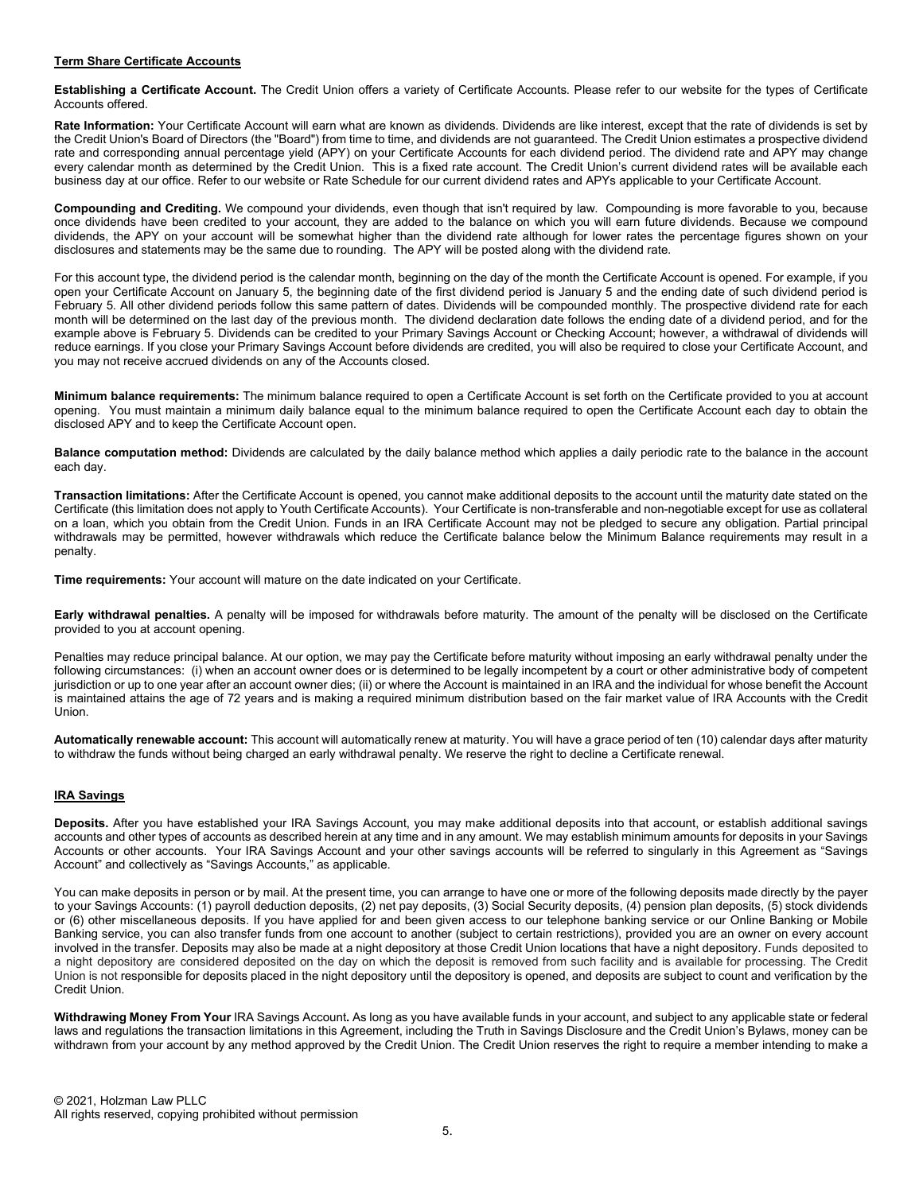#### Term Share Certificate Accounts

Establishing a Certificate Account. The Credit Union offers a variety of Certificate Accounts. Please refer to our website for the types of Certificate Accounts offered.

Rate Information: Your Certificate Account will earn what are known as dividends. Dividends are like interest, except that the rate of dividends is set by the Credit Union's Board of Directors (the "Board") from time to time, and dividends are not guaranteed. The Credit Union estimates a prospective dividend rate and corresponding annual percentage yield (APY) on your Certificate Accounts for each dividend period. The dividend rate and APY may change every calendar month as determined by the Credit Union. This is a fixed rate account. The Credit Union's current dividend rates will be available each business day at our office. Refer to our website or Rate Schedule for our current dividend rates and APYs applicable to your Certificate Account.

Compounding and Crediting. We compound your dividends, even though that isn't required by law. Compounding is more favorable to you, because once dividends have been credited to your account, they are added to the balance on which you will earn future dividends. Because we compound dividends, the APY on your account will be somewhat higher than the dividend rate although for lower rates the percentage figures shown on your disclosures and statements may be the same due to rounding. The APY will be posted along with the dividend rate.

For this account type, the dividend period is the calendar month, beginning on the day of the month the Certificate Account is opened. For example, if you open your Certificate Account on January 5, the beginning date of the first dividend period is January 5 and the ending date of such dividend period is February 5. All other dividend periods follow this same pattern of dates. Dividends will be compounded monthly. The prospective dividend rate for each month will be determined on the last day of the previous month. The dividend declaration date follows the ending date of a dividend period, and for the example above is February 5. Dividends can be credited to your Primary Savings Account or Checking Account; however, a withdrawal of dividends will reduce earnings. If you close your Primary Savings Account before dividends are credited, you will also be required to close your Certificate Account, and you may not receive accrued dividends on any of the Accounts closed.

Minimum balance requirements: The minimum balance required to open a Certificate Account is set forth on the Certificate provided to you at account opening. You must maintain a minimum daily balance equal to the minimum balance required to open the Certificate Account each day to obtain the disclosed APY and to keep the Certificate Account open.

Balance computation method: Dividends are calculated by the daily balance method which applies a daily periodic rate to the balance in the account each day.

Transaction limitations: After the Certificate Account is opened, you cannot make additional deposits to the account until the maturity date stated on the Certificate (this limitation does not apply to Youth Certificate Accounts). Your Certificate is non-transferable and non-negotiable except for use as collateral on a loan, which you obtain from the Credit Union. Funds in an IRA Certificate Account may not be pledged to secure any obligation. Partial principal withdrawals may be permitted, however withdrawals which reduce the Certificate balance below the Minimum Balance requirements may result in a penalty.

Time requirements: Your account will mature on the date indicated on your Certificate.

Early withdrawal penalties. A penalty will be imposed for withdrawals before maturity. The amount of the penalty will be disclosed on the Certificate provided to you at account opening.

Penalties may reduce principal balance. At our option, we may pay the Certificate before maturity without imposing an early withdrawal penalty under the following circumstances: (i) when an account owner does or is determined to be legally incompetent by a court or other administrative body of competent jurisdiction or up to one year after an account owner dies; (ii) or where the Account is maintained in an IRA and the individual for whose benefit the Account is maintained attains the age of 72 years and is making a required minimum distribution based on the fair market value of IRA Accounts with the Credit **Union** 

Automatically renewable account: This account will automatically renew at maturity. You will have a grace period of ten (10) calendar days after maturity to withdraw the funds without being charged an early withdrawal penalty. We reserve the right to decline a Certificate renewal.

# IRA Savings

Deposits. After you have established your IRA Savings Account, you may make additional deposits into that account, or establish additional savings accounts and other types of accounts as described herein at any time and in any amount. We may establish minimum amounts for deposits in your Savings Accounts or other accounts. Your IRA Savings Account and your other savings accounts will be referred to singularly in this Agreement as "Savings Account" and collectively as "Savings Accounts," as applicable.

You can make deposits in person or by mail. At the present time, you can arrange to have one or more of the following deposits made directly by the payer to your Savings Accounts: (1) payroll deduction deposits, (2) net pay deposits, (3) Social Security deposits, (4) pension plan deposits, (5) stock dividends or (6) other miscellaneous deposits. If you have applied for and been given access to our telephone banking service or our Online Banking or Mobile Banking service, you can also transfer funds from one account to another (subject to certain restrictions), provided you are an owner on every account involved in the transfer. Deposits may also be made at a night depository at those Credit Union locations that have a night depository. Funds deposited to a night depository are considered deposited on the day on which the deposit is removed from such facility and is available for processing. The Credit Union is not responsible for deposits placed in the night depository until the depository is opened, and deposits are subject to count and verification by the Credit Union.

Withdrawing Money From Your IRA Savings Account. As long as you have available funds in your account, and subject to any applicable state or federal laws and regulations the transaction limitations in this Agreement, including the Truth in Savings Disclosure and the Credit Union's Bylaws, money can be withdrawn from your account by any method approved by the Credit Union. The Credit Union reserves the right to require a member intending to make a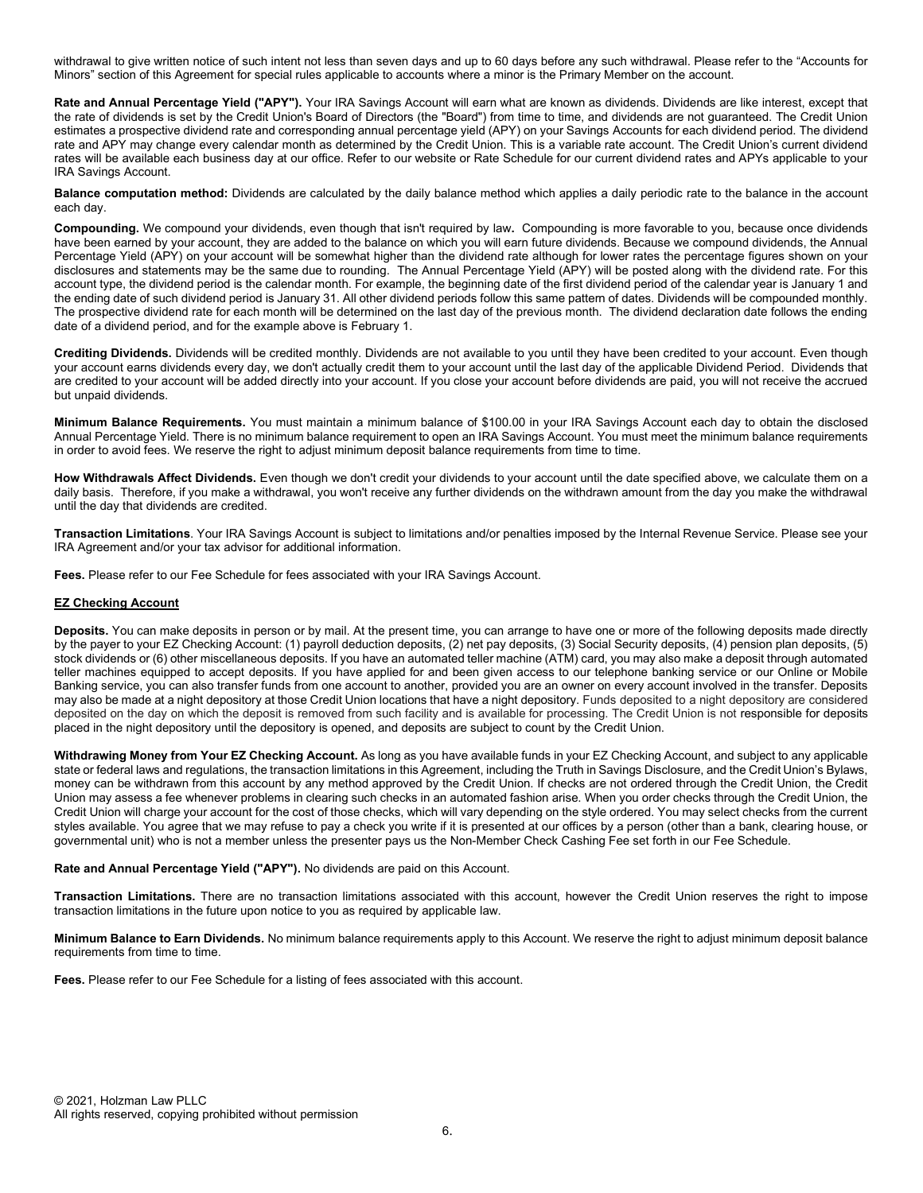withdrawal to give written notice of such intent not less than seven days and up to 60 days before any such withdrawal. Please refer to the "Accounts for Minors" section of this Agreement for special rules applicable to accounts where a minor is the Primary Member on the account.

Rate and Annual Percentage Yield ("APY"). Your IRA Savings Account will earn what are known as dividends. Dividends are like interest, except that the rate of dividends is set by the Credit Union's Board of Directors (the "Board") from time to time, and dividends are not guaranteed. The Credit Union estimates a prospective dividend rate and corresponding annual percentage yield (APY) on your Savings Accounts for each dividend period. The dividend rate and APY may change every calendar month as determined by the Credit Union. This is a variable rate account. The Credit Union's current dividend rates will be available each business day at our office. Refer to our website or Rate Schedule for our current dividend rates and APYs applicable to your IRA Savings Account.

Balance computation method: Dividends are calculated by the daily balance method which applies a daily periodic rate to the balance in the account each day.

Compounding. We compound your dividends, even though that isn't required by law. Compounding is more favorable to you, because once dividends have been earned by your account, they are added to the balance on which you will earn future dividends. Because we compound dividends, the Annual Percentage Yield (APY) on your account will be somewhat higher than the dividend rate although for lower rates the percentage figures shown on your disclosures and statements may be the same due to rounding. The Annual Percentage Yield (APY) will be posted along with the dividend rate. For this account type, the dividend period is the calendar month. For example, the beginning date of the first dividend period of the calendar year is January 1 and the ending date of such dividend period is January 31. All other dividend periods follow this same pattern of dates. Dividends will be compounded monthly. The prospective dividend rate for each month will be determined on the last day of the previous month. The dividend declaration date follows the ending date of a dividend period, and for the example above is February 1.

Crediting Dividends. Dividends will be credited monthly. Dividends are not available to you until they have been credited to your account. Even though your account earns dividends every day, we don't actually credit them to your account until the last day of the applicable Dividend Period. Dividends that are credited to your account will be added directly into your account. If you close your account before dividends are paid, you will not receive the accrued but unpaid dividends.

Minimum Balance Requirements. You must maintain a minimum balance of \$100.00 in your IRA Savings Account each day to obtain the disclosed Annual Percentage Yield. There is no minimum balance requirement to open an IRA Savings Account. You must meet the minimum balance requirements in order to avoid fees. We reserve the right to adjust minimum deposit balance requirements from time to time.

How Withdrawals Affect Dividends. Even though we don't credit your dividends to your account until the date specified above, we calculate them on a daily basis. Therefore, if you make a withdrawal, you won't receive any further dividends on the withdrawn amount from the day you make the withdrawal until the day that dividends are credited.

Transaction Limitations. Your IRA Savings Account is subject to limitations and/or penalties imposed by the Internal Revenue Service. Please see your IRA Agreement and/or your tax advisor for additional information.

Fees. Please refer to our Fee Schedule for fees associated with your IRA Savings Account.

### EZ Checking Account

Deposits. You can make deposits in person or by mail. At the present time, you can arrange to have one or more of the following deposits made directly by the payer to your EZ Checking Account: (1) payroll deduction deposits, (2) net pay deposits, (3) Social Security deposits, (4) pension plan deposits, (5) stock dividends or (6) other miscellaneous deposits. If you have an automated teller machine (ATM) card, you may also make a deposit through automated teller machines equipped to accept deposits. If you have applied for and been given access to our telephone banking service or our Online or Mobile Banking service, you can also transfer funds from one account to another, provided you are an owner on every account involved in the transfer. Deposits may also be made at a night depository at those Credit Union locations that have a night depository. Funds deposited to a night depository are considered deposited on the day on which the deposit is removed from such facility and is available for processing. The Credit Union is not responsible for deposits placed in the night depository until the depository is opened, and deposits are subject to count by the Credit Union.

Withdrawing Money from Your EZ Checking Account. As long as you have available funds in your EZ Checking Account, and subject to any applicable state or federal laws and regulations, the transaction limitations in this Agreement, including the Truth in Savings Disclosure, and the Credit Union's Bylaws, money can be withdrawn from this account by any method approved by the Credit Union. If checks are not ordered through the Credit Union, the Credit Union may assess a fee whenever problems in clearing such checks in an automated fashion arise. When you order checks through the Credit Union, the Credit Union will charge your account for the cost of those checks, which will vary depending on the style ordered. You may select checks from the current styles available. You agree that we may refuse to pay a check you write if it is presented at our offices by a person (other than a bank, clearing house, or governmental unit) who is not a member unless the presenter pays us the Non-Member Check Cashing Fee set forth in our Fee Schedule.

### Rate and Annual Percentage Yield ("APY"). No dividends are paid on this Account.

Transaction Limitations. There are no transaction limitations associated with this account, however the Credit Union reserves the right to impose transaction limitations in the future upon notice to you as required by applicable law.

Minimum Balance to Earn Dividends. No minimum balance requirements apply to this Account. We reserve the right to adjust minimum deposit balance requirements from time to time.

Fees. Please refer to our Fee Schedule for a listing of fees associated with this account.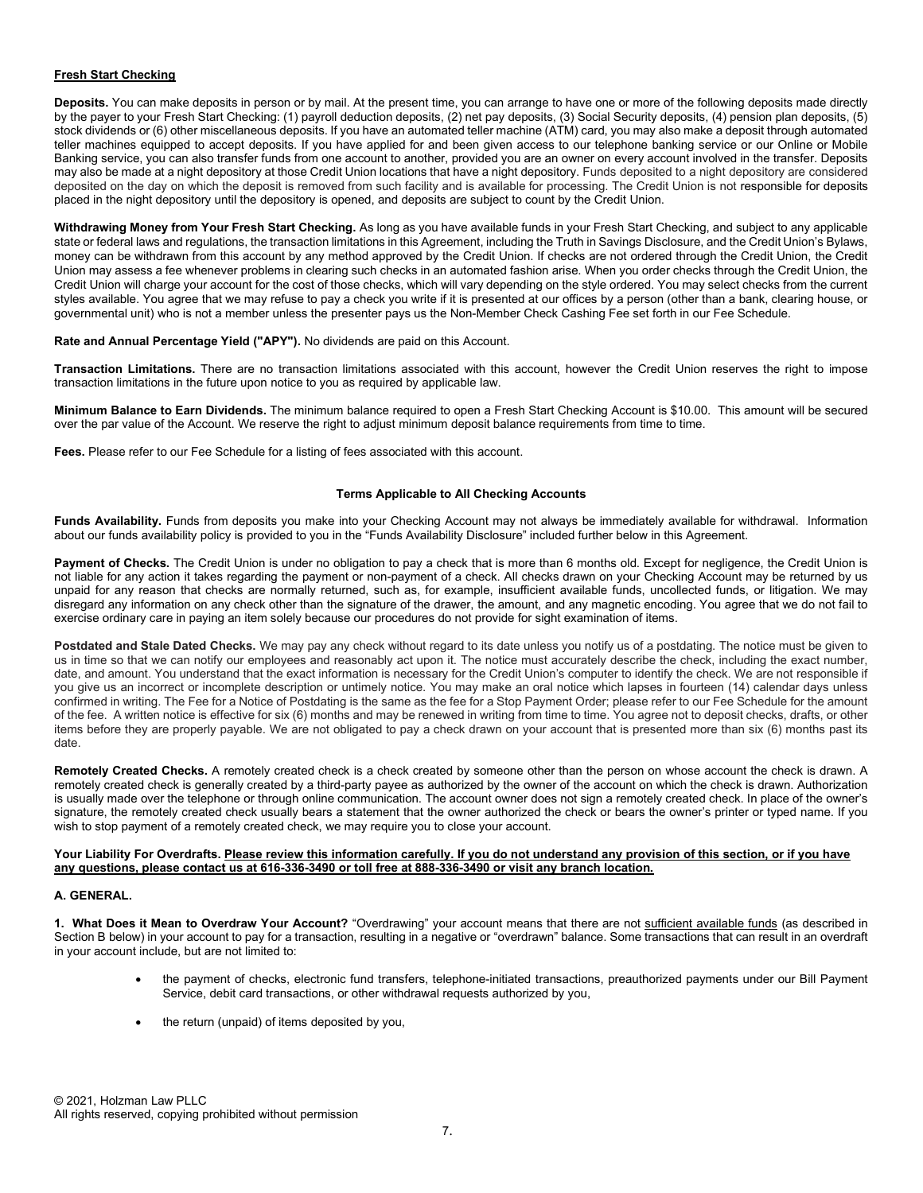# Fresh Start Checking

Deposits. You can make deposits in person or by mail. At the present time, you can arrange to have one or more of the following deposits made directly by the payer to your Fresh Start Checking: (1) payroll deduction deposits, (2) net pay deposits, (3) Social Security deposits, (4) pension plan deposits, (5) stock dividends or (6) other miscellaneous deposits. If you have an automated teller machine (ATM) card, you may also make a deposit through automated teller machines equipped to accept deposits. If you have applied for and been given access to our telephone banking service or our Online or Mobile Banking service, you can also transfer funds from one account to another, provided you are an owner on every account involved in the transfer. Deposits may also be made at a night depository at those Credit Union locations that have a night depository. Funds deposited to a night depository are considered deposited on the day on which the deposit is removed from such facility and is available for processing. The Credit Union is not responsible for deposits placed in the night depository until the depository is opened, and deposits are subject to count by the Credit Union.

Withdrawing Money from Your Fresh Start Checking. As long as you have available funds in your Fresh Start Checking, and subject to any applicable state or federal laws and regulations, the transaction limitations in this Agreement, including the Truth in Savings Disclosure, and the Credit Union's Bylaws, money can be withdrawn from this account by any method approved by the Credit Union. If checks are not ordered through the Credit Union, the Credit Union may assess a fee whenever problems in clearing such checks in an automated fashion arise. When you order checks through the Credit Union, the Credit Union will charge your account for the cost of those checks, which will vary depending on the style ordered. You may select checks from the current styles available. You agree that we may refuse to pay a check you write if it is presented at our offices by a person (other than a bank, clearing house, or governmental unit) who is not a member unless the presenter pays us the Non-Member Check Cashing Fee set forth in our Fee Schedule.

### Rate and Annual Percentage Yield ("APY"). No dividends are paid on this Account.

Transaction Limitations. There are no transaction limitations associated with this account, however the Credit Union reserves the right to impose transaction limitations in the future upon notice to you as required by applicable law.

Minimum Balance to Earn Dividends. The minimum balance required to open a Fresh Start Checking Account is \$10.00. This amount will be secured over the par value of the Account. We reserve the right to adjust minimum deposit balance requirements from time to time.

Fees. Please refer to our Fee Schedule for a listing of fees associated with this account.

# Terms Applicable to All Checking Accounts

Funds Availability. Funds from deposits you make into your Checking Account may not always be immediately available for withdrawal. Information about our funds availability policy is provided to you in the "Funds Availability Disclosure" included further below in this Agreement.

Payment of Checks. The Credit Union is under no obligation to pay a check that is more than 6 months old. Except for negligence, the Credit Union is not liable for any action it takes regarding the payment or non-payment of a check. All checks drawn on your Checking Account may be returned by us unpaid for any reason that checks are normally returned, such as, for example, insufficient available funds, uncollected funds, or litigation. We may disregard any information on any check other than the signature of the drawer, the amount, and any magnetic encoding. You agree that we do not fail to exercise ordinary care in paying an item solely because our procedures do not provide for sight examination of items.

Postdated and Stale Dated Checks. We may pay any check without regard to its date unless you notify us of a postdating. The notice must be given to us in time so that we can notify our employees and reasonably act upon it. The notice must accurately describe the check, including the exact number, date, and amount. You understand that the exact information is necessary for the Credit Union's computer to identify the check. We are not responsible if you give us an incorrect or incomplete description or untimely notice. You may make an oral notice which lapses in fourteen (14) calendar days unless confirmed in writing. The Fee for a Notice of Postdating is the same as the fee for a Stop Payment Order; please refer to our Fee Schedule for the amount of the fee. A written notice is effective for six (6) months and may be renewed in writing from time to time. You agree not to deposit checks, drafts, or other items before they are properly payable. We are not obligated to pay a check drawn on your account that is presented more than six (6) months past its date.

Remotely Created Checks. A remotely created check is a check created by someone other than the person on whose account the check is drawn. A remotely created check is generally created by a third-party payee as authorized by the owner of the account on which the check is drawn. Authorization is usually made over the telephone or through online communication. The account owner does not sign a remotely created check. In place of the owner's signature, the remotely created check usually bears a statement that the owner authorized the check or bears the owner's printer or typed name. If you wish to stop payment of a remotely created check, we may require you to close your account.

#### Your Liability For Overdrafts. Please review this information carefully. If you do not understand any provision of this section, or if you have any questions, please contact us at 616-336-3490 or toll free at 888-336-3490 or visit any branch location.

### A. GENERAL.

1. What Does it Mean to Overdraw Your Account? "Overdrawing" your account means that there are not sufficient available funds (as described in Section B below) in your account to pay for a transaction, resulting in a negative or "overdrawn" balance. Some transactions that can result in an overdraft in your account include, but are not limited to:

- the payment of checks, electronic fund transfers, telephone-initiated transactions, preauthorized payments under our Bill Payment Service, debit card transactions, or other withdrawal requests authorized by you,
- the return (unpaid) of items deposited by you,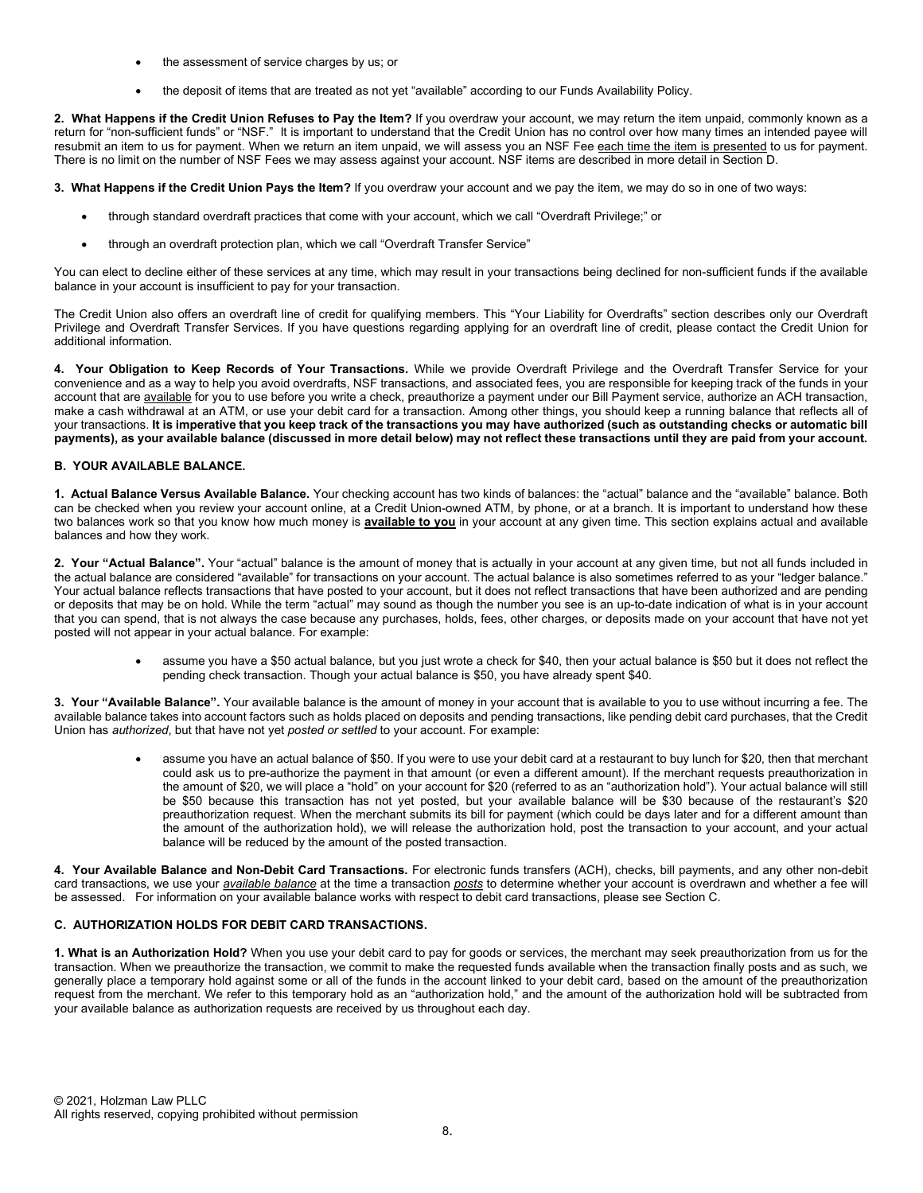- the assessment of service charges by us; or
- the deposit of items that are treated as not yet "available" according to our Funds Availability Policy.

2. What Happens if the Credit Union Refuses to Pay the Item? If you overdraw your account, we may return the item unpaid, commonly known as a return for "non-sufficient funds" or "NSF." It is important to understand that the Credit Union has no control over how many times an intended payee will resubmit an item to us for payment. When we return an item unpaid, we will assess you an NSF Fee each time the item is presented to us for payment. There is no limit on the number of NSF Fees we may assess against your account. NSF items are described in more detail in Section D.

3. What Happens if the Credit Union Pays the Item? If you overdraw your account and we pay the item, we may do so in one of two ways:

- through standard overdraft practices that come with your account, which we call "Overdraft Privilege;" or
- through an overdraft protection plan, which we call "Overdraft Transfer Service"

You can elect to decline either of these services at any time, which may result in your transactions being declined for non-sufficient funds if the available balance in your account is insufficient to pay for your transaction.

The Credit Union also offers an overdraft line of credit for qualifying members. This "Your Liability for Overdrafts" section describes only our Overdraft Privilege and Overdraft Transfer Services. If you have questions regarding applying for an overdraft line of credit, please contact the Credit Union for additional information.

4. Your Obligation to Keep Records of Your Transactions. While we provide Overdraft Privilege and the Overdraft Transfer Service for your convenience and as a way to help you avoid overdrafts, NSF transactions, and associated fees, you are responsible for keeping track of the funds in your account that are available for you to use before you write a check, preauthorize a payment under our Bill Payment service, authorize an ACH transaction, make a cash withdrawal at an ATM, or use your debit card for a transaction. Among other things, you should keep a running balance that reflects all of your transactions. It is imperative that you keep track of the transactions you may have authorized (such as outstanding checks or automatic bill payments), as your available balance (discussed in more detail below) may not reflect these transactions until they are paid from your account.

# B. YOUR AVAILABLE BALANCE.

1. Actual Balance Versus Available Balance. Your checking account has two kinds of balances: the "actual" balance and the "available" balance. Both can be checked when you review your account online, at a Credit Union-owned ATM, by phone, or at a branch. It is important to understand how these two balances work so that you know how much money is available to you in your account at any given time. This section explains actual and available balances and how they work.

2. Your "Actual Balance". Your "actual" balance is the amount of money that is actually in your account at any given time, but not all funds included in the actual balance are considered "available" for transactions on your account. The actual balance is also sometimes referred to as your "ledger balance." Your actual balance reflects transactions that have posted to your account, but it does not reflect transactions that have been authorized and are pending or deposits that may be on hold. While the term "actual" may sound as though the number you see is an up-to-date indication of what is in your account that you can spend, that is not always the case because any purchases, holds, fees, other charges, or deposits made on your account that have not yet posted will not appear in your actual balance. For example:

> assume you have a \$50 actual balance, but you just wrote a check for \$40, then your actual balance is \$50 but it does not reflect the pending check transaction. Though your actual balance is \$50, you have already spent \$40.

3. Your "Available Balance". Your available balance is the amount of money in your account that is available to you to use without incurring a fee. The available balance takes into account factors such as holds placed on deposits and pending transactions, like pending debit card purchases, that the Credit Union has authorized, but that have not yet posted or settled to your account. For example:

> assume you have an actual balance of \$50. If you were to use your debit card at a restaurant to buy lunch for \$20, then that merchant could ask us to pre-authorize the payment in that amount (or even a different amount). If the merchant requests preauthorization in the amount of \$20, we will place a "hold" on your account for \$20 (referred to as an "authorization hold"). Your actual balance will still be \$50 because this transaction has not yet posted, but your available balance will be \$30 because of the restaurant's \$20 preauthorization request. When the merchant submits its bill for payment (which could be days later and for a different amount than the amount of the authorization hold), we will release the authorization hold, post the transaction to your account, and your actual balance will be reduced by the amount of the posted transaction.

4. Your Available Balance and Non-Debit Card Transactions. For electronic funds transfers (ACH), checks, bill payments, and any other non-debit card transactions, we use your available balance at the time a transaction posts to determine whether your account is overdrawn and whether a fee will be assessed. For information on your available balance works with respect to debit card transactions, please see Section C.

### C. AUTHORIZATION HOLDS FOR DEBIT CARD TRANSACTIONS.

1. What is an Authorization Hold? When you use your debit card to pay for goods or services, the merchant may seek preauthorization from us for the transaction. When we preauthorize the transaction, we commit to make the requested funds available when the transaction finally posts and as such, we generally place a temporary hold against some or all of the funds in the account linked to your debit card, based on the amount of the preauthorization request from the merchant. We refer to this temporary hold as an "authorization hold," and the amount of the authorization hold will be subtracted from your available balance as authorization requests are received by us throughout each day.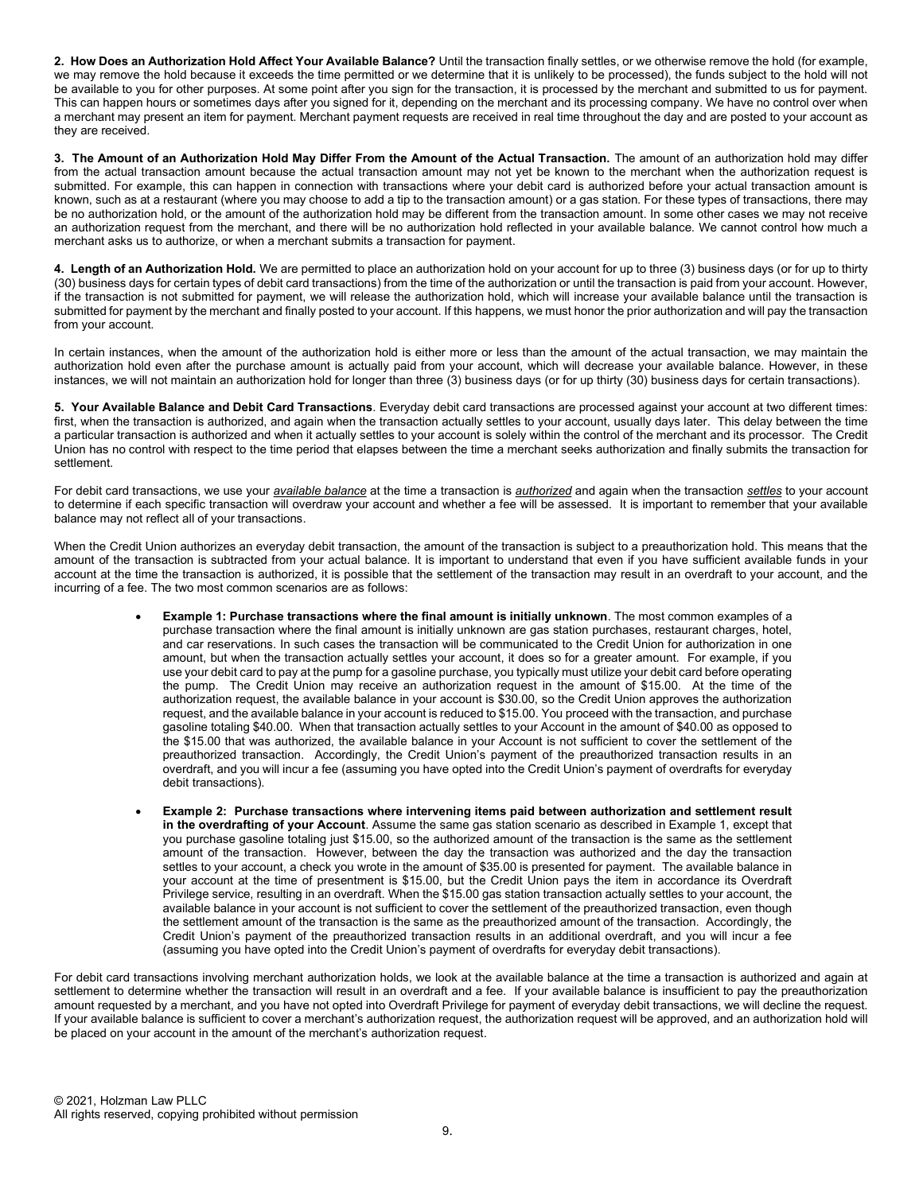2. How Does an Authorization Hold Affect Your Available Balance? Until the transaction finally settles, or we otherwise remove the hold (for example, we may remove the hold because it exceeds the time permitted or we determine that it is unlikely to be processed), the funds subject to the hold will not be available to you for other purposes. At some point after you sign for the transaction, it is processed by the merchant and submitted to us for payment. This can happen hours or sometimes days after you signed for it, depending on the merchant and its processing company. We have no control over when a merchant may present an item for payment. Merchant payment requests are received in real time throughout the day and are posted to your account as they are received.

3. The Amount of an Authorization Hold May Differ From the Amount of the Actual Transaction. The amount of an authorization hold may differ from the actual transaction amount because the actual transaction amount may not yet be known to the merchant when the authorization request is submitted. For example, this can happen in connection with transactions where your debit card is authorized before your actual transaction amount is known, such as at a restaurant (where you may choose to add a tip to the transaction amount) or a gas station. For these types of transactions, there may be no authorization hold, or the amount of the authorization hold may be different from the transaction amount. In some other cases we may not receive an authorization request from the merchant, and there will be no authorization hold reflected in your available balance. We cannot control how much a merchant asks us to authorize, or when a merchant submits a transaction for payment.

4. Length of an Authorization Hold. We are permitted to place an authorization hold on your account for up to three (3) business days (or for up to thirty (30) business days for certain types of debit card transactions) from the time of the authorization or until the transaction is paid from your account. However, if the transaction is not submitted for payment, we will release the authorization hold, which will increase your available balance until the transaction is submitted for payment by the merchant and finally posted to your account. If this happens, we must honor the prior authorization and will pay the transaction from your account.

In certain instances, when the amount of the authorization hold is either more or less than the amount of the actual transaction, we may maintain the authorization hold even after the purchase amount is actually paid from your account, which will decrease your available balance. However, in these instances, we will not maintain an authorization hold for longer than three (3) business days (or for up thirty (30) business days for certain transactions).

5. Your Available Balance and Debit Card Transactions. Everyday debit card transactions are processed against your account at two different times: first, when the transaction is authorized, and again when the transaction actually settles to your account, usually days later. This delay between the time a particular transaction is authorized and when it actually settles to your account is solely within the control of the merchant and its processor. The Credit Union has no control with respect to the time period that elapses between the time a merchant seeks authorization and finally submits the transaction for settlement.

For debit card transactions, we use your *available balance* at the time a transaction is *authorized* and again when the transaction settles to your account to determine if each specific transaction will overdraw your account and whether a fee will be assessed. It is important to remember that your available balance may not reflect all of your transactions.

When the Credit Union authorizes an everyday debit transaction, the amount of the transaction is subject to a preauthorization hold. This means that the amount of the transaction is subtracted from your actual balance. It is important to understand that even if you have sufficient available funds in your account at the time the transaction is authorized, it is possible that the settlement of the transaction may result in an overdraft to your account, and the incurring of a fee. The two most common scenarios are as follows:

- Example 1: Purchase transactions where the final amount is initially unknown. The most common examples of a purchase transaction where the final amount is initially unknown are gas station purchases, restaurant charges, hotel, and car reservations. In such cases the transaction will be communicated to the Credit Union for authorization in one amount, but when the transaction actually settles your account, it does so for a greater amount. For example, if you use your debit card to pay at the pump for a gasoline purchase, you typically must utilize your debit card before operating the pump. The Credit Union may receive an authorization request in the amount of \$15.00. At the time of the authorization request, the available balance in your account is \$30.00, so the Credit Union approves the authorization request, and the available balance in your account is reduced to \$15.00. You proceed with the transaction, and purchase gasoline totaling \$40.00. When that transaction actually settles to your Account in the amount of \$40.00 as opposed to the \$15.00 that was authorized, the available balance in your Account is not sufficient to cover the settlement of the preauthorized transaction. Accordingly, the Credit Union's payment of the preauthorized transaction results in an overdraft, and you will incur a fee (assuming you have opted into the Credit Union's payment of overdrafts for everyday debit transactions).
- Example 2: Purchase transactions where intervening items paid between authorization and settlement result in the overdrafting of your Account. Assume the same gas station scenario as described in Example 1, except that you purchase gasoline totaling just \$15.00, so the authorized amount of the transaction is the same as the settlement amount of the transaction. However, between the day the transaction was authorized and the day the transaction settles to your account, a check you wrote in the amount of \$35.00 is presented for payment. The available balance in your account at the time of presentment is \$15.00, but the Credit Union pays the item in accordance its Overdraft Privilege service, resulting in an overdraft. When the \$15.00 gas station transaction actually settles to your account, the available balance in your account is not sufficient to cover the settlement of the preauthorized transaction, even though the settlement amount of the transaction is the same as the preauthorized amount of the transaction. Accordingly, the Credit Union's payment of the preauthorized transaction results in an additional overdraft, and you will incur a fee (assuming you have opted into the Credit Union's payment of overdrafts for everyday debit transactions).

For debit card transactions involving merchant authorization holds, we look at the available balance at the time a transaction is authorized and again at settlement to determine whether the transaction will result in an overdraft and a fee. If your available balance is insufficient to pay the preauthorization amount requested by a merchant, and you have not opted into Overdraft Privilege for payment of everyday debit transactions, we will decline the request. If your available balance is sufficient to cover a merchant's authorization request, the authorization request will be approved, and an authorization hold will be placed on your account in the amount of the merchant's authorization request.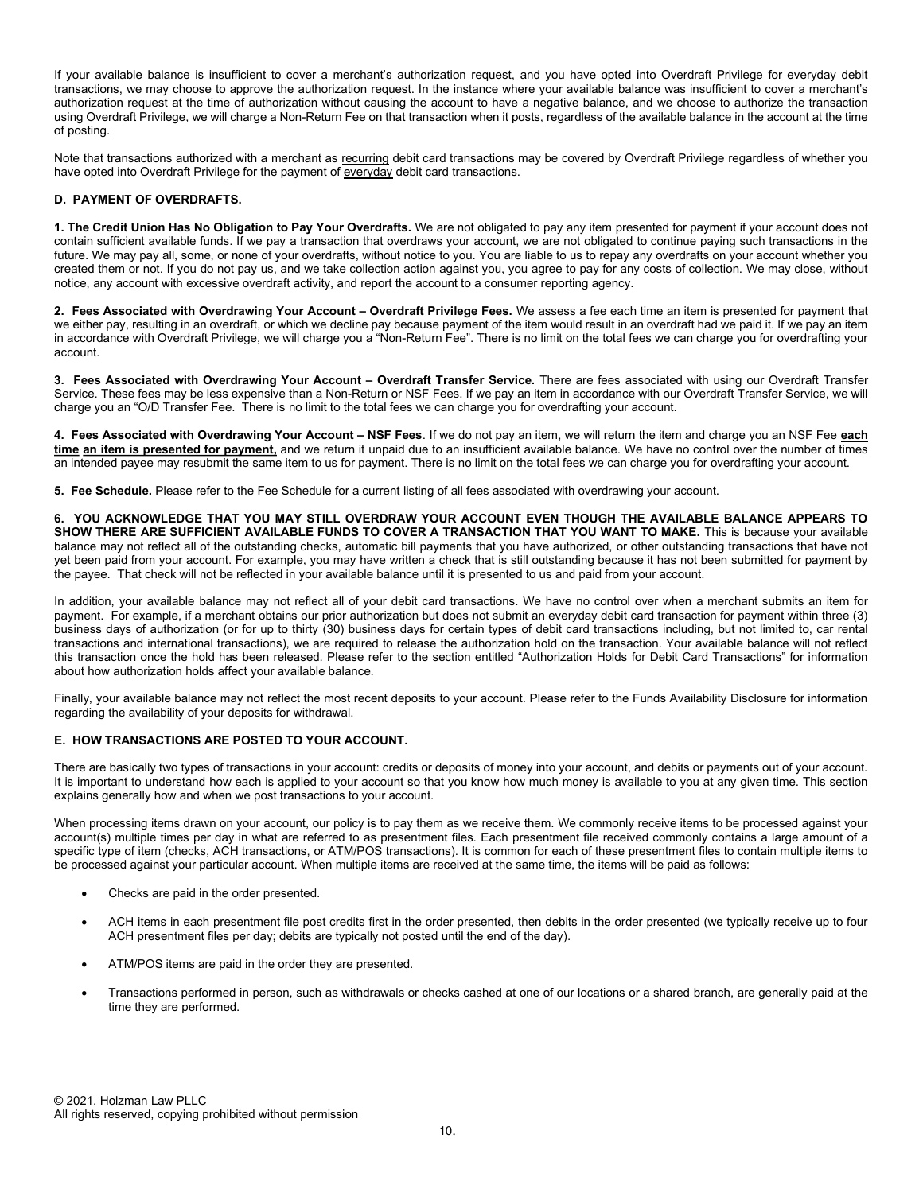If your available balance is insufficient to cover a merchant's authorization request, and you have opted into Overdraft Privilege for everyday debit transactions, we may choose to approve the authorization request. In the instance where your available balance was insufficient to cover a merchant's authorization request at the time of authorization without causing the account to have a negative balance, and we choose to authorize the transaction using Overdraft Privilege, we will charge a Non-Return Fee on that transaction when it posts, regardless of the available balance in the account at the time of posting.

Note that transactions authorized with a merchant as recurring debit card transactions may be covered by Overdraft Privilege regardless of whether you have opted into Overdraft Privilege for the payment of everyday debit card transactions.

# D. PAYMENT OF OVERDRAFTS.

1. The Credit Union Has No Obligation to Pay Your Overdrafts. We are not obligated to pay any item presented for payment if your account does not contain sufficient available funds. If we pay a transaction that overdraws your account, we are not obligated to continue paying such transactions in the future. We may pay all, some, or none of your overdrafts, without notice to you. You are liable to us to repay any overdrafts on your account whether you created them or not. If you do not pay us, and we take collection action against you, you agree to pay for any costs of collection. We may close, without notice, any account with excessive overdraft activity, and report the account to a consumer reporting agency.

2. Fees Associated with Overdrawing Your Account – Overdraft Privilege Fees. We assess a fee each time an item is presented for payment that we either pay, resulting in an overdraft, or which we decline pay because payment of the item would result in an overdraft had we paid it. If we pay an item in accordance with Overdraft Privilege, we will charge you a "Non-Return Fee". There is no limit on the total fees we can charge you for overdrafting your account.

3. Fees Associated with Overdrawing Your Account - Overdraft Transfer Service. There are fees associated with using our Overdraft Transfer Service. These fees may be less expensive than a Non-Return or NSF Fees. If we pay an item in accordance with our Overdraft Transfer Service, we will charge you an "O/D Transfer Fee. There is no limit to the total fees we can charge you for overdrafting your account.

4. Fees Associated with Overdrawing Your Account – NSF Fees. If we do not pay an item, we will return the item and charge you an NSF Fee each time an item is presented for payment, and we return it unpaid due to an insufficient available balance. We have no control over the number of times an intended payee may resubmit the same item to us for payment. There is no limit on the total fees we can charge you for overdrafting your account.

5. Fee Schedule. Please refer to the Fee Schedule for a current listing of all fees associated with overdrawing your account.

6. YOU ACKNOWLEDGE THAT YOU MAY STILL OVERDRAW YOUR ACCOUNT EVEN THOUGH THE AVAILABLE BALANCE APPEARS TO SHOW THERE ARE SUFFICIENT AVAILABLE FUNDS TO COVER A TRANSACTION THAT YOU WANT TO MAKE. This is because your available balance may not reflect all of the outstanding checks, automatic bill payments that you have authorized, or other outstanding transactions that have not yet been paid from your account. For example, you may have written a check that is still outstanding because it has not been submitted for payment by the payee. That check will not be reflected in your available balance until it is presented to us and paid from your account.

In addition, your available balance may not reflect all of your debit card transactions. We have no control over when a merchant submits an item for payment. For example, if a merchant obtains our prior authorization but does not submit an everyday debit card transaction for payment within three (3) business days of authorization (or for up to thirty (30) business days for certain types of debit card transactions including, but not limited to, car rental transactions and international transactions), we are required to release the authorization hold on the transaction. Your available balance will not reflect this transaction once the hold has been released. Please refer to the section entitled "Authorization Holds for Debit Card Transactions" for information about how authorization holds affect your available balance.

Finally, your available balance may not reflect the most recent deposits to your account. Please refer to the Funds Availability Disclosure for information regarding the availability of your deposits for withdrawal.

### E. HOW TRANSACTIONS ARE POSTED TO YOUR ACCOUNT.

There are basically two types of transactions in your account: credits or deposits of money into your account, and debits or payments out of your account. It is important to understand how each is applied to your account so that you know how much money is available to you at any given time. This section explains generally how and when we post transactions to your account.

When processing items drawn on your account, our policy is to pay them as we receive them. We commonly receive items to be processed against your account(s) multiple times per day in what are referred to as presentment files. Each presentment file received commonly contains a large amount of a specific type of item (checks, ACH transactions, or ATM/POS transactions). It is common for each of these presentment files to contain multiple items to be processed against your particular account. When multiple items are received at the same time, the items will be paid as follows:

- Checks are paid in the order presented.
- ACH items in each presentment file post credits first in the order presented, then debits in the order presented (we typically receive up to four ACH presentment files per day; debits are typically not posted until the end of the day).
- ATM/POS items are paid in the order they are presented.
- Transactions performed in person, such as withdrawals or checks cashed at one of our locations or a shared branch, are generally paid at the time they are performed.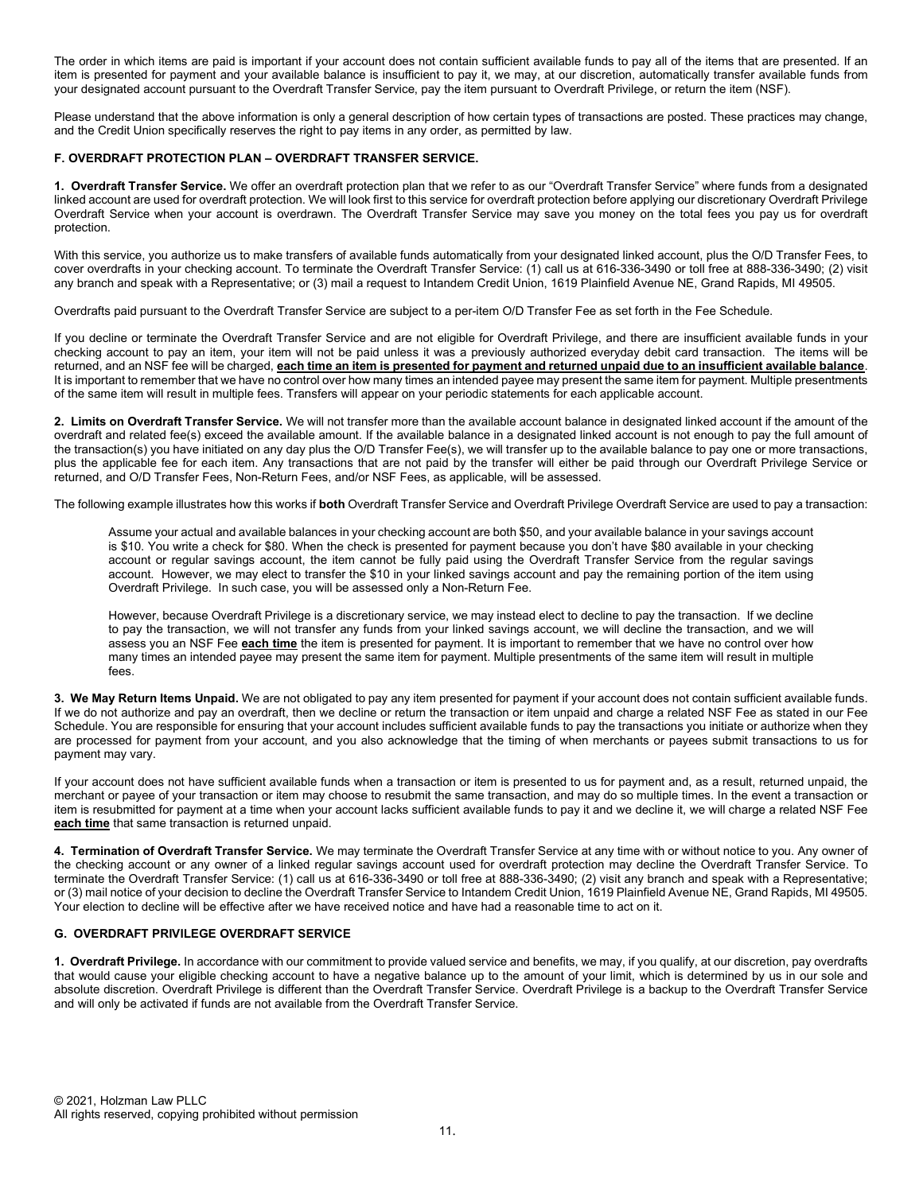The order in which items are paid is important if your account does not contain sufficient available funds to pay all of the items that are presented. If an item is presented for payment and your available balance is insufficient to pay it, we may, at our discretion, automatically transfer available funds from your designated account pursuant to the Overdraft Transfer Service, pay the item pursuant to Overdraft Privilege, or return the item (NSF).

Please understand that the above information is only a general description of how certain types of transactions are posted. These practices may change, and the Credit Union specifically reserves the right to pay items in any order, as permitted by law.

### F. OVERDRAFT PROTECTION PLAN – OVERDRAFT TRANSFER SERVICE.

1. Overdraft Transfer Service. We offer an overdraft protection plan that we refer to as our "Overdraft Transfer Service" where funds from a designated linked account are used for overdraft protection. We will look first to this service for overdraft protection before applying our discretionary Overdraft Privilege Overdraft Service when your account is overdrawn. The Overdraft Transfer Service may save you money on the total fees you pay us for overdraft protection.

With this service, you authorize us to make transfers of available funds automatically from your designated linked account, plus the O/D Transfer Fees, to cover overdrafts in your checking account. To terminate the Overdraft Transfer Service: (1) call us at 616-336-3490 or toll free at 888-336-3490; (2) visit any branch and speak with a Representative; or (3) mail a request to Intandem Credit Union, 1619 Plainfield Avenue NE, Grand Rapids, MI 49505.

Overdrafts paid pursuant to the Overdraft Transfer Service are subject to a per-item O/D Transfer Fee as set forth in the Fee Schedule.

If you decline or terminate the Overdraft Transfer Service and are not eligible for Overdraft Privilege, and there are insufficient available funds in your checking account to pay an item, your item will not be paid unless it was a previously authorized everyday debit card transaction. The items will be returned, and an NSF fee will be charged, each time an item is presented for payment and returned unpaid due to an insufficient available balance. It is important to remember that we have no control over how many times an intended payee may present the same item for payment. Multiple presentments of the same item will result in multiple fees. Transfers will appear on your periodic statements for each applicable account.

2. Limits on Overdraft Transfer Service. We will not transfer more than the available account balance in designated linked account if the amount of the overdraft and related fee(s) exceed the available amount. If the available balance in a designated linked account is not enough to pay the full amount of the transaction(s) you have initiated on any day plus the O/D Transfer Fee(s), we will transfer up to the available balance to pay one or more transactions, plus the applicable fee for each item. Any transactions that are not paid by the transfer will either be paid through our Overdraft Privilege Service or returned, and O/D Transfer Fees, Non-Return Fees, and/or NSF Fees, as applicable, will be assessed.

The following example illustrates how this works if both Overdraft Transfer Service and Overdraft Privilege Overdraft Service are used to pay a transaction:

Assume your actual and available balances in your checking account are both \$50, and your available balance in your savings account is \$10. You write a check for \$80. When the check is presented for payment because you don't have \$80 available in your checking account or regular savings account, the item cannot be fully paid using the Overdraft Transfer Service from the regular savings account. However, we may elect to transfer the \$10 in your linked savings account and pay the remaining portion of the item using Overdraft Privilege. In such case, you will be assessed only a Non-Return Fee.

However, because Overdraft Privilege is a discretionary service, we may instead elect to decline to pay the transaction. If we decline to pay the transaction, we will not transfer any funds from your linked savings account, we will decline the transaction, and we will assess you an NSF Fee each time the item is presented for payment. It is important to remember that we have no control over how many times an intended payee may present the same item for payment. Multiple presentments of the same item will result in multiple fees.

3. We May Return Items Unpaid. We are not obligated to pay any item presented for payment if your account does not contain sufficient available funds. If we do not authorize and pay an overdraft, then we decline or return the transaction or item unpaid and charge a related NSF Fee as stated in our Fee Schedule. You are responsible for ensuring that your account includes sufficient available funds to pay the transactions you initiate or authorize when they are processed for payment from your account, and you also acknowledge that the timing of when merchants or payees submit transactions to us for payment may vary.

If your account does not have sufficient available funds when a transaction or item is presented to us for payment and, as a result, returned unpaid, the merchant or payee of your transaction or item may choose to resubmit the same transaction, and may do so multiple times. In the event a transaction or item is resubmitted for payment at a time when your account lacks sufficient available funds to pay it and we decline it, we will charge a related NSF Fee each time that same transaction is returned unpaid.

4. Termination of Overdraft Transfer Service. We may terminate the Overdraft Transfer Service at any time with or without notice to you. Any owner of the checking account or any owner of a linked regular savings account used for overdraft protection may decline the Overdraft Transfer Service. To terminate the Overdraft Transfer Service: (1) call us at 616-336-3490 or toll free at 888-336-3490; (2) visit any branch and speak with a Representative; or (3) mail notice of your decision to decline the Overdraft Transfer Service to Intandem Credit Union, 1619 Plainfield Avenue NE, Grand Rapids, MI 49505. Your election to decline will be effective after we have received notice and have had a reasonable time to act on it.

### G. OVERDRAFT PRIVILEGE OVERDRAFT SERVICE

1. Overdraft Privilege. In accordance with our commitment to provide valued service and benefits, we may, if you qualify, at our discretion, pay overdrafts that would cause your eligible checking account to have a negative balance up to the amount of your limit, which is determined by us in our sole and absolute discretion. Overdraft Privilege is different than the Overdraft Transfer Service. Overdraft Privilege is a backup to the Overdraft Transfer Service and will only be activated if funds are not available from the Overdraft Transfer Service.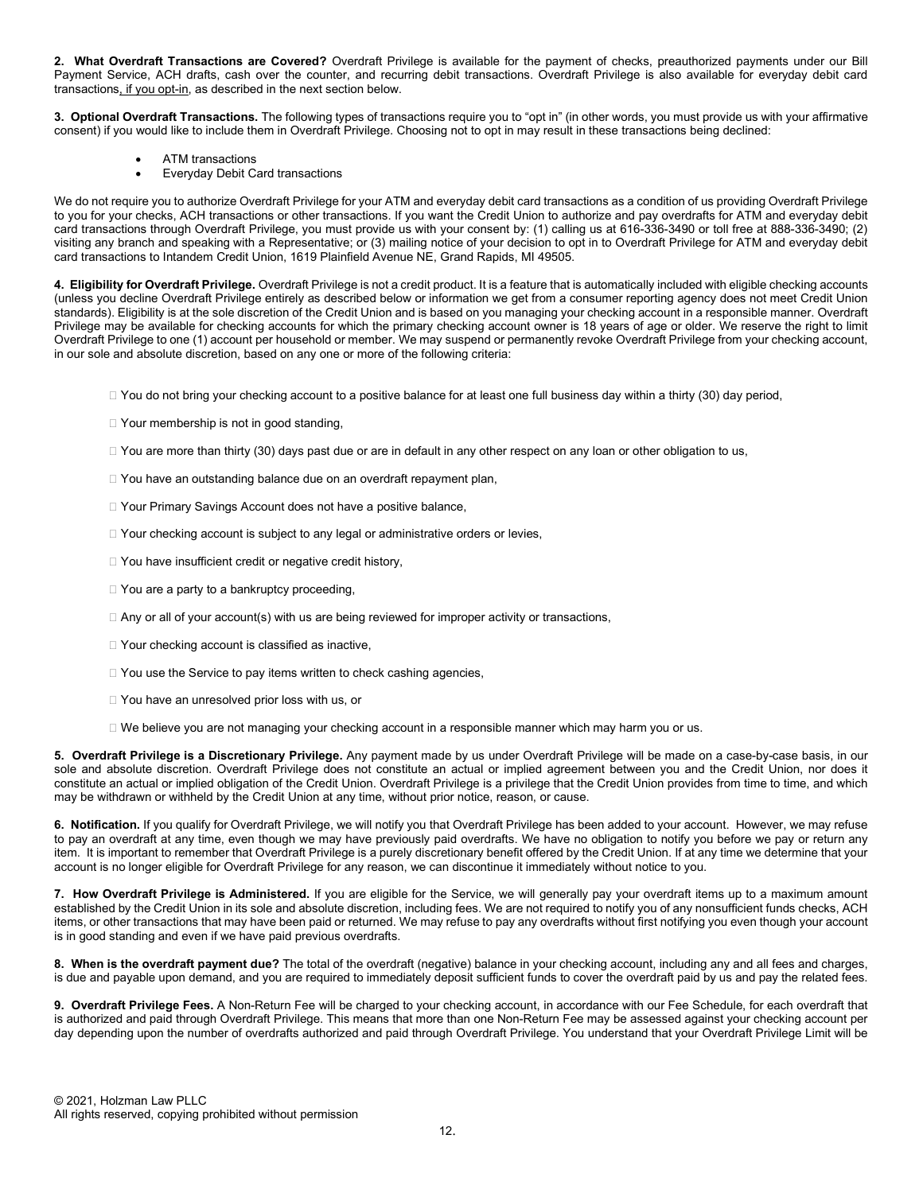2. What Overdraft Transactions are Covered? Overdraft Privilege is available for the payment of checks, preauthorized payments under our Bill Payment Service, ACH drafts, cash over the counter, and recurring debit transactions. Overdraft Privilege is also available for everyday debit card transactions, if you opt-in, as described in the next section below.

3. Optional Overdraft Transactions. The following types of transactions require you to "opt in" (in other words, you must provide us with your affirmative consent) if you would like to include them in Overdraft Privilege. Choosing not to opt in may result in these transactions being declined:

- ATM transactions
- Everyday Debit Card transactions

We do not require you to authorize Overdraft Privilege for your ATM and everyday debit card transactions as a condition of us providing Overdraft Privilege to you for your checks, ACH transactions or other transactions. If you want the Credit Union to authorize and pay overdrafts for ATM and everyday debit card transactions through Overdraft Privilege, you must provide us with your consent by: (1) calling us at 616-336-3490 or toll free at 888-336-3490; (2) visiting any branch and speaking with a Representative; or (3) mailing notice of your decision to opt in to Overdraft Privilege for ATM and everyday debit card transactions to Intandem Credit Union, 1619 Plainfield Avenue NE, Grand Rapids, MI 49505.

4. Eligibility for Overdraft Privilege. Overdraft Privilege is not a credit product. It is a feature that is automatically included with eligible checking accounts (unless you decline Overdraft Privilege entirely as described below or information we get from a consumer reporting agency does not meet Credit Union standards). Eligibility is at the sole discretion of the Credit Union and is based on you managing your checking account in a responsible manner. Overdraft Privilege may be available for checking accounts for which the primary checking account owner is 18 years of age or older. We reserve the right to limit Overdraft Privilege to one (1) account per household or member. We may suspend or permanently revoke Overdraft Privilege from your checking account, in our sole and absolute discretion, based on any one or more of the following criteria:

□ You do not bring your checking account to a positive balance for at least one full business day within a thirty (30) day period,

- □ Your membership is not in good standing,
- $\Box$  You are more than thirty (30) days past due or are in default in any other respect on any loan or other obligation to us,
- □ You have an outstanding balance due on an overdraft repayment plan,
- □ Your Primary Savings Account does not have a positive balance,
- $\Box$  Your checking account is subject to any legal or administrative orders or levies,
- □ You have insufficient credit or negative credit history,
- □ You are a party to a bankruptcy proceeding,
- $\Box$  Any or all of your account(s) with us are being reviewed for improper activity or transactions,
- □ Your checking account is classified as inactive,
- $\Box$  You use the Service to pay items written to check cashing agencies,
- □ You have an unresolved prior loss with us, or
- □ We believe you are not managing your checking account in a responsible manner which may harm you or us.

5. Overdraft Privilege is a Discretionary Privilege. Any payment made by us under Overdraft Privilege will be made on a case-by-case basis, in our sole and absolute discretion. Overdraft Privilege does not constitute an actual or implied agreement between you and the Credit Union, nor does it constitute an actual or implied obligation of the Credit Union. Overdraft Privilege is a privilege that the Credit Union provides from time to time, and which may be withdrawn or withheld by the Credit Union at any time, without prior notice, reason, or cause.

6. Notification. If you qualify for Overdraft Privilege, we will notify you that Overdraft Privilege has been added to your account. However, we may refuse to pay an overdraft at any time, even though we may have previously paid overdrafts. We have no obligation to notify you before we pay or return any item. It is important to remember that Overdraft Privilege is a purely discretionary benefit offered by the Credit Union. If at any time we determine that your account is no longer eligible for Overdraft Privilege for any reason, we can discontinue it immediately without notice to you.

7. How Overdraft Privilege is Administered. If you are eligible for the Service, we will generally pay your overdraft items up to a maximum amount established by the Credit Union in its sole and absolute discretion, including fees. We are not required to notify you of any nonsufficient funds checks, ACH items, or other transactions that may have been paid or returned. We may refuse to pay any overdrafts without first notifying you even though your account is in good standing and even if we have paid previous overdrafts.

8. When is the overdraft payment due? The total of the overdraft (negative) balance in your checking account, including any and all fees and charges, is due and payable upon demand, and you are required to immediately deposit sufficient funds to cover the overdraft paid by us and pay the related fees.

9. Overdraft Privilege Fees. A Non-Return Fee will be charged to your checking account, in accordance with our Fee Schedule, for each overdraft that is authorized and paid through Overdraft Privilege. This means that more than one Non-Return Fee may be assessed against your checking account per day depending upon the number of overdrafts authorized and paid through Overdraft Privilege. You understand that your Overdraft Privilege Limit will be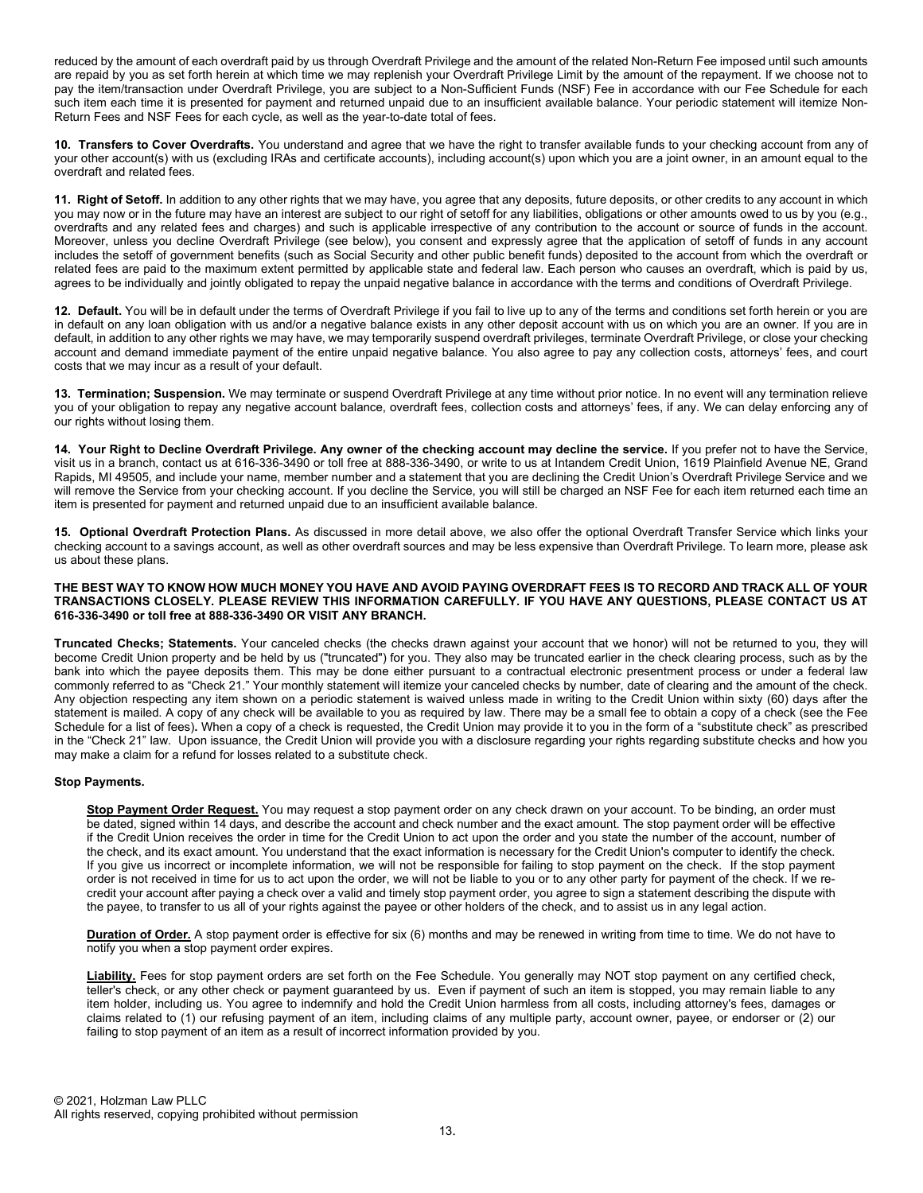reduced by the amount of each overdraft paid by us through Overdraft Privilege and the amount of the related Non-Return Fee imposed until such amounts are repaid by you as set forth herein at which time we may replenish your Overdraft Privilege Limit by the amount of the repayment. If we choose not to pay the item/transaction under Overdraft Privilege, you are subject to a Non-Sufficient Funds (NSF) Fee in accordance with our Fee Schedule for each such item each time it is presented for payment and returned unpaid due to an insufficient available balance. Your periodic statement will itemize Non-Return Fees and NSF Fees for each cycle, as well as the year-to-date total of fees.

10. Transfers to Cover Overdrafts. You understand and agree that we have the right to transfer available funds to your checking account from any of your other account(s) with us (excluding IRAs and certificate accounts), including account(s) upon which you are a joint owner, in an amount equal to the overdraft and related fees.

11. Right of Setoff. In addition to any other rights that we may have, you agree that any deposits, future deposits, or other credits to any account in which you may now or in the future may have an interest are subject to our right of setoff for any liabilities, obligations or other amounts owed to us by you (e.g., overdrafts and any related fees and charges) and such is applicable irrespective of any contribution to the account or source of funds in the account. Moreover, unless you decline Overdraft Privilege (see below), you consent and expressly agree that the application of setoff of funds in any account includes the setoff of government benefits (such as Social Security and other public benefit funds) deposited to the account from which the overdraft or related fees are paid to the maximum extent permitted by applicable state and federal law. Each person who causes an overdraft, which is paid by us, agrees to be individually and jointly obligated to repay the unpaid negative balance in accordance with the terms and conditions of Overdraft Privilege.

12. Default. You will be in default under the terms of Overdraft Privilege if you fail to live up to any of the terms and conditions set forth herein or you are in default on any loan obligation with us and/or a negative balance exists in any other deposit account with us on which you are an owner. If you are in default, in addition to any other rights we may have, we may temporarily suspend overdraft privileges, terminate Overdraft Privilege, or close your checking account and demand immediate payment of the entire unpaid negative balance. You also agree to pay any collection costs, attorneys' fees, and court costs that we may incur as a result of your default.

13. Termination; Suspension. We may terminate or suspend Overdraft Privilege at any time without prior notice. In no event will any termination relieve you of your obligation to repay any negative account balance, overdraft fees, collection costs and attorneys' fees, if any. We can delay enforcing any of our rights without losing them.

14. Your Right to Decline Overdraft Privilege. Any owner of the checking account may decline the service. If you prefer not to have the Service, visit us in a branch, contact us at 616-336-3490 or toll free at 888-336-3490, or write to us at Intandem Credit Union, 1619 Plainfield Avenue NE, Grand Rapids, MI 49505, and include your name, member number and a statement that you are declining the Credit Union's Overdraft Privilege Service and we will remove the Service from your checking account. If you decline the Service, you will still be charged an NSF Fee for each item returned each time an item is presented for payment and returned unpaid due to an insufficient available balance.

15. Optional Overdraft Protection Plans. As discussed in more detail above, we also offer the optional Overdraft Transfer Service which links your checking account to a savings account, as well as other overdraft sources and may be less expensive than Overdraft Privilege. To learn more, please ask us about these plans.

#### THE BEST WAY TO KNOW HOW MUCH MONEY YOU HAVE AND AVOID PAYING OVERDRAFT FEES IS TO RECORD AND TRACK ALL OF YOUR TRANSACTIONS CLOSELY. PLEASE REVIEW THIS INFORMATION CAREFULLY. IF YOU HAVE ANY QUESTIONS, PLEASE CONTACT US AT 616-336-3490 or toll free at 888-336-3490 OR VISIT ANY BRANCH.

Truncated Checks; Statements. Your canceled checks (the checks drawn against your account that we honor) will not be returned to you, they will become Credit Union property and be held by us ("truncated") for you. They also may be truncated earlier in the check clearing process, such as by the bank into which the payee deposits them. This may be done either pursuant to a contractual electronic presentment process or under a federal law commonly referred to as "Check 21." Your monthly statement will itemize your canceled checks by number, date of clearing and the amount of the check. Any objection respecting any item shown on a periodic statement is waived unless made in writing to the Credit Union within sixty (60) days after the statement is mailed. A copy of any check will be available to you as required by law. There may be a small fee to obtain a copy of a check (see the Fee Schedule for a list of fees). When a copy of a check is requested, the Credit Union may provide it to you in the form of a "substitute check" as prescribed in the "Check 21" law. Upon issuance, the Credit Union will provide you with a disclosure regarding your rights regarding substitute checks and how you may make a claim for a refund for losses related to a substitute check.

### Stop Payments.

Stop Payment Order Request. You may request a stop payment order on any check drawn on your account. To be binding, an order must be dated, signed within 14 days, and describe the account and check number and the exact amount. The stop payment order will be effective if the Credit Union receives the order in time for the Credit Union to act upon the order and you state the number of the account, number of the check, and its exact amount. You understand that the exact information is necessary for the Credit Union's computer to identify the check. If you give us incorrect or incomplete information, we will not be responsible for failing to stop payment on the check. If the stop payment order is not received in time for us to act upon the order, we will not be liable to you or to any other party for payment of the check. If we recredit your account after paying a check over a valid and timely stop payment order, you agree to sign a statement describing the dispute with the payee, to transfer to us all of your rights against the payee or other holders of the check, and to assist us in any legal action.

Duration of Order. A stop payment order is effective for six (6) months and may be renewed in writing from time to time. We do not have to notify you when a stop payment order expires.

Liability. Fees for stop payment orders are set forth on the Fee Schedule. You generally may NOT stop payment on any certified check, teller's check, or any other check or payment guaranteed by us. Even if payment of such an item is stopped, you may remain liable to any item holder, including us. You agree to indemnify and hold the Credit Union harmless from all costs, including attorney's fees, damages or claims related to (1) our refusing payment of an item, including claims of any multiple party, account owner, payee, or endorser or (2) our failing to stop payment of an item as a result of incorrect information provided by you.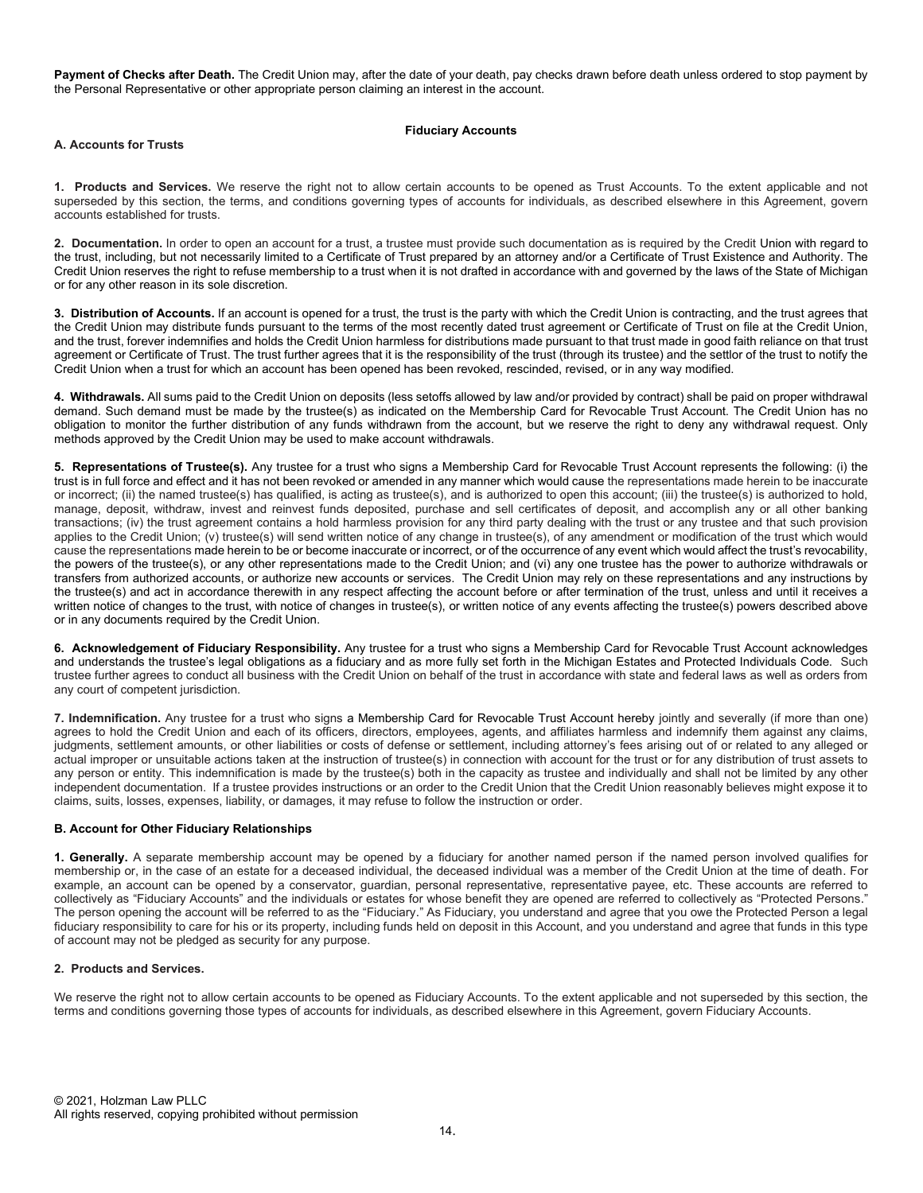Payment of Checks after Death. The Credit Union may, after the date of your death, pay checks drawn before death unless ordered to stop payment by the Personal Representative or other appropriate person claiming an interest in the account.

### Fiduciary Accounts

### A. Accounts for Trusts

1. Products and Services. We reserve the right not to allow certain accounts to be opened as Trust Accounts. To the extent applicable and not superseded by this section, the terms, and conditions governing types of accounts for individuals, as described elsewhere in this Agreement, govern accounts established for trusts.

2. Documentation. In order to open an account for a trust, a trustee must provide such documentation as is required by the Credit Union with regard to the trust, including, but not necessarily limited to a Certificate of Trust prepared by an attorney and/or a Certificate of Trust Existence and Authority. The Credit Union reserves the right to refuse membership to a trust when it is not drafted in accordance with and governed by the laws of the State of Michigan or for any other reason in its sole discretion.

3. Distribution of Accounts. If an account is opened for a trust, the trust is the party with which the Credit Union is contracting, and the trust agrees that the Credit Union may distribute funds pursuant to the terms of the most recently dated trust agreement or Certificate of Trust on file at the Credit Union, and the trust, forever indemnifies and holds the Credit Union harmless for distributions made pursuant to that trust made in good faith reliance on that trust agreement or Certificate of Trust. The trust further agrees that it is the responsibility of the trust (through its trustee) and the settlor of the trust to notify the Credit Union when a trust for which an account has been opened has been revoked, rescinded, revised, or in any way modified.

4. Withdrawals. All sums paid to the Credit Union on deposits (less setoffs allowed by law and/or provided by contract) shall be paid on proper withdrawal demand. Such demand must be made by the trustee(s) as indicated on the Membership Card for Revocable Trust Account. The Credit Union has no obligation to monitor the further distribution of any funds withdrawn from the account, but we reserve the right to deny any withdrawal request. Only methods approved by the Credit Union may be used to make account withdrawals.

5. Representations of Trustee(s). Any trustee for a trust who signs a Membership Card for Revocable Trust Account represents the following: (i) the trust is in full force and effect and it has not been revoked or amended in any manner which would cause the representations made herein to be inaccurate or incorrect; (ii) the named trustee(s) has qualified, is acting as trustee(s), and is authorized to open this account; (iii) the trustee(s) is authorized to hold, manage, deposit, withdraw, invest and reinvest funds deposited, purchase and sell certificates of deposit, and accomplish any or all other banking transactions; (iv) the trust agreement contains a hold harmless provision for any third party dealing with the trust or any trustee and that such provision applies to the Credit Union; (v) trustee(s) will send written notice of any change in trustee(s), of any amendment or modification of the trust which would cause the representations made herein to be or become inaccurate or incorrect, or of the occurrence of any event which would affect the trust's revocability, the powers of the trustee(s), or any other representations made to the Credit Union; and (vi) any one trustee has the power to authorize withdrawals or transfers from authorized accounts, or authorize new accounts or services. The Credit Union may rely on these representations and any instructions by the trustee(s) and act in accordance therewith in any respect affecting the account before or after termination of the trust, unless and until it receives a written notice of changes to the trust, with notice of changes in trustee(s), or written notice of any events affecting the trustee(s) powers described above or in any documents required by the Credit Union.

6. Acknowledgement of Fiduciary Responsibility. Any trustee for a trust who signs a Membership Card for Revocable Trust Account acknowledges and understands the trustee's legal obligations as a fiduciary and as more fully set forth in the Michigan Estates and Protected Individuals Code. Such trustee further agrees to conduct all business with the Credit Union on behalf of the trust in accordance with state and federal laws as well as orders from any court of competent jurisdiction.

7. Indemnification. Any trustee for a trust who signs a Membership Card for Revocable Trust Account hereby jointly and severally (if more than one) agrees to hold the Credit Union and each of its officers, directors, employees, agents, and affiliates harmless and indemnify them against any claims, judgments, settlement amounts, or other liabilities or costs of defense or settlement, including attorney's fees arising out of or related to any alleged or actual improper or unsuitable actions taken at the instruction of trustee(s) in connection with account for the trust or for any distribution of trust assets to any person or entity. This indemnification is made by the trustee(s) both in the capacity as trustee and individually and shall not be limited by any other independent documentation. If a trustee provides instructions or an order to the Credit Union that the Credit Union reasonably believes might expose it to claims, suits, losses, expenses, liability, or damages, it may refuse to follow the instruction or order.

# B. Account for Other Fiduciary Relationships

1. Generally. A separate membership account may be opened by a fiduciary for another named person if the named person involved qualifies for membership or, in the case of an estate for a deceased individual, the deceased individual was a member of the Credit Union at the time of death. For example, an account can be opened by a conservator, guardian, personal representative, representative payee, etc. These accounts are referred to collectively as "Fiduciary Accounts" and the individuals or estates for whose benefit they are opened are referred to collectively as "Protected Persons." The person opening the account will be referred to as the "Fiduciary." As Fiduciary, you understand and agree that you owe the Protected Person a legal fiduciary responsibility to care for his or its property, including funds held on deposit in this Account, and you understand and agree that funds in this type of account may not be pledged as security for any purpose.

### 2. Products and Services.

We reserve the right not to allow certain accounts to be opened as Fiduciary Accounts. To the extent applicable and not superseded by this section, the terms and conditions governing those types of accounts for individuals, as described elsewhere in this Agreement, govern Fiduciary Accounts.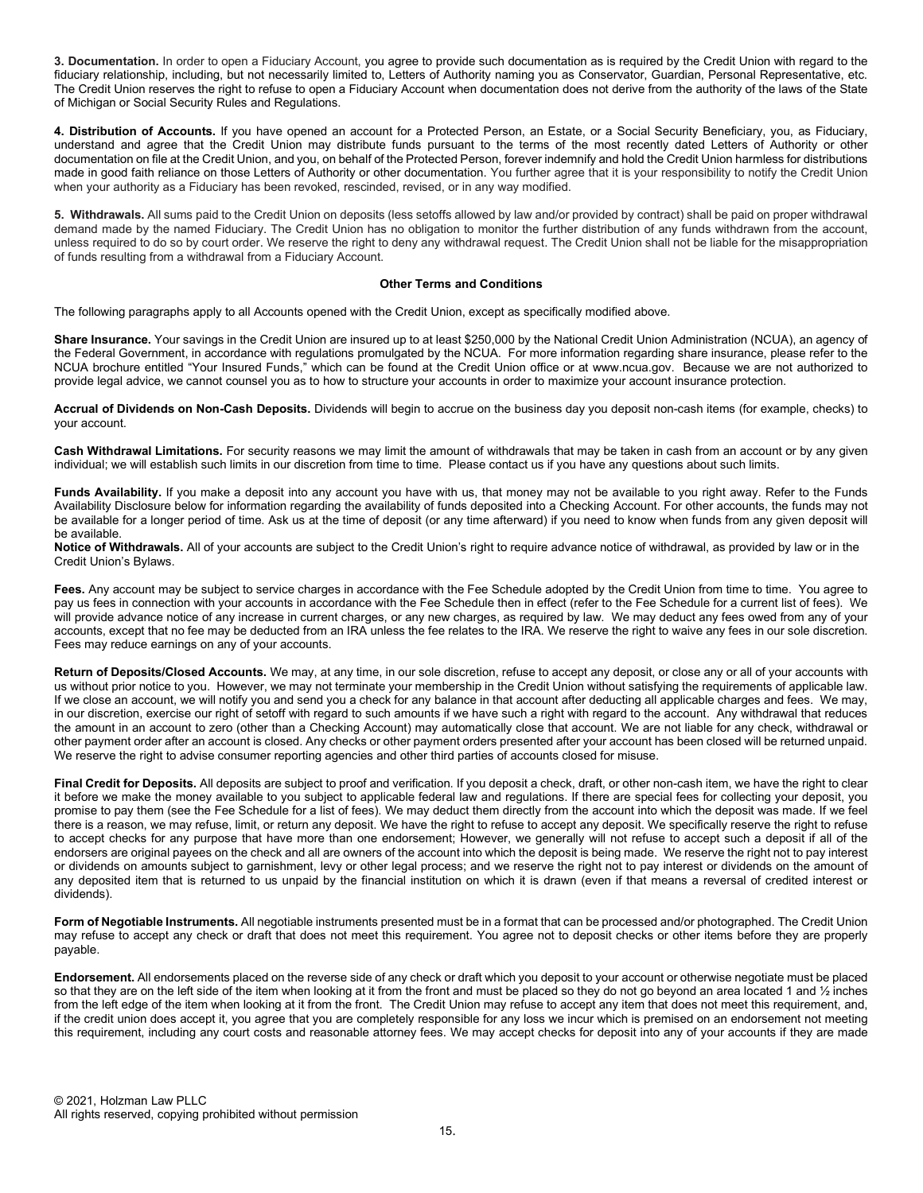3. Documentation. In order to open a Fiduciary Account, you agree to provide such documentation as is required by the Credit Union with regard to the fiduciary relationship, including, but not necessarily limited to, Letters of Authority naming you as Conservator, Guardian, Personal Representative, etc. The Credit Union reserves the right to refuse to open a Fiduciary Account when documentation does not derive from the authority of the laws of the State of Michigan or Social Security Rules and Regulations.

4. Distribution of Accounts. If you have opened an account for a Protected Person, an Estate, or a Social Security Beneficiary, you, as Fiduciary, understand and agree that the Credit Union may distribute funds pursuant to the terms of the most recently dated Letters of Authority or other documentation on file at the Credit Union, and you, on behalf of the Protected Person, forever indemnify and hold the Credit Union harmless for distributions made in good faith reliance on those Letters of Authority or other documentation. You further agree that it is your responsibility to notify the Credit Union when your authority as a Fiduciary has been revoked, rescinded, revised, or in any way modified.

5. Withdrawals. All sums paid to the Credit Union on deposits (less setoffs allowed by law and/or provided by contract) shall be paid on proper withdrawal demand made by the named Fiduciary. The Credit Union has no obligation to monitor the further distribution of any funds withdrawn from the account, unless required to do so by court order. We reserve the right to deny any withdrawal request. The Credit Union shall not be liable for the misappropriation of funds resulting from a withdrawal from a Fiduciary Account.

#### Other Terms and Conditions

The following paragraphs apply to all Accounts opened with the Credit Union, except as specifically modified above.

Share Insurance. Your savings in the Credit Union are insured up to at least \$250,000 by the National Credit Union Administration (NCUA), an agency of the Federal Government, in accordance with regulations promulgated by the NCUA. For more information regarding share insurance, please refer to the NCUA brochure entitled "Your Insured Funds," which can be found at the Credit Union office or at www.ncua.gov. Because we are not authorized to provide legal advice, we cannot counsel you as to how to structure your accounts in order to maximize your account insurance protection.

Accrual of Dividends on Non-Cash Deposits. Dividends will begin to accrue on the business day you deposit non-cash items (for example, checks) to your account.

Cash Withdrawal Limitations. For security reasons we may limit the amount of withdrawals that may be taken in cash from an account or by any given individual; we will establish such limits in our discretion from time to time. Please contact us if you have any questions about such limits.

Funds Availability. If you make a deposit into any account you have with us, that money may not be available to you right away. Refer to the Funds Availability Disclosure below for information regarding the availability of funds deposited into a Checking Account. For other accounts, the funds may not be available for a longer period of time. Ask us at the time of deposit (or any time afterward) if you need to know when funds from any given deposit will be available.

Notice of Withdrawals. All of your accounts are subject to the Credit Union's right to require advance notice of withdrawal, as provided by law or in the Credit Union's Bylaws.

Fees. Any account may be subject to service charges in accordance with the Fee Schedule adopted by the Credit Union from time to time. You agree to pay us fees in connection with your accounts in accordance with the Fee Schedule then in effect (refer to the Fee Schedule for a current list of fees). We will provide advance notice of any increase in current charges, or any new charges, as required by law. We may deduct any fees owed from any of your accounts, except that no fee may be deducted from an IRA unless the fee relates to the IRA. We reserve the right to waive any fees in our sole discretion. Fees may reduce earnings on any of your accounts.

Return of Deposits/Closed Accounts. We may, at any time, in our sole discretion, refuse to accept any deposit, or close any or all of your accounts with us without prior notice to you. However, we may not terminate your membership in the Credit Union without satisfying the requirements of applicable law. If we close an account, we will notify you and send you a check for any balance in that account after deducting all applicable charges and fees. We may, in our discretion, exercise our right of setoff with regard to such amounts if we have such a right with regard to the account. Any withdrawal that reduces the amount in an account to zero (other than a Checking Account) may automatically close that account. We are not liable for any check, withdrawal or other payment order after an account is closed. Any checks or other payment orders presented after your account has been closed will be returned unpaid. We reserve the right to advise consumer reporting agencies and other third parties of accounts closed for misuse.

Final Credit for Deposits. All deposits are subject to proof and verification. If you deposit a check, draft, or other non-cash item, we have the right to clear it before we make the money available to you subject to applicable federal law and regulations. If there are special fees for collecting your deposit, you promise to pay them (see the Fee Schedule for a list of fees). We may deduct them directly from the account into which the deposit was made. If we feel there is a reason, we may refuse, limit, or return any deposit. We have the right to refuse to accept any deposit. We specifically reserve the right to refuse to accept checks for any purpose that have more than one endorsement; However, we generally will not refuse to accept such a deposit if all of the endorsers are original payees on the check and all are owners of the account into which the deposit is being made. We reserve the right not to pay interest or dividends on amounts subject to garnishment, levy or other legal process; and we reserve the right not to pay interest or dividends on the amount of any deposited item that is returned to us unpaid by the financial institution on which it is drawn (even if that means a reversal of credited interest or dividends).

Form of Negotiable Instruments. All negotiable instruments presented must be in a format that can be processed and/or photographed. The Credit Union may refuse to accept any check or draft that does not meet this requirement. You agree not to deposit checks or other items before they are properly payable.

Endorsement. All endorsements placed on the reverse side of any check or draft which you deposit to your account or otherwise negotiate must be placed so that they are on the left side of the item when looking at it from the front and must be placed so they do not go beyond an area located 1 and  $\frac{1}{2}$  inches from the left edge of the item when looking at it from the front. The Credit Union may refuse to accept any item that does not meet this requirement, and, if the credit union does accept it, you agree that you are completely responsible for any loss we incur which is premised on an endorsement not meeting this requirement, including any court costs and reasonable attorney fees. We may accept checks for deposit into any of your accounts if they are made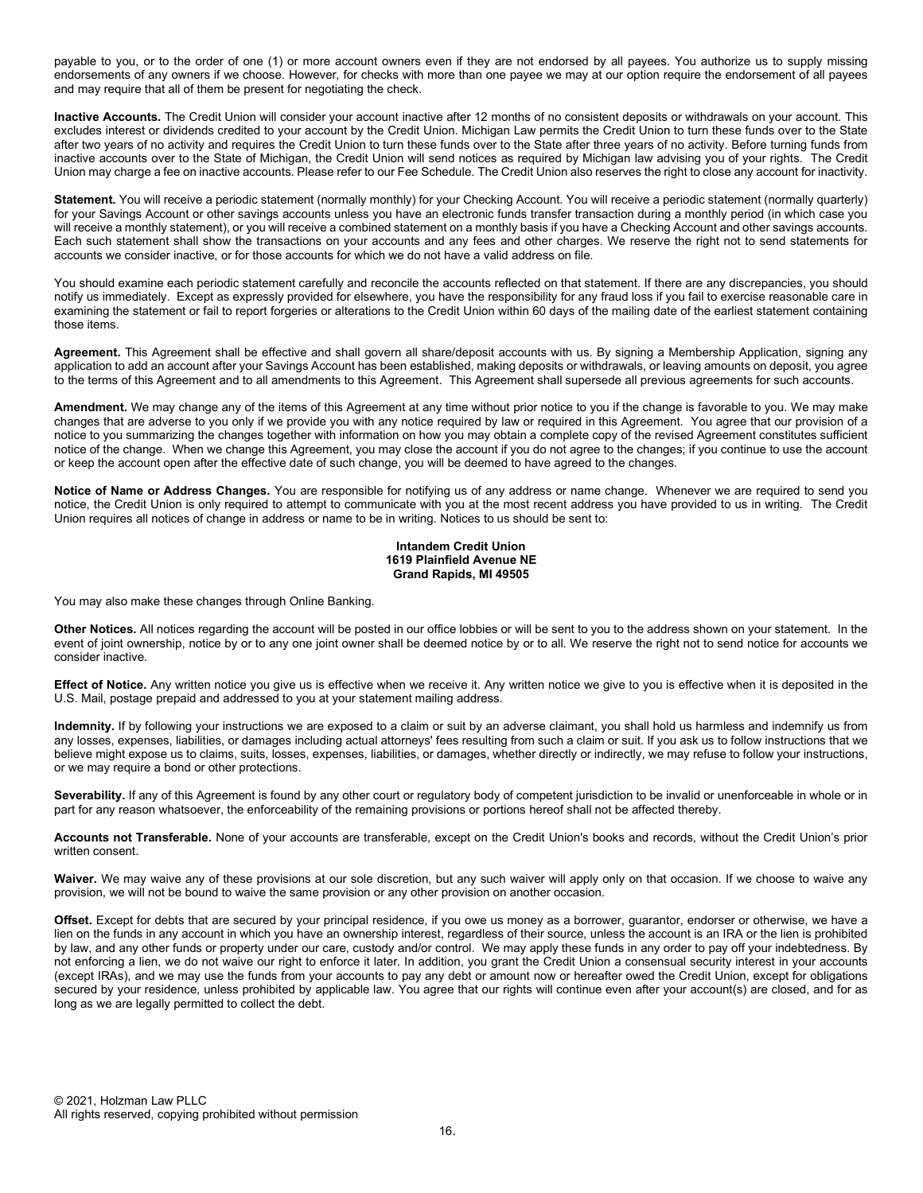payable to you, or to the order of one (1) or more account owners even if they are not endorsed by all payees. You authorize us to supply missing endorsements of any owners if we choose. However, for checks with more than one payee we may at our option require the endorsement of all payees and may require that all of them be present for negotiating the check.

Inactive Accounts. The Credit Union will consider your account inactive after 12 months of no consistent deposits or withdrawals on your account. This excludes interest or dividends credited to your account by the Credit Union. Michigan Law permits the Credit Union to turn these funds over to the State after two years of no activity and requires the Credit Union to turn these funds over to the State after three years of no activity. Before turning funds from inactive accounts over to the State of Michigan, the Credit Union will send notices as required by Michigan law advising you of your rights. The Credit Union may charge a fee on inactive accounts. Please refer to our Fee Schedule. The Credit Union also reserves the right to close any account for inactivity.

Statement. You will receive a periodic statement (normally monthly) for your Checking Account. You will receive a periodic statement (normally quarterly) for your Savings Account or other savings accounts unless you have an electronic funds transfer transaction during a monthly period (in which case you will receive a monthly statement), or you will receive a combined statement on a monthly basis if you have a Checking Account and other savings accounts. Each such statement shall show the transactions on your accounts and any fees and other charges. We reserve the right not to send statements for accounts we consider inactive, or for those accounts for which we do not have a valid address on file.

You should examine each periodic statement carefully and reconcile the accounts reflected on that statement. If there are any discrepancies, you should notify us immediately. Except as expressly provided for elsewhere, you have the responsibility for any fraud loss if you fail to exercise reasonable care in examining the statement or fail to report forgeries or alterations to the Credit Union within 60 days of the mailing date of the earliest statement containing those items.

Agreement. This Agreement shall be effective and shall govern all share/deposit accounts with us. By signing a Membership Application, signing any application to add an account after your Savings Account has been established, making deposits or withdrawals, or leaving amounts on deposit, you agree to the terms of this Agreement and to all amendments to this Agreement. This Agreement shall supersede all previous agreements for such accounts.

Amendment. We may change any of the items of this Agreement at any time without prior notice to you if the change is favorable to you. We may make changes that are adverse to you only if we provide you with any notice required by law or required in this Agreement. You agree that our provision of a notice to you summarizing the changes together with information on how you may obtain a complete copy of the revised Agreement constitutes sufficient notice of the change. When we change this Agreement, you may close the account if you do not agree to the changes; if you continue to use the account or keep the account open after the effective date of such change, you will be deemed to have agreed to the changes.

Notice of Name or Address Changes. You are responsible for notifying us of any address or name change. Whenever we are required to send you notice, the Credit Union is only required to attempt to communicate with you at the most recent address you have provided to us in writing. The Credit Union requires all notices of change in address or name to be in writing. Notices to us should be sent to:

### Intandem Credit Union 1619 Plainfield Avenue NE Grand Rapids, MI 49505

You may also make these changes through Online Banking.

Other Notices. All notices regarding the account will be posted in our office lobbies or will be sent to you to the address shown on your statement. In the event of joint ownership, notice by or to any one joint owner shall be deemed notice by or to all. We reserve the right not to send notice for accounts we consider inactive.

Effect of Notice. Any written notice you give us is effective when we receive it. Any written notice we give to you is effective when it is deposited in the U.S. Mail, postage prepaid and addressed to you at your statement mailing address.

Indemnity. If by following your instructions we are exposed to a claim or suit by an adverse claimant, you shall hold us harmless and indemnify us from any losses, expenses, liabilities, or damages including actual attorneys' fees resulting from such a claim or suit. If you ask us to follow instructions that we believe might expose us to claims, suits, losses, expenses, liabilities, or damages, whether directly or indirectly, we may refuse to follow your instructions, or we may require a bond or other protections.

Severability. If any of this Agreement is found by any other court or regulatory body of competent jurisdiction to be invalid or unenforceable in whole or in part for any reason whatsoever, the enforceability of the remaining provisions or portions hereof shall not be affected thereby.

Accounts not Transferable. None of your accounts are transferable, except on the Credit Union's books and records, without the Credit Union's prior written consent.

Waiver. We may waive any of these provisions at our sole discretion, but any such waiver will apply only on that occasion. If we choose to waive any provision, we will not be bound to waive the same provision or any other provision on another occasion.

Offset. Except for debts that are secured by your principal residence, if you owe us money as a borrower, guarantor, endorser or otherwise, we have a lien on the funds in any account in which you have an ownership interest, regardless of their source, unless the account is an IRA or the lien is prohibited by law, and any other funds or property under our care, custody and/or control. We may apply these funds in any order to pay off your indebtedness. By not enforcing a lien, we do not waive our right to enforce it later. In addition, you grant the Credit Union a consensual security interest in your accounts (except IRAs), and we may use the funds from your accounts to pay any debt or amount now or hereafter owed the Credit Union, except for obligations secured by your residence, unless prohibited by applicable law. You agree that our rights will continue even after your account(s) are closed, and for as long as we are legally permitted to collect the debt.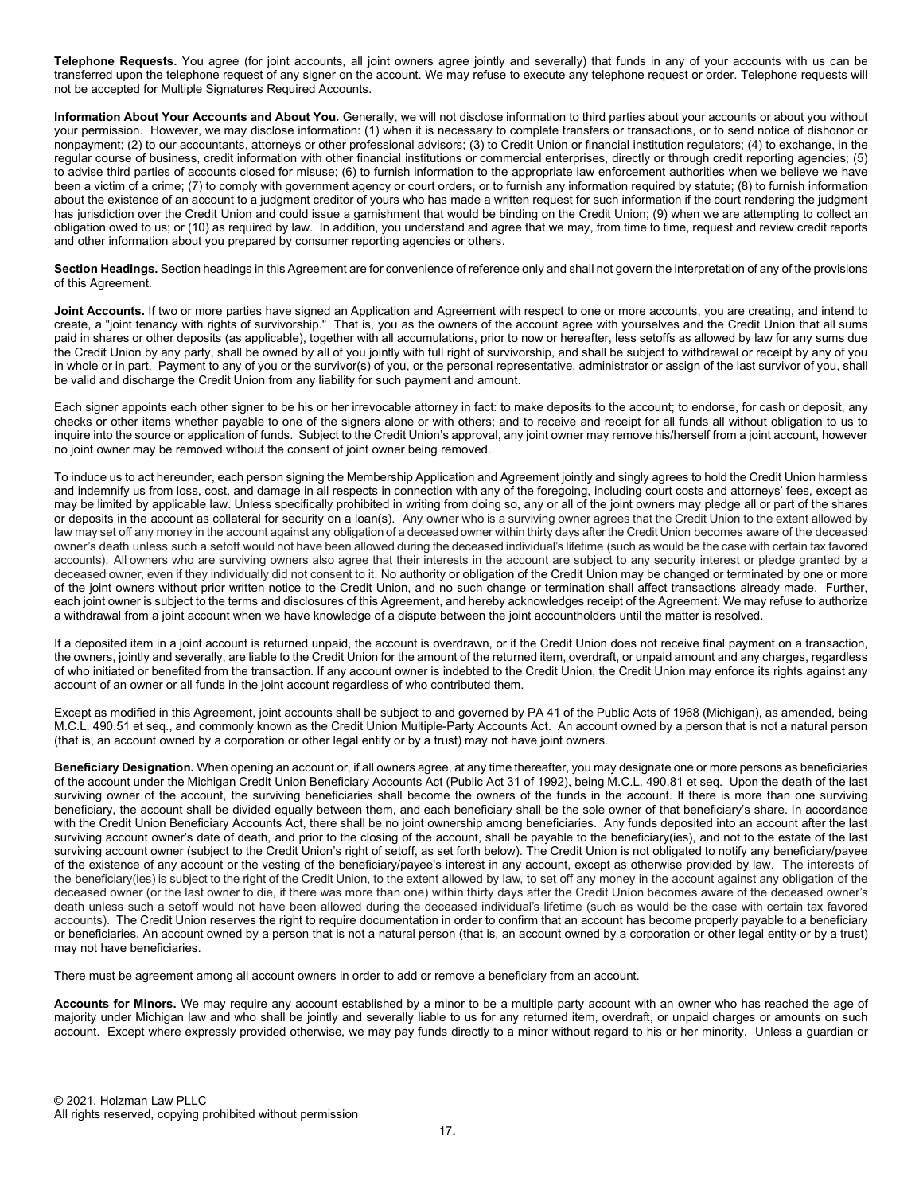Telephone Requests. You agree (for joint accounts, all joint owners agree jointly and severally) that funds in any of your accounts with us can be transferred upon the telephone request of any signer on the account. We may refuse to execute any telephone request or order. Telephone requests will not be accepted for Multiple Signatures Required Accounts.

Information About Your Accounts and About You. Generally, we will not disclose information to third parties about your accounts or about you without your permission. However, we may disclose information: (1) when it is necessary to complete transfers or transactions, or to send notice of dishonor or nonpayment; (2) to our accountants, attorneys or other professional advisors; (3) to Credit Union or financial institution regulators; (4) to exchange, in the regular course of business, credit information with other financial institutions or commercial enterprises, directly or through credit reporting agencies; (5) to advise third parties of accounts closed for misuse; (6) to furnish information to the appropriate law enforcement authorities when we believe we have been a victim of a crime; (7) to comply with government agency or court orders, or to furnish any information required by statute; (8) to furnish information about the existence of an account to a judgment creditor of yours who has made a written request for such information if the court rendering the judgment has jurisdiction over the Credit Union and could issue a garnishment that would be binding on the Credit Union; (9) when we are attempting to collect an obligation owed to us; or (10) as required by law. In addition, you understand and agree that we may, from time to time, request and review credit reports and other information about you prepared by consumer reporting agencies or others.

Section Headings. Section headings in this Agreement are for convenience of reference only and shall not govern the interpretation of any of the provisions of this Agreement.

Joint Accounts. If two or more parties have signed an Application and Agreement with respect to one or more accounts, you are creating, and intend to **CERT FOR STREAD THAT THAT THAT IS THAT IS A** THAT IS, you as the owners of the account agree with yourselves and the Credit Union that all sums paid in shares or other deposits (as applicable), together with all accumulations, prior to now or hereafter, less setoffs as allowed by law for any sums due the Credit Union by any party, shall be owned by all of you jointly with full right of survivorship, and shall be subject to withdrawal or receipt by any of you in whole or in part. Payment to any of you or the survivor(s) of you, or the personal representative, administrator or assign of the last survivor of you, shall be valid and discharge the Credit Union from any liability for such payment and amount.

Each signer appoints each other signer to be his or her irrevocable attorney in fact: to make deposits to the account; to endorse, for cash or deposit, any checks or other items whether payable to one of the signers alone or with others; and to receive and receipt for all funds all without obligation to us to inquire into the source or application of funds. Subject to the Credit Union's approval, any joint owner may remove his/herself from a joint account, however no joint owner may be removed without the consent of joint owner being removed.

To induce us to act hereunder, each person signing the Membership Application and Agreement jointly and singly agrees to hold the Credit Union harmless and indemnify us from loss, cost, and damage in all respects in connection with any of the foregoing, including court costs and attorneys' fees, except as may be limited by applicable law. Unless specifically prohibited in writing from doing so, any or all of the joint owners may pledge all or part of the shares or deposits in the account as collateral for security on a loan(s). Any owner who is a surviving owner agrees that the Credit Union to the extent allowed by law may set off any money in the account against any obligation of a deceased owner within thirty days after the Credit Union becomes aware of the deceased owner's death unless such a setoff would not have been allowed during the deceased individual's lifetime (such as would be the case with certain tax favored accounts). All owners who are surviving owners also agree that their interests in the account are subject to any security interest or pledge granted by a deceased owner, even if they individually did not consent to it. No authority or obligation of the Credit Union may be changed or terminated by one or more of the joint owners without prior written notice to the Credit Union, and no such change or termination shall affect transactions already made. Further, each joint owner is subject to the terms and disclosures of this Agreement, and hereby acknowledges receipt of the Agreement. We may refuse to authorize a withdrawal from a joint account when we have knowledge of a dispute between the joint accountholders until the matter is resolved.

If a deposited item in a joint account is returned unpaid, the account is overdrawn, or if the Credit Union does not receive final payment on a transaction, the owners, jointly and severally, are liable to the Credit Union for the amount of the returned item, overdraft, or unpaid amount and any charges, regardless of who initiated or benefited from the transaction. If any account owner is indebted to the Credit Union, the Credit Union may enforce its rights against any account of an owner or all funds in the joint account regardless of who contributed them.

Except as modified in this Agreement, joint accounts shall be subject to and governed by PA 41 of the Public Acts of 1968 (Michigan), as amended, being M.C.L. 490.51 et seq., and commonly known as the Credit Union Multiple-Party Accounts Act. An account owned by a person that is not a natural person (that is, an account owned by a corporation or other legal entity or by a trust) may not have joint owners.

Beneficiary Designation. When opening an account or, if all owners agree, at any time thereafter, you may designate one or more persons as beneficiaries of the account under the Michigan Credit Union Beneficiary Accounts Act (Public Act 31 of 1992), being M.C.L. 490.81 et seq. Upon the death of the last surviving owner of the account, the surviving beneficiaries shall become the owners of the funds in the account. If there is more than one surviving beneficiary, the account shall be divided equally between them, and each beneficiary shall be the sole owner of that beneficiary's share. In accordance with the Credit Union Beneficiary Accounts Act, there shall be no joint ownership among beneficiaries. Any funds deposited into an account after the last surviving account owner's date of death, and prior to the closing of the account, shall be payable to the beneficiary(ies), and not to the estate of the last surviving account owner (subject to the Credit Union's right of setoff, as set forth below). The Credit Union is not obligated to notify any beneficiary/payee of the existence of any account or the vesting of the beneficiary/payee's interest in any account, except as otherwise provided by law. The interests of the beneficiary(ies) is subject to the right of the Credit Union, to the extent allowed by law, to set off any money in the account against any obligation of the deceased owner (or the last owner to die, if there was more than one) within thirty days after the Credit Union becomes aware of the deceased owner's death unless such a setoff would not have been allowed during the deceased individual's lifetime (such as would be the case with certain tax favored accounts). The Credit Union reserves the right to require documentation in order to confirm that an account has become properly payable to a beneficiary or beneficiaries. An account owned by a person that is not a natural person (that is, an account owned by a corporation or other legal entity or by a trust) may not have beneficiaries.

There must be agreement among all account owners in order to add or remove a beneficiary from an account.

Accounts for Minors. We may require any account established by a minor to be a multiple party account with an owner who has reached the age of majority under Michigan law and who shall be jointly and severally liable to us for any returned item, overdraft, or unpaid charges or amounts on such account. Except where expressly provided otherwise, we may pay funds directly to a minor without regard to his or her minority. Unless a guardian or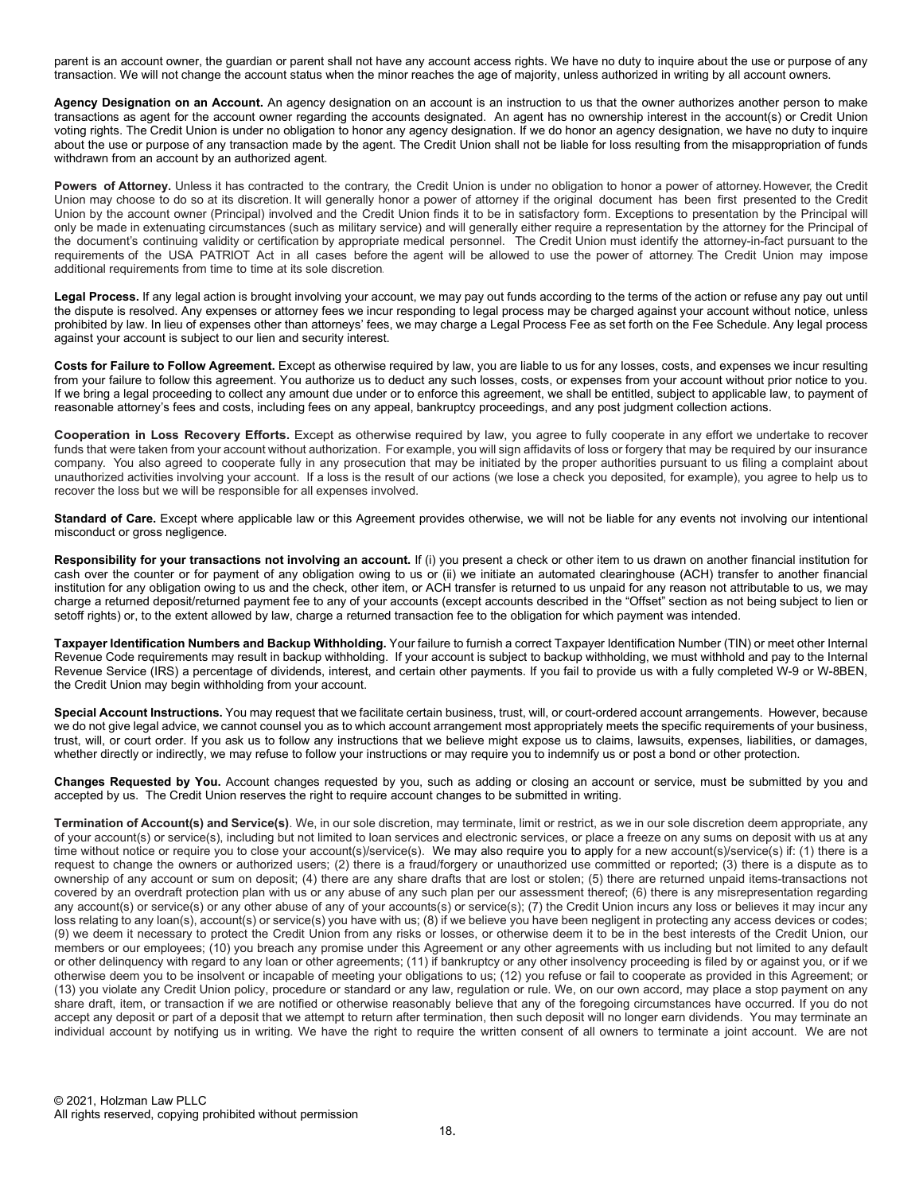parent is an account owner, the guardian or parent shall not have any account access rights. We have no duty to inquire about the use or purpose of any transaction. We will not change the account status when the minor reaches the age of majority, unless authorized in writing by all account owners.

Agency Designation on an Account. An agency designation on an account is an instruction to us that the owner authorizes another person to make transactions as agent for the account owner regarding the accounts designated. An agent has no ownership interest in the account(s) or Credit Union voting rights. The Credit Union is under no obligation to honor any agency designation. If we do honor an agency designation, we have no duty to inquire about the use or purpose of any transaction made by the agent. The Credit Union shall not be liable for loss resulting from the misappropriation of funds withdrawn from an account by an authorized agent.

Powers of Attorney. Unless it has contracted to the contrary, the Credit Union is under no obligation to honor a power of attorney. However, the Credit Union may choose to do so at its discretion. It will generally honor a power of attorney if the original document has been first presented to the Credit Union by the account owner (Principal) involved and the Credit Union finds it to be in satisfactory form. Exceptions to presentation by the Principal will only be made in extenuating circumstances (such as military service) and will generally either require a representation by the attorney for the Principal of the document's continuing validity or certification by appropriate medical personnel. The Credit Union must identify the attorney-in-fact pursuant to the requirements of the USA PATRIOT Act in all cases before the agent will be allowed to use the power of attorney. The Credit Union may impose additional requirements from time to time at its sole discretion.

Legal Process. If any legal action is brought involving your account, we may pay out funds according to the terms of the action or refuse any pay out until the dispute is resolved. Any expenses or attorney fees we incur responding to legal process may be charged against your account without notice, unless prohibited by law. In lieu of expenses other than attorneys' fees, we may charge a Legal Process Fee as set forth on the Fee Schedule. Any legal process against your account is subject to our lien and security interest.

Costs for Failure to Follow Agreement. Except as otherwise required by law, you are liable to us for any losses, costs, and expenses we incur resulting from your failure to follow this agreement. You authorize us to deduct any such losses, costs, or expenses from your account without prior notice to you. If we bring a legal proceeding to collect any amount due under or to enforce this agreement, we shall be entitled, subject to applicable law, to payment of reasonable attorney's fees and costs, including fees on any appeal, bankruptcy proceedings, and any post judgment collection actions.

Cooperation in Loss Recovery Efforts. Except as otherwise required by law, you agree to fully cooperate in any effort we undertake to recover funds that were taken from your account without authorization. For example, you will sign affidavits of loss or forgery that may be required by our insurance company. You also agreed to cooperate fully in any prosecution that may be initiated by the proper authorities pursuant to us filing a complaint about unauthorized activities involving your account. If a loss is the result of our actions (we lose a check you deposited, for example), you agree to help us to recover the loss but we will be responsible for all expenses involved.

Standard of Care. Except where applicable law or this Agreement provides otherwise, we will not be liable for any events not involving our intentional misconduct or gross negligence.

Responsibility for your transactions not involving an account. If (i) you present a check or other item to us drawn on another financial institution for cash over the counter or for payment of any obligation owing to us or (ii) we initiate an automated clearinghouse (ACH) transfer to another financial institution for any obligation owing to us and the check, other item, or ACH transfer is returned to us unpaid for any reason not attributable to us, we may charge a returned deposit/returned payment fee to any of your accounts (except accounts described in the "Offset" section as not being subject to lien or setoff rights) or, to the extent allowed by law, charge a returned transaction fee to the obligation for which payment was intended.

Taxpayer Identification Numbers and Backup Withholding. Your failure to furnish a correct Taxpayer Identification Number (TIN) or meet other Internal Revenue Code requirements may result in backup withholding. If your account is subject to backup withholding, we must withhold and pay to the Internal Revenue Service (IRS) a percentage of dividends, interest, and certain other payments. If you fail to provide us with a fully completed W-9 or W-8BEN, the Credit Union may begin withholding from your account.

Special Account Instructions. You may request that we facilitate certain business, trust, will, or court-ordered account arrangements. However, because we do not give legal advice, we cannot counsel you as to which account arrangement most appropriately meets the specific requirements of your business, trust, will, or court order. If you ask us to follow any instructions that we believe might expose us to claims, lawsuits, expenses, liabilities, or damages, whether directly or indirectly, we may refuse to follow your instructions or may require you to indemnify us or post a bond or other protection.

Changes Requested by You. Account changes requested by you, such as adding or closing an account or service, must be submitted by you and accepted by us. The Credit Union reserves the right to require account changes to be submitted in writing.

Termination of Account(s) and Service(s). We, in our sole discretion, may terminate, limit or restrict, as we in our sole discretion deem appropriate, any of your account(s) or service(s), including but not limited to loan services and electronic services, or place a freeze on any sums on deposit with us at any time without notice or require you to close your account(s)/service(s). We may also require you to apply for a new account(s)/service(s) if: (1) there is a request to change the owners or authorized users; (2) there is a fraud/forgery or unauthorized use committed or reported; (3) there is a dispute as to ownership of any account or sum on deposit; (4) there are any share drafts that are lost or stolen; (5) there are returned unpaid items-transactions not covered by an overdraft protection plan with us or any abuse of any such plan per our assessment thereof; (6) there is any misrepresentation regarding any account(s) or service(s) or any other abuse of any of your accounts(s) or service(s); (7) the Credit Union incurs any loss or believes it may incur any loss relating to any loan(s), account(s) or service(s) you have with us; (8) if we believe you have been negligent in protecting any access devices or codes; (9) we deem it necessary to protect the Credit Union from any risks or losses, or otherwise deem it to be in the best interests of the Credit Union, our members or our employees; (10) you breach any promise under this Agreement or any other agreements with us including but not limited to any default or other delinquency with regard to any loan or other agreements; (11) if bankruptcy or any other insolvency proceeding is filed by or against you, or if we otherwise deem you to be insolvent or incapable of meeting your obligations to us; (12) you refuse or fail to cooperate as provided in this Agreement; or (13) you violate any Credit Union policy, procedure or standard or any law, regulation or rule. We, on our own accord, may place a stop payment on any share draft, item, or transaction if we are notified or otherwise reasonably believe that any of the foregoing circumstances have occurred. If you do not accept any deposit or part of a deposit that we attempt to return after termination, then such deposit will no longer earn dividends. You may terminate an individual account by notifying us in writing. We have the right to require the written consent of all owners to terminate a joint account. We are not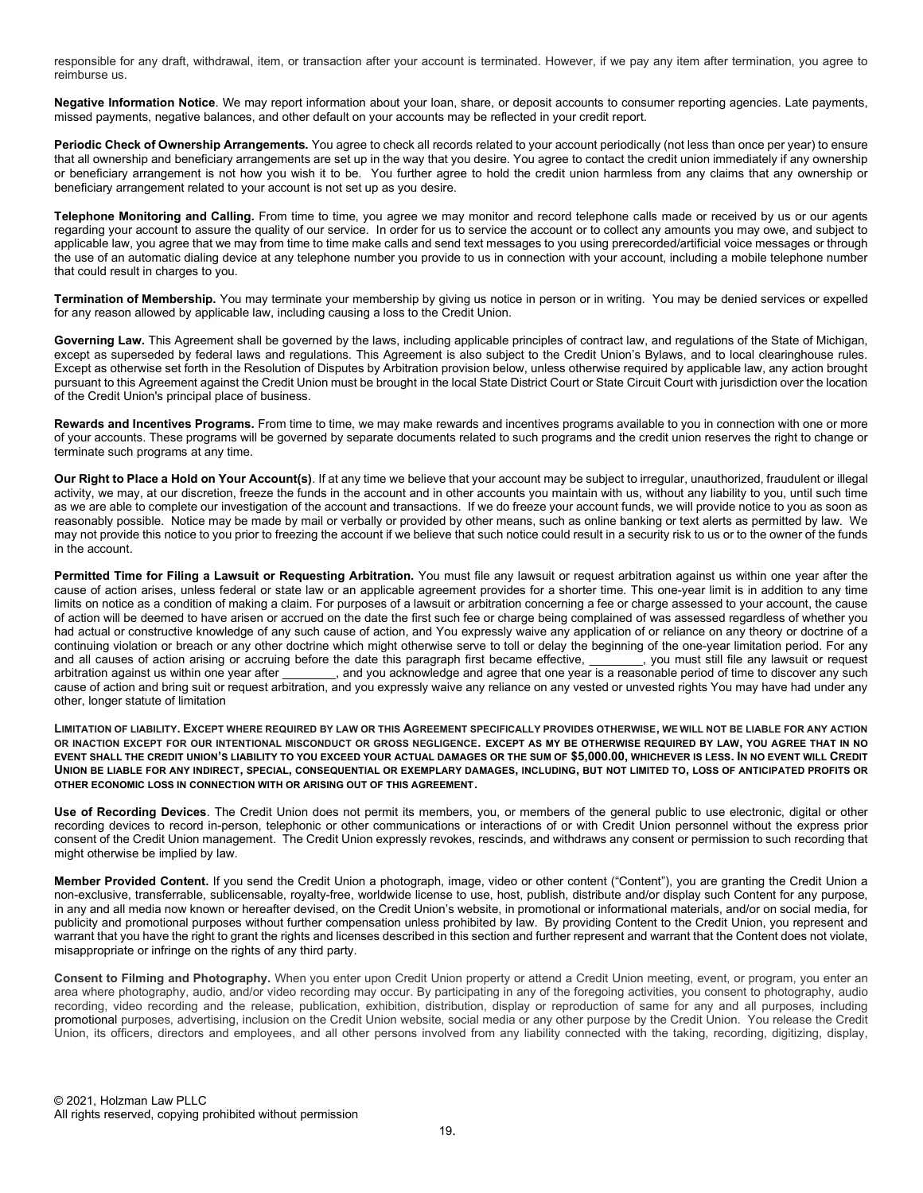responsible for any draft, withdrawal, item, or transaction after your account is terminated. However, if we pay any item after termination, you agree to reimburse us.

Negative Information Notice. We may report information about your loan, share, or deposit accounts to consumer reporting agencies. Late payments, missed payments, negative balances, and other default on your accounts may be reflected in your credit report.

Periodic Check of Ownership Arrangements. You agree to check all records related to your account periodically (not less than once per year) to ensure that all ownership and beneficiary arrangements are set up in the way that you desire. You agree to contact the credit union immediately if any ownership or beneficiary arrangement is not how you wish it to be. You further agree to hold the credit union harmless from any claims that any ownership or beneficiary arrangement related to your account is not set up as you desire.

Telephone Monitoring and Calling. From time to time, you agree we may monitor and record telephone calls made or received by us or our agents regarding your account to assure the quality of our service. In order for us to service the account or to collect any amounts you may owe, and subject to applicable law, you agree that we may from time to time make calls and send text messages to you using prerecorded/artificial voice messages or through the use of an automatic dialing device at any telephone number you provide to us in connection with your account, including a mobile telephone number that could result in charges to you.

Termination of Membership. You may terminate your membership by giving us notice in person or in writing. You may be denied services or expelled for any reason allowed by applicable law, including causing a loss to the Credit Union.

Governing Law. This Agreement shall be governed by the laws, including applicable principles of contract law, and regulations of the State of Michigan, except as superseded by federal laws and regulations. This Agreement is also subject to the Credit Union's Bylaws, and to local clearinghouse rules. Except as otherwise set forth in the Resolution of Disputes by Arbitration provision below, unless otherwise required by applicable law, any action brought pursuant to this Agreement against the Credit Union must be brought in the local State District Court or State Circuit Court with jurisdiction over the location of the Credit Union's principal place of business.

Rewards and Incentives Programs. From time to time, we may make rewards and incentives programs available to you in connection with one or more of your accounts. These programs will be governed by separate documents related to such programs and the credit union reserves the right to change or terminate such programs at any time.

Our Right to Place a Hold on Your Account(s). If at any time we believe that your account may be subject to irregular, unauthorized, fraudulent or illegal activity, we may, at our discretion, freeze the funds in the account and in other accounts you maintain with us, without any liability to you, until such time as we are able to complete our investigation of the account and transactions. If we do freeze your account funds, we will provide notice to you as soon as reasonably possible. Notice may be made by mail or verbally or provided by other means, such as online banking or text alerts as permitted by law. We may not provide this notice to you prior to freezing the account if we believe that such notice could result in a security risk to us or to the owner of the funds in the account.

Permitted Time for Filing a Lawsuit or Requesting Arbitration. You must file any lawsuit or request arbitration against us within one year after the cause of action arises, unless federal or state law or an applicable agreement provides for a shorter time. This one-year limit is in addition to any time limits on notice as a condition of making a claim. For purposes of a lawsuit or arbitration concerning a fee or charge assessed to your account, the cause of action will be deemed to have arisen or accrued on the date the first such fee or charge being complained of was assessed regardless of whether you had actual or constructive knowledge of any such cause of action, and You expressly waive any application of or reliance on any theory or doctrine of a continuing violation or breach or any other doctrine which might otherwise serve to toll or delay the beginning of the one-year limitation period. For any and all causes of action arising or accruing before the date this p and all causes of action arising or accruing before the date this paragraph first became effective, arbitration against us within one year after \_\_\_\_\_\_\_, and you acknowledge and agree that one year is a reasonable period of time to discover any such cause of action and bring suit or request arbitration, and you expressly waive any reliance on any vested or unvested rights You may have had under any other, longer statute of limitation

LIMITATION OF LIABILITY. EXCEPT WHERE REQUIRED BY LAW OR THIS AGREEMENT SPECIFICALLY PROVIDES OTHERWISE, WE WILL NOT BE LIABLE FOR ANY ACTION OR INACTION EXCEPT FOR OUR INTENTIONAL MISCONDUCT OR GROSS NEGLIGENCE. EXCEPT AS MY BE OTHERWISE REQUIRED BY LAW, YOU AGREE THAT IN NO EVENT SHALL THE CREDIT UNION'S LIABILITY TO YOU EXCEED YOUR ACTUAL DAMAGES OR THE SUM OF \$5,000.00, WHICHEVER IS LESS. IN NO EVENT WILL CREDIT UNION BE LIABLE FOR ANY INDIRECT, SPECIAL, CONSEQUENTIAL OR EXEMPLARY DAMAGES, INCLUDING, BUT NOT LIMITED TO, LOSS OF ANTICIPATED PROFITS OR OTHER ECONOMIC LOSS IN CONNECTION WITH OR ARISING OUT OF THIS AGREEMENT.

Use of Recording Devices. The Credit Union does not permit its members, you, or members of the general public to use electronic, digital or other recording devices to record in-person, telephonic or other communications or interactions of or with Credit Union personnel without the express prior consent of the Credit Union management. The Credit Union expressly revokes, rescinds, and withdraws any consent or permission to such recording that might otherwise be implied by law.

Member Provided Content. If you send the Credit Union a photograph, image, video or other content ("Content"), you are granting the Credit Union a non-exclusive, transferrable, sublicensable, royalty-free, worldwide license to use, host, publish, distribute and/or display such Content for any purpose, in any and all media now known or hereafter devised, on the Credit Union's website, in promotional or informational materials, and/or on social media, for publicity and promotional purposes without further compensation unless prohibited by law. By providing Content to the Credit Union, you represent and warrant that you have the right to grant the rights and licenses described in this section and further represent and warrant that the Content does not violate, misappropriate or infringe on the rights of any third party.

Consent to Filming and Photography. When you enter upon Credit Union property or attend a Credit Union meeting, event, or program, you enter an area where photography, audio, and/or video recording may occur. By participating in any of the foregoing activities, you consent to photography, audio recording, video recording and the release, publication, exhibition, distribution, display or reproduction of same for any and all purposes, including promotional purposes, advertising, inclusion on the Credit Union website, social media or any other purpose by the Credit Union. You release the Credit Union, its officers, directors and employees, and all other persons involved from any liability connected with the taking, recording, digitizing, display,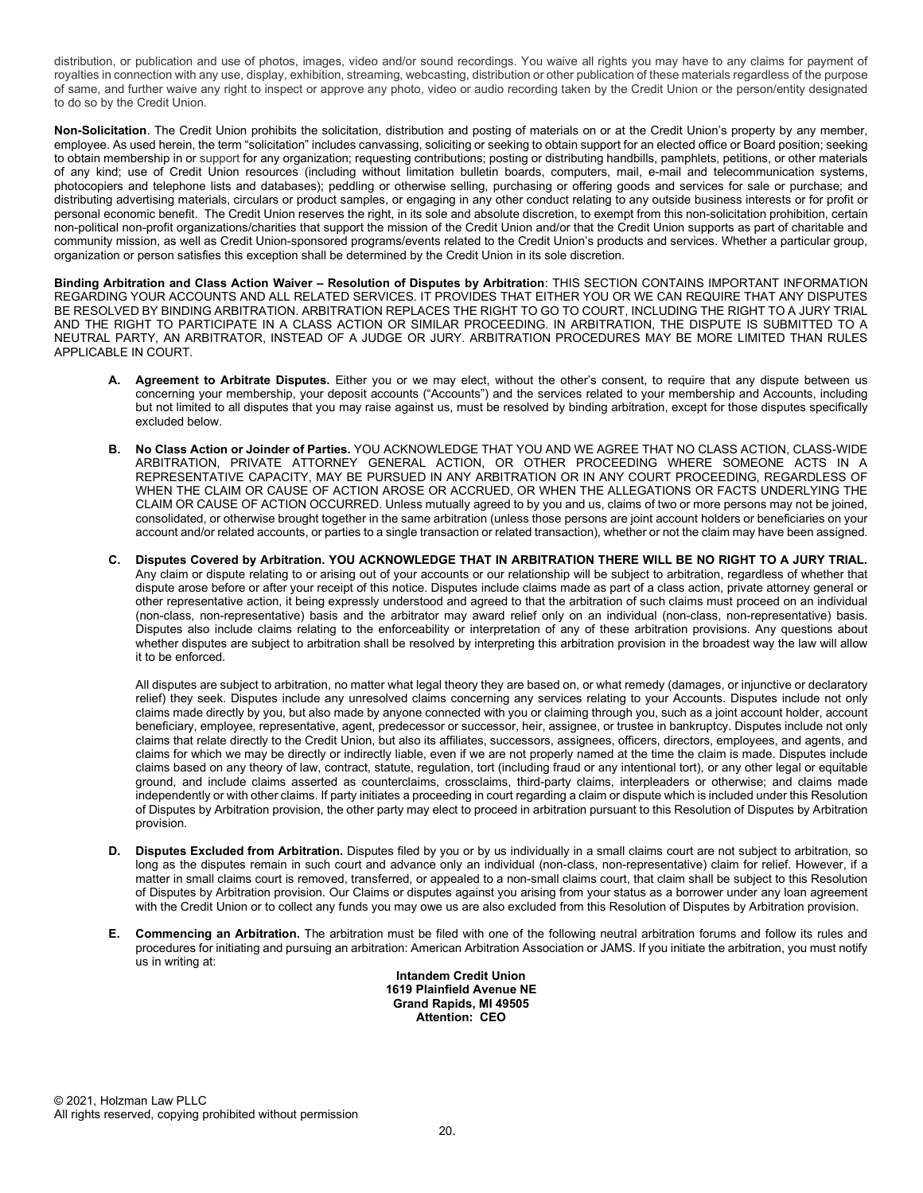distribution, or publication and use of photos, images, video and/or sound recordings. You waive all rights you may have to any claims for payment of royalties in connection with any use, display, exhibition, streaming, webcasting, distribution or other publication of these materials regardless of the purpose of same, and further waive any right to inspect or approve any photo, video or audio recording taken by the Credit Union or the person/entity designated to do so by the Credit Union.

Non-Solicitation. The Credit Union prohibits the solicitation, distribution and posting of materials on or at the Credit Union's property by any member, employee. As used herein, the term "solicitation" includes canvassing, soliciting or seeking to obtain support for an elected office or Board position; seeking to obtain membership in or support for any organization; requesting contributions; posting or distributing handbills, pamphlets, petitions, or other materials of any kind; use of Credit Union resources (including without limitation bulletin boards, computers, mail, e-mail and telecommunication systems, photocopiers and telephone lists and databases); peddling or otherwise selling, purchasing or offering goods and services for sale or purchase; and distributing advertising materials, circulars or product samples, or engaging in any other conduct relating to any outside business interests or for profit or personal economic benefit. The Credit Union reserves the right, in its sole and absolute discretion, to exempt from this non-solicitation prohibition, certain non-political non-profit organizations/charities that support the mission of the Credit Union and/or that the Credit Union supports as part of charitable and community mission, as well as Credit Union-sponsored programs/events related to the Credit Union's products and services. Whether a particular group, organization or person satisfies this exception shall be determined by the Credit Union in its sole discretion.

Binding Arbitration and Class Action Waiver – Resolution of Disputes by Arbitration: THIS SECTION CONTAINS IMPORTANT INFORMATION REGARDING YOUR ACCOUNTS AND ALL RELATED SERVICES. IT PROVIDES THAT EITHER YOU OR WE CAN REQUIRE THAT ANY DISPUTES BE RESOLVED BY BINDING ARBITRATION. ARBITRATION REPLACES THE RIGHT TO GO TO COURT, INCLUDING THE RIGHT TO A JURY TRIAL AND THE RIGHT TO PARTICIPATE IN A CLASS ACTION OR SIMILAR PROCEEDING. IN ARBITRATION, THE DISPUTE IS SUBMITTED TO A NEUTRAL PARTY, AN ARBITRATOR, INSTEAD OF A JUDGE OR JURY. ARBITRATION PROCEDURES MAY BE MORE LIMITED THAN RULES APPLICABLE IN COURT.

- A. Agreement to Arbitrate Disputes. Either you or we may elect, without the other's consent, to require that any dispute between us concerning your membership, your deposit accounts ("Accounts") and the services related to your membership and Accounts, including but not limited to all disputes that you may raise against us, must be resolved by binding arbitration, except for those disputes specifically excluded below.
- B. No Class Action or Joinder of Parties. YOU ACKNOWLEDGE THAT YOU AND WE AGREE THAT NO CLASS ACTION, CLASS-WIDE ARBITRATION, PRIVATE ATTORNEY GENERAL ACTION, OR OTHER PROCEEDING WHERE SOMEONE ACTS IN A REPRESENTATIVE CAPACITY, MAY BE PURSUED IN ANY ARBITRATION OR IN ANY COURT PROCEEDING, REGARDLESS OF WHEN THE CLAIM OR CAUSE OF ACTION AROSE OR ACCRUED, OR WHEN THE ALLEGATIONS OR FACTS UNDERLYING THE CLAIM OR CAUSE OF ACTION OCCURRED. Unless mutually agreed to by you and us, claims of two or more persons may not be joined, consolidated, or otherwise brought together in the same arbitration (unless those persons are joint account holders or beneficiaries on your account and/or related accounts, or parties to a single transaction or related transaction), whether or not the claim may have been assigned.
- C. Disputes Covered by Arbitration. YOU ACKNOWLEDGE THAT IN ARBITRATION THERE WILL BE NO RIGHT TO A JURY TRIAL. Any claim or dispute relating to or arising out of your accounts or our relationship will be subject to arbitration, regardless of whether that dispute arose before or after your receipt of this notice. Disputes include claims made as part of a class action, private attorney general or other representative action, it being expressly understood and agreed to that the arbitration of such claims must proceed on an individual (non-class, non-representative) basis and the arbitrator may award relief only on an individual (non-class, non-representative) basis. Disputes also include claims relating to the enforceability or interpretation of any of these arbitration provisions. Any questions about whether disputes are subject to arbitration shall be resolved by interpreting this arbitration provision in the broadest way the law will allow it to be enforced.

All disputes are subject to arbitration, no matter what legal theory they are based on, or what remedy (damages, or injunctive or declaratory relief) they seek. Disputes include any unresolved claims concerning any services relating to your Accounts. Disputes include not only claims made directly by you, but also made by anyone connected with you or claiming through you, such as a joint account holder, account beneficiary, employee, representative, agent, predecessor or successor, heir, assignee, or trustee in bankruptcy. Disputes include not only claims that relate directly to the Credit Union, but also its affiliates, successors, assignees, officers, directors, employees, and agents, and claims for which we may be directly or indirectly liable, even if we are not properly named at the time the claim is made. Disputes include claims based on any theory of law, contract, statute, regulation, tort (including fraud or any intentional tort), or any other legal or equitable ground, and include claims asserted as counterclaims, crossclaims, third-party claims, interpleaders or otherwise; and claims made independently or with other claims. If party initiates a proceeding in court regarding a claim or dispute which is included under this Resolution of Disputes by Arbitration provision, the other party may elect to proceed in arbitration pursuant to this Resolution of Disputes by Arbitration provision.

- D. Disputes Excluded from Arbitration. Disputes filed by you or by us individually in a small claims court are not subject to arbitration, so long as the disputes remain in such court and advance only an individual (non-class, non-representative) claim for relief. However, if a matter in small claims court is removed, transferred, or appealed to a non-small claims court, that claim shall be subject to this Resolution of Disputes by Arbitration provision. Our Claims or disputes against you arising from your status as a borrower under any loan agreement with the Credit Union or to collect any funds you may owe us are also excluded from this Resolution of Disputes by Arbitration provision.
- Commencing an Arbitration. The arbitration must be filed with one of the following neutral arbitration forums and follow its rules and procedures for initiating and pursuing an arbitration: American Arbitration Association or JAMS. If you initiate the arbitration, you must notify us in writing at:

Intandem Credit Union 1619 Plainfield Avenue NE Grand Rapids, MI 49505 Attention: CEO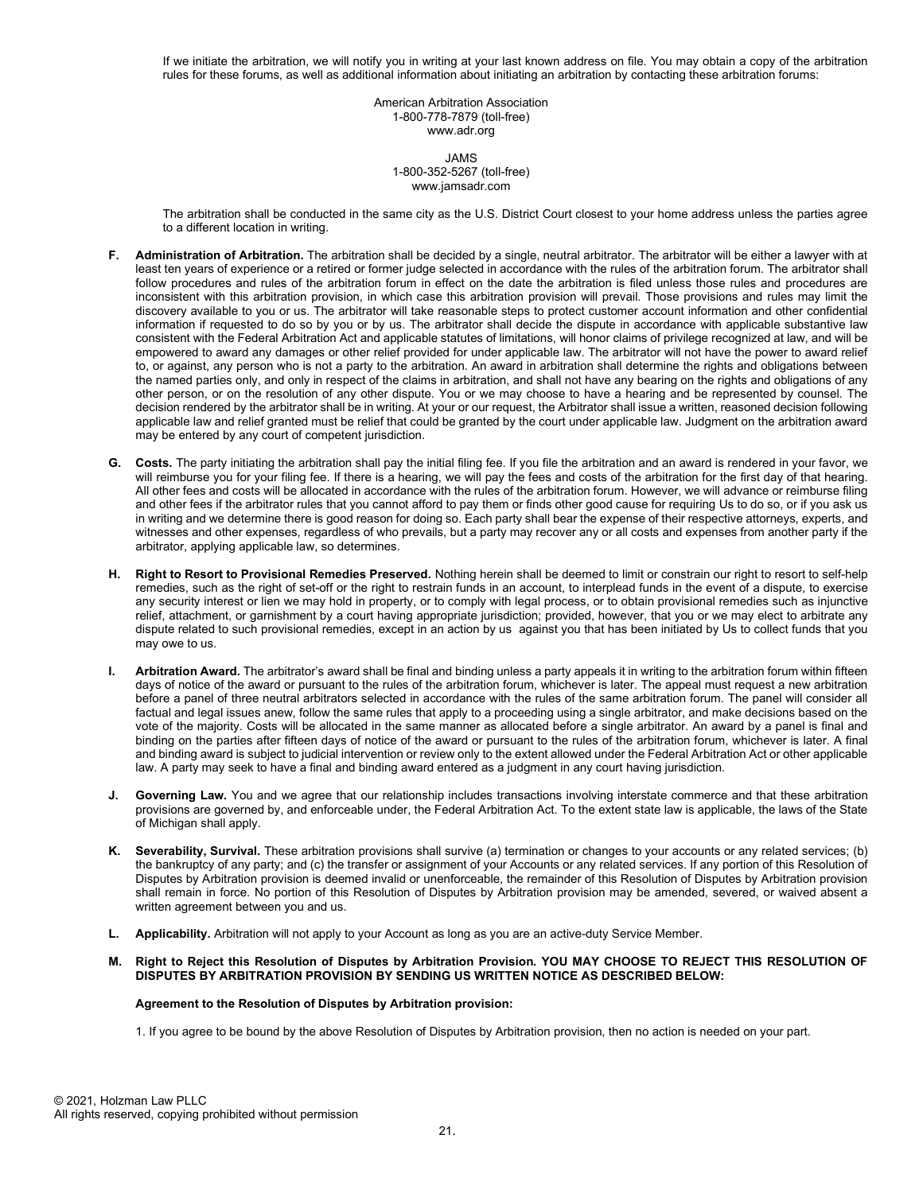If we initiate the arbitration, we will notify you in writing at your last known address on file. You may obtain a copy of the arbitration rules for these forums, as well as additional information about initiating an arbitration by contacting these arbitration forums:

> American Arbitration Association 1-800-778-7879 (toll-free) www.adr.org

#### JAMS 1-800-352-5267 (toll-free) www.jamsadr.com

The arbitration shall be conducted in the same city as the U.S. District Court closest to your home address unless the parties agree to a different location in writing.

- F. Administration of Arbitration. The arbitration shall be decided by a single, neutral arbitrator. The arbitrator will be either a lawyer with at least ten years of experience or a retired or former judge selected in accordance with the rules of the arbitration forum. The arbitrator shall follow procedures and rules of the arbitration forum in effect on the date the arbitration is filed unless those rules and procedures are inconsistent with this arbitration provision, in which case this arbitration provision will prevail. Those provisions and rules may limit the discovery available to you or us. The arbitrator will take reasonable steps to protect customer account information and other confidential information if requested to do so by you or by us. The arbitrator shall decide the dispute in accordance with applicable substantive law consistent with the Federal Arbitration Act and applicable statutes of limitations, will honor claims of privilege recognized at law, and will be empowered to award any damages or other relief provided for under applicable law. The arbitrator will not have the power to award relief to, or against, any person who is not a party to the arbitration. An award in arbitration shall determine the rights and obligations between the named parties only, and only in respect of the claims in arbitration, and shall not have any bearing on the rights and obligations of any other person, or on the resolution of any other dispute. You or we may choose to have a hearing and be represented by counsel. The decision rendered by the arbitrator shall be in writing. At your or our request, the Arbitrator shall issue a written, reasoned decision following applicable law and relief granted must be relief that could be granted by the court under applicable law. Judgment on the arbitration award may be entered by any court of competent jurisdiction.
- G. Costs. The party initiating the arbitration shall pay the initial filing fee. If you file the arbitration and an award is rendered in your favor, we will reimburse you for your filing fee. If there is a hearing, we will pay the fees and costs of the arbitration for the first day of that hearing. All other fees and costs will be allocated in accordance with the rules of the arbitration forum. However, we will advance or reimburse filing and other fees if the arbitrator rules that you cannot afford to pay them or finds other good cause for requiring Us to do so, or if you ask us in writing and we determine there is good reason for doing so. Each party shall bear the expense of their respective attorneys, experts, and witnesses and other expenses, regardless of who prevails, but a party may recover any or all costs and expenses from another party if the arbitrator, applying applicable law, so determines.
- H. Right to Resort to Provisional Remedies Preserved. Nothing herein shall be deemed to limit or constrain our right to resort to self-help remedies, such as the right of set-off or the right to restrain funds in an account, to interplead funds in the event of a dispute, to exercise any security interest or lien we may hold in property, or to comply with legal process, or to obtain provisional remedies such as injunctive relief, attachment, or garnishment by a court having appropriate jurisdiction; provided, however, that you or we may elect to arbitrate any dispute related to such provisional remedies, except in an action by us against you that has been initiated by Us to collect funds that you may owe to us.
- I. Arbitration Award. The arbitrator's award shall be final and binding unless a party appeals it in writing to the arbitration forum within fifteen days of notice of the award or pursuant to the rules of the arbitration forum, whichever is later. The appeal must request a new arbitration before a panel of three neutral arbitrators selected in accordance with the rules of the same arbitration forum. The panel will consider all factual and legal issues anew, follow the same rules that apply to a proceeding using a single arbitrator, and make decisions based on the vote of the majority. Costs will be allocated in the same manner as allocated before a single arbitrator. An award by a panel is final and binding on the parties after fifteen days of notice of the award or pursuant to the rules of the arbitration forum, whichever is later. A final and binding award is subject to judicial intervention or review only to the extent allowed under the Federal Arbitration Act or other applicable law. A party may seek to have a final and binding award entered as a judgment in any court having jurisdiction.
- J. Governing Law. You and we agree that our relationship includes transactions involving interstate commerce and that these arbitration provisions are governed by, and enforceable under, the Federal Arbitration Act. To the extent state law is applicable, the laws of the State of Michigan shall apply.
- K. Severability, Survival. These arbitration provisions shall survive (a) termination or changes to your accounts or any related services; (b) the bankruptcy of any party; and (c) the transfer or assignment of your Accounts or any related services. If any portion of this Resolution of Disputes by Arbitration provision is deemed invalid or unenforceable, the remainder of this Resolution of Disputes by Arbitration provision shall remain in force. No portion of this Resolution of Disputes by Arbitration provision may be amended, severed, or waived absent a written agreement between you and us.
- L. Applicability. Arbitration will not apply to your Account as long as you are an active-duty Service Member.
- M. Right to Reject this Resolution of Disputes by Arbitration Provision. YOU MAY CHOOSE TO REJECT THIS RESOLUTION OF DISPUTES BY ARBITRATION PROVISION BY SENDING US WRITTEN NOTICE AS DESCRIBED BELOW:

# Agreement to the Resolution of Disputes by Arbitration provision:

1. If you agree to be bound by the above Resolution of Disputes by Arbitration provision, then no action is needed on your part.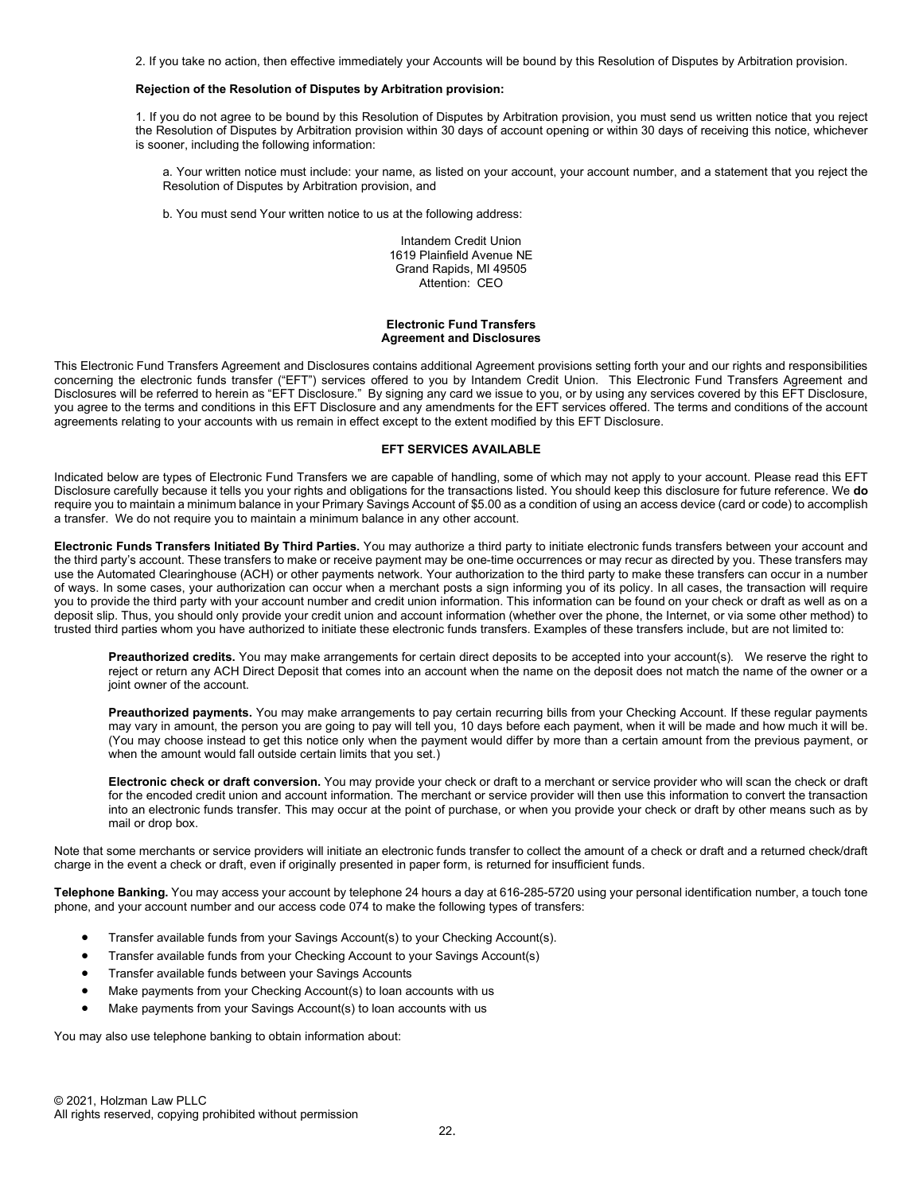2. If you take no action, then effective immediately your Accounts will be bound by this Resolution of Disputes by Arbitration provision.

### Rejection of the Resolution of Disputes by Arbitration provision:

1. If you do not agree to be bound by this Resolution of Disputes by Arbitration provision, you must send us written notice that you reject the Resolution of Disputes by Arbitration provision within 30 days of account opening or within 30 days of receiving this notice, whichever is sooner, including the following information:

a. Your written notice must include: your name, as listed on your account, your account number, and a statement that you reject the Resolution of Disputes by Arbitration provision, and

b. You must send Your written notice to us at the following address:

Intandem Credit Union 1619 Plainfield Avenue NE Grand Rapids, MI 49505 Attention: CEO

#### Electronic Fund Transfers Agreement and Disclosures

This Electronic Fund Transfers Agreement and Disclosures contains additional Agreement provisions setting forth your and our rights and responsibilities concerning the electronic funds transfer ("EFT") services offered to you by Intandem Credit Union. This Electronic Fund Transfers Agreement and Disclosures will be referred to herein as "EFT Disclosure." By signing any card we issue to you, or by using any services covered by this EFT Disclosure, you agree to the terms and conditions in this EFT Disclosure and any amendments for the EFT services offered. The terms and conditions of the account agreements relating to your accounts with us remain in effect except to the extent modified by this EFT Disclosure.

### EFT SERVICES AVAILABLE

Indicated below are types of Electronic Fund Transfers we are capable of handling, some of which may not apply to your account. Please read this EFT Disclosure carefully because it tells you your rights and obligations for the transactions listed. You should keep this disclosure for future reference. We do require you to maintain a minimum balance in your Primary Savings Account of \$5.00 as a condition of using an access device (card or code) to accomplish a transfer. We do not require you to maintain a minimum balance in any other account.

Electronic Funds Transfers Initiated By Third Parties. You may authorize a third party to initiate electronic funds transfers between your account and the third party's account. These transfers to make or receive payment may be one-time occurrences or may recur as directed by you. These transfers may use the Automated Clearinghouse (ACH) or other payments network. Your authorization to the third party to make these transfers can occur in a number of ways. In some cases, your authorization can occur when a merchant posts a sign informing you of its policy. In all cases, the transaction will require you to provide the third party with your account number and credit union information. This information can be found on your check or draft as well as on a deposit slip. Thus, you should only provide your credit union and account information (whether over the phone, the Internet, or via some other method) to trusted third parties whom you have authorized to initiate these electronic funds transfers. Examples of these transfers include, but are not limited to:

Preauthorized credits. You may make arrangements for certain direct deposits to be accepted into your account(s). We reserve the right to reject or return any ACH Direct Deposit that comes into an account when the name on the deposit does not match the name of the owner or a joint owner of the account.

Preauthorized payments. You may make arrangements to pay certain recurring bills from your Checking Account. If these regular payments may vary in amount, the person you are going to pay will tell you, 10 days before each payment, when it will be made and how much it will be. (You may choose instead to get this notice only when the payment would differ by more than a certain amount from the previous payment, or when the amount would fall outside certain limits that you set.)

Electronic check or draft conversion. You may provide your check or draft to a merchant or service provider who will scan the check or draft for the encoded credit union and account information. The merchant or service provider will then use this information to convert the transaction into an electronic funds transfer. This may occur at the point of purchase, or when you provide your check or draft by other means such as by mail or drop box.

Note that some merchants or service providers will initiate an electronic funds transfer to collect the amount of a check or draft and a returned check/draft charge in the event a check or draft, even if originally presented in paper form, is returned for insufficient funds.

Telephone Banking. You may access your account by telephone 24 hours a day at 616-285-5720 using your personal identification number, a touch tone phone, and your account number and our access code 074 to make the following types of transfers:

- Transfer available funds from your Savings Account(s) to your Checking Account(s).
- Transfer available funds from your Checking Account to your Savings Account(s)
- Transfer available funds between your Savings Accounts
- Make payments from your Checking Account(s) to loan accounts with us
- Make payments from your Savings Account(s) to loan accounts with us

You may also use telephone banking to obtain information about: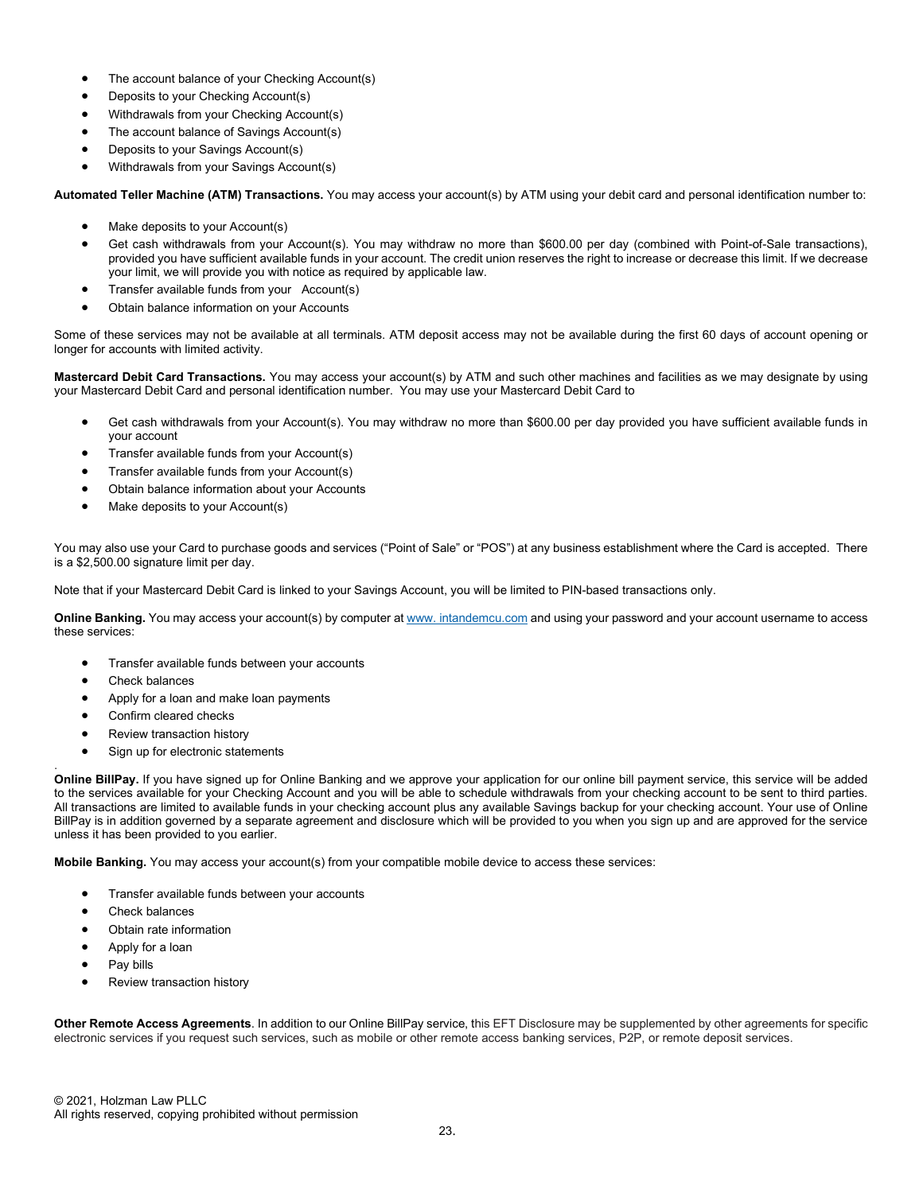- The account balance of your Checking Account(s)
- Deposits to your Checking Account(s)
- Withdrawals from your Checking Account(s)
- The account balance of Savings Account(s)
- Deposits to your Savings Account(s)
- Withdrawals from your Savings Account(s)

Automated Teller Machine (ATM) Transactions. You may access your account(s) by ATM using your debit card and personal identification number to:

- Make deposits to your Account(s)
- Get cash withdrawals from your Account(s). You may withdraw no more than \$600.00 per day (combined with Point-of-Sale transactions), provided you have sufficient available funds in your account. The credit union reserves the right to increase or decrease this limit. If we decrease your limit, we will provide you with notice as required by applicable law.
- Transfer available funds from your Account(s)
- Obtain balance information on your Accounts

Some of these services may not be available at all terminals. ATM deposit access may not be available during the first 60 days of account opening or longer for accounts with limited activity.

Mastercard Debit Card Transactions. You may access your account(s) by ATM and such other machines and facilities as we may designate by using your Mastercard Debit Card and personal identification number. You may use your Mastercard Debit Card to

- Get cash withdrawals from your Account(s). You may withdraw no more than \$600.00 per day provided you have sufficient available funds in your account
- Transfer available funds from your Account(s)
- Transfer available funds from your Account(s)
- Obtain balance information about your Accounts
- Make deposits to your Account(s)

You may also use your Card to purchase goods and services ("Point of Sale" or "POS") at any business establishment where the Card is accepted. There is a \$2,500.00 signature limit per day.

Note that if your Mastercard Debit Card is linked to your Savings Account, you will be limited to PIN-based transactions only.

Online Banking. You may access your account(s) by computer at www. intandemcu.com and using your password and your account username to access these services:

- Transfer available funds between your accounts
- Check balances

.

- Apply for a loan and make loan payments
- Confirm cleared checks
- Review transaction history
- Sign up for electronic statements

Online BillPay. If you have signed up for Online Banking and we approve your application for our online bill payment service, this service will be added to the services available for your Checking Account and you will be able to schedule withdrawals from your checking account to be sent to third parties. All transactions are limited to available funds in your checking account plus any available Savings backup for your checking account. Your use of Online BillPay is in addition governed by a separate agreement and disclosure which will be provided to you when you sign up and are approved for the service unless it has been provided to you earlier.

Mobile Banking. You may access your account(s) from your compatible mobile device to access these services:

- Transfer available funds between your accounts
- Check balances
- Obtain rate information
- Apply for a loan
- Pay bills
- Review transaction history

Other Remote Access Agreements. In addition to our Online BillPay service, this EFT Disclosure may be supplemented by other agreements for specific electronic services if you request such services, such as mobile or other remote access banking services, P2P, or remote deposit services.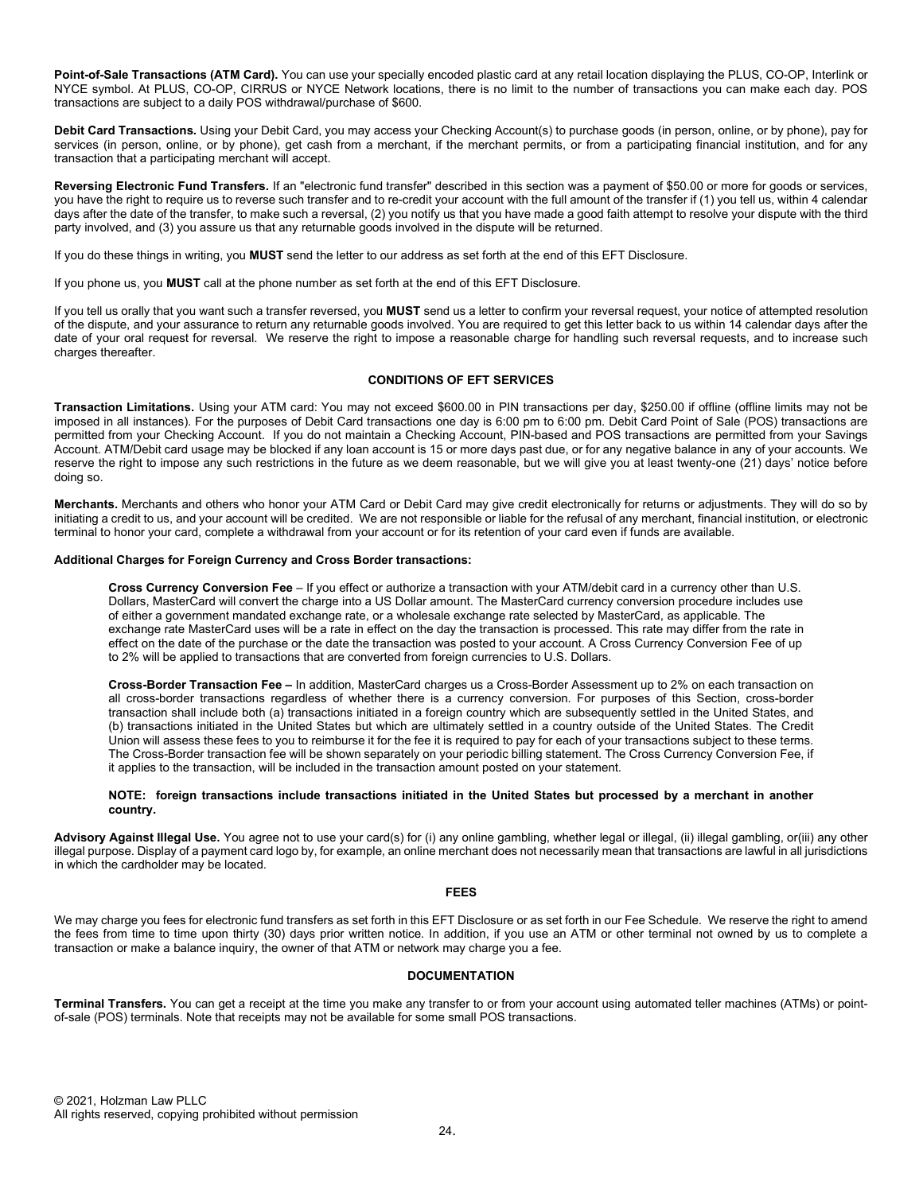Point-of-Sale Transactions (ATM Card). You can use your specially encoded plastic card at any retail location displaying the PLUS, CO-OP, Interlink or NYCE symbol. At PLUS, CO-OP, CIRRUS or NYCE Network locations, there is no limit to the number of transactions you can make each day. POS transactions are subject to a daily POS withdrawal/purchase of \$600.

Debit Card Transactions. Using your Debit Card, you may access your Checking Account(s) to purchase goods (in person, online, or by phone), pay for services (in person, online, or by phone), get cash from a merchant, if the merchant permits, or from a participating financial institution, and for any transaction that a participating merchant will accept.

Reversing Electronic Fund Transfers. If an "electronic fund transfer" described in this section was a payment of \$50.00 or more for goods or services, you have the right to require us to reverse such transfer and to re-credit your account with the full amount of the transfer if (1) you tell us, within 4 calendar days after the date of the transfer, to make such a reversal, (2) you notify us that you have made a good faith attempt to resolve your dispute with the third party involved, and (3) you assure us that any returnable goods involved in the dispute will be returned.

If you do these things in writing, you MUST send the letter to our address as set forth at the end of this EFT Disclosure.

If you phone us, you MUST call at the phone number as set forth at the end of this EFT Disclosure.

If you tell us orally that you want such a transfer reversed, you MUST send us a letter to confirm your reversal request, your notice of attempted resolution of the dispute, and your assurance to return any returnable goods involved. You are required to get this letter back to us within 14 calendar days after the date of your oral request for reversal. We reserve the right to impose a reasonable charge for handling such reversal requests, and to increase such charges thereafter.

# CONDITIONS OF EFT SERVICES

Transaction Limitations. Using your ATM card: You may not exceed \$600.00 in PIN transactions per day, \$250.00 if offline (offline limits may not be imposed in all instances). For the purposes of Debit Card transactions one day is 6:00 pm to 6:00 pm. Debit Card Point of Sale (POS) transactions are permitted from your Checking Account. If you do not maintain a Checking Account, PIN-based and POS transactions are permitted from your Savings Account. ATM/Debit card usage may be blocked if any loan account is 15 or more days past due, or for any negative balance in any of your accounts. We reserve the right to impose any such restrictions in the future as we deem reasonable, but we will give you at least twenty-one (21) days' notice before doing so.

Merchants. Merchants and others who honor your ATM Card or Debit Card may give credit electronically for returns or adjustments. They will do so by initiating a credit to us, and your account will be credited. We are not responsible or liable for the refusal of any merchant, financial institution, or electronic terminal to honor your card, complete a withdrawal from your account or for its retention of your card even if funds are available.

### Additional Charges for Foreign Currency and Cross Border transactions:

Cross Currency Conversion Fee – If you effect or authorize a transaction with your ATM/debit card in a currency other than U.S. Dollars, MasterCard will convert the charge into a US Dollar amount. The MasterCard currency conversion procedure includes use of either a government mandated exchange rate, or a wholesale exchange rate selected by MasterCard, as applicable. The exchange rate MasterCard uses will be a rate in effect on the day the transaction is processed. This rate may differ from the rate in effect on the date of the purchase or the date the transaction was posted to your account. A Cross Currency Conversion Fee of up to 2% will be applied to transactions that are converted from foreign currencies to U.S. Dollars.

Cross-Border Transaction Fee – In addition, MasterCard charges us a Cross-Border Assessment up to 2% on each transaction on all cross-border transactions regardless of whether there is a currency conversion. For purposes of this Section, cross-border transaction shall include both (a) transactions initiated in a foreign country which are subsequently settled in the United States, and (b) transactions initiated in the United States but which are ultimately settled in a country outside of the United States. The Credit Union will assess these fees to you to reimburse it for the fee it is required to pay for each of your transactions subject to these terms. The Cross-Border transaction fee will be shown separately on your periodic billing statement. The Cross Currency Conversion Fee, if it applies to the transaction, will be included in the transaction amount posted on your statement.

### NOTE: foreign transactions include transactions initiated in the United States but processed by a merchant in another country.

Advisory Against Illegal Use. You agree not to use your card(s) for (i) any online gambling, whether legal or illegal, (ii) illegal gambling, or(iii) any other illegal purpose. Display of a payment card logo by, for example, an online merchant does not necessarily mean that transactions are lawful in all jurisdictions in which the cardholder may be located.

# FEES

We may charge you fees for electronic fund transfers as set forth in this EFT Disclosure or as set forth in our Fee Schedule. We reserve the right to amend the fees from time to time upon thirty (30) days prior written notice. In addition, if you use an ATM or other terminal not owned by us to complete a transaction or make a balance inquiry, the owner of that ATM or network may charge you a fee.

# **DOCUMENTATION**

Terminal Transfers. You can get a receipt at the time you make any transfer to or from your account using automated teller machines (ATMs) or pointof-sale (POS) terminals. Note that receipts may not be available for some small POS transactions.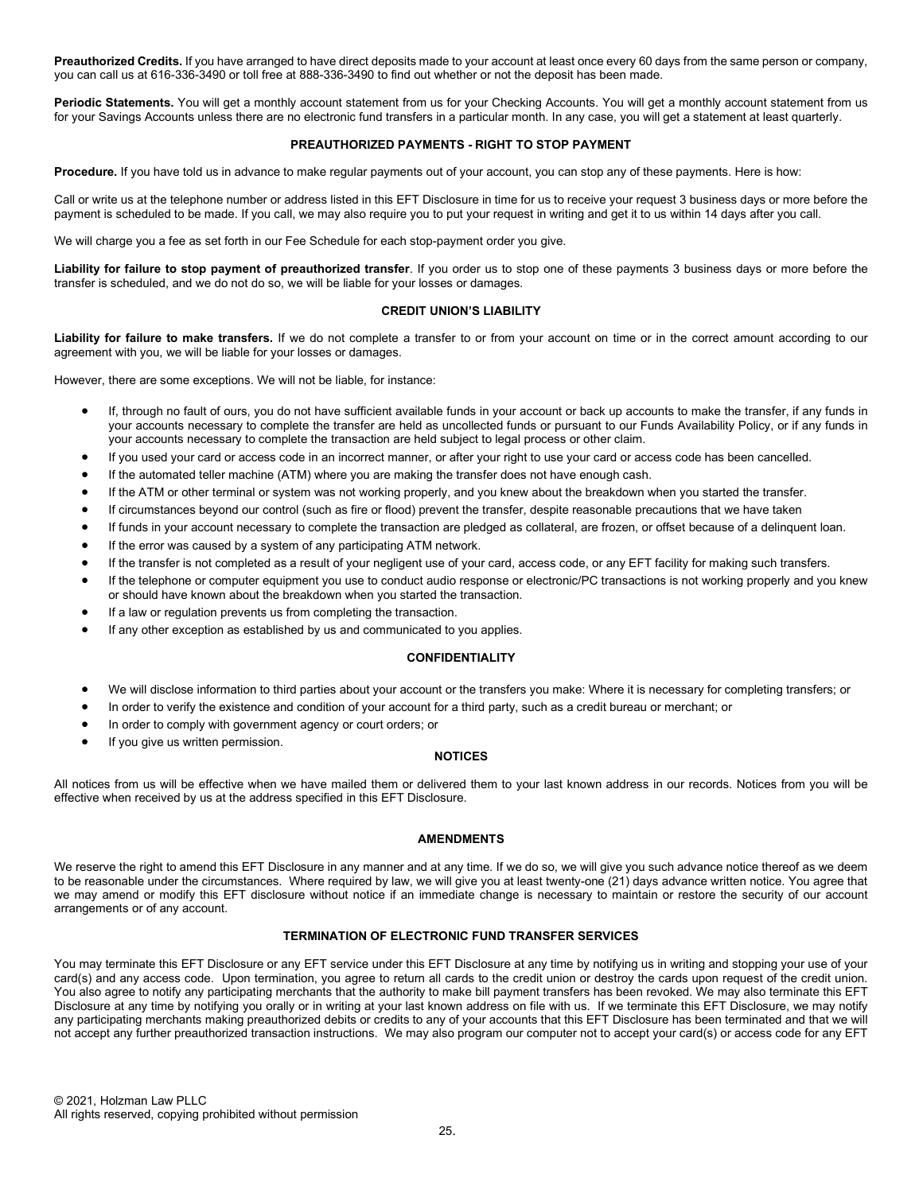Preauthorized Credits. If you have arranged to have direct deposits made to your account at least once every 60 days from the same person or company, you can call us at 616-336-3490 or toll free at 888-336-3490 to find out whether or not the deposit has been made.

Periodic Statements. You will get a monthly account statement from us for your Checking Accounts. You will get a monthly account statement from us for your Savings Accounts unless there are no electronic fund transfers in a particular month. In any case, you will get a statement at least quarterly.

# PREAUTHORIZED PAYMENTS - RIGHT TO STOP PAYMENT

Procedure. If you have told us in advance to make regular payments out of your account, you can stop any of these payments. Here is how:

Call or write us at the telephone number or address listed in this EFT Disclosure in time for us to receive your request 3 business days or more before the payment is scheduled to be made. If you call, we may also require you to put your request in writing and get it to us within 14 days after you call.

We will charge you a fee as set forth in our Fee Schedule for each stop-payment order you give.

Liability for failure to stop payment of preauthorized transfer. If you order us to stop one of these payments 3 business days or more before the transfer is scheduled, and we do not do so, we will be liable for your losses or damages.

### CREDIT UNION'S LIABILITY

Liability for failure to make transfers. If we do not complete a transfer to or from your account on time or in the correct amount according to our agreement with you, we will be liable for your losses or damages.

However, there are some exceptions. We will not be liable, for instance:

- If, through no fault of ours, you do not have sufficient available funds in your account or back up accounts to make the transfer, if any funds in your accounts necessary to complete the transfer are held as uncollected funds or pursuant to our Funds Availability Policy, or if any funds in your accounts necessary to complete the transaction are held subject to legal process or other claim.
- If you used your card or access code in an incorrect manner, or after your right to use your card or access code has been cancelled.
- If the automated teller machine (ATM) where you are making the transfer does not have enough cash.
- If the ATM or other terminal or system was not working properly, and you knew about the breakdown when you started the transfer.
- If circumstances beyond our control (such as fire or flood) prevent the transfer, despite reasonable precautions that we have taken
- If funds in your account necessary to complete the transaction are pledged as collateral, are frozen, or offset because of a delinquent loan.
- If the error was caused by a system of any participating ATM network.
- If the transfer is not completed as a result of your negligent use of your card, access code, or any EFT facility for making such transfers.
- If the telephone or computer equipment you use to conduct audio response or electronic/PC transactions is not working properly and you knew or should have known about the breakdown when you started the transaction.
- If a law or regulation prevents us from completing the transaction.
- If any other exception as established by us and communicated to you applies.

### CONFIDENTIALITY

- We will disclose information to third parties about your account or the transfers you make: Where it is necessary for completing transfers; or
- In order to verify the existence and condition of your account for a third party, such as a credit bureau or merchant; or
- In order to comply with government agency or court orders; or
- If you give us written permission.

# **NOTICES**

All notices from us will be effective when we have mailed them or delivered them to your last known address in our records. Notices from you will be effective when received by us at the address specified in this EFT Disclosure.

### AMENDMENTS

We reserve the right to amend this EFT Disclosure in any manner and at any time. If we do so, we will give you such advance notice thereof as we deem to be reasonable under the circumstances. Where required by law, we will give you at least twenty-one (21) days advance written notice. You agree that we may amend or modify this EFT disclosure without notice if an immediate change is necessary to maintain or restore the security of our account arrangements or of any account.

# TERMINATION OF ELECTRONIC FUND TRANSFER SERVICES

You may terminate this EFT Disclosure or any EFT service under this EFT Disclosure at any time by notifying us in writing and stopping your use of your card(s) and any access code. Upon termination, you agree to return all cards to the credit union or destroy the cards upon request of the credit union. You also agree to notify any participating merchants that the authority to make bill payment transfers has been revoked. We may also terminate this EFT Disclosure at any time by notifying you orally or in writing at your last known address on file with us. If we terminate this EFT Disclosure, we may notify any participating merchants making preauthorized debits or credits to any of your accounts that this EFT Disclosure has been terminated and that we will not accept any further preauthorized transaction instructions. We may also program our computer not to accept your card(s) or access code for any EFT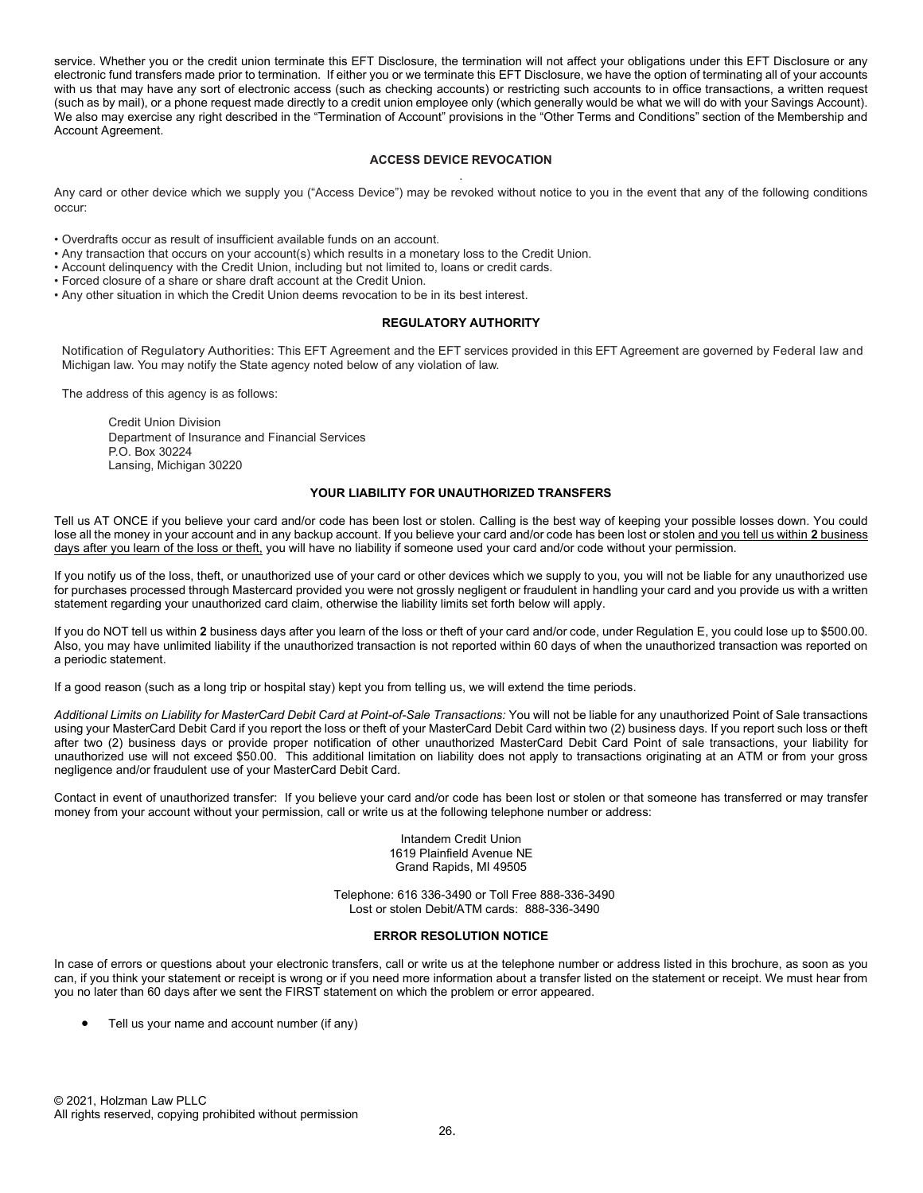service. Whether you or the credit union terminate this EFT Disclosure, the termination will not affect your obligations under this EFT Disclosure or any electronic fund transfers made prior to termination. If either you or we terminate this EFT Disclosure, we have the option of terminating all of your accounts with us that may have any sort of electronic access (such as checking accounts) or restricting such accounts to in office transactions, a written request (such as by mail), or a phone request made directly to a credit union employee only (which generally would be what we will do with your Savings Account). We also may exercise any right described in the "Termination of Account" provisions in the "Other Terms and Conditions" section of the Membership and Account Agreement.

# ACCESS DEVICE REVOCATION .

Any card or other device which we supply you ("Access Device") may be revoked without notice to you in the event that any of the following conditions occur:

• Overdrafts occur as result of insufficient available funds on an account.

• Any transaction that occurs on your account(s) which results in a monetary loss to the Credit Union.

• Account delinquency with the Credit Union, including but not limited to, loans or credit cards.

• Forced closure of a share or share draft account at the Credit Union.

• Any other situation in which the Credit Union deems revocation to be in its best interest.

#### REGULATORY AUTHORITY

Notification of Regulatory Authorities: This EFT Agreement and the EFT services provided in this EFT Agreement are governed by Federal law and Michigan law. You may notify the State agency noted below of any violation of law.

The address of this agency is as follows:

Credit Union Division Department of Insurance and Financial Services P.O. Box 30224 Lansing, Michigan 30220

### YOUR LIABILITY FOR UNAUTHORIZED TRANSFERS

Tell us AT ONCE if you believe your card and/or code has been lost or stolen. Calling is the best way of keeping your possible losses down. You could lose all the money in your account and in any backup account. If you believe your card and/or code has been lost or stolen and you tell us within 2 business days after you learn of the loss or theft, you will have no liability if someone used your card and/or code without your permission.

If you notify us of the loss, theft, or unauthorized use of your card or other devices which we supply to you, you will not be liable for any unauthorized use for purchases processed through Mastercard provided you were not grossly negligent or fraudulent in handling your card and you provide us with a written statement regarding your unauthorized card claim, otherwise the liability limits set forth below will apply.

If you do NOT tell us within 2 business days after you learn of the loss or theft of your card and/or code, under Regulation E, you could lose up to \$500.00. Also, you may have unlimited liability if the unauthorized transaction is not reported within 60 days of when the unauthorized transaction was reported on a periodic statement.

If a good reason (such as a long trip or hospital stay) kept you from telling us, we will extend the time periods.

Additional Limits on Liability for MasterCard Debit Card at Point-of-Sale Transactions: You will not be liable for any unauthorized Point of Sale transactions using your MasterCard Debit Card if you report the loss or theft of your MasterCard Debit Card within two (2) business days. If you report such loss or theft after two (2) business days or provide proper notification of other unauthorized MasterCard Debit Card Point of sale transactions, your liability for unauthorized use will not exceed \$50.00. This additional limitation on liability does not apply to transactions originating at an ATM or from your gross negligence and/or fraudulent use of your MasterCard Debit Card.

Contact in event of unauthorized transfer: If you believe your card and/or code has been lost or stolen or that someone has transferred or may transfer money from your account without your permission, call or write us at the following telephone number or address:

> Intandem Credit Union 1619 Plainfield Avenue NE Grand Rapids, MI 49505

Telephone: 616 336-3490 or Toll Free 888-336-3490 Lost or stolen Debit/ATM cards: 888-336-3490

# ERROR RESOLUTION NOTICE

In case of errors or questions about your electronic transfers, call or write us at the telephone number or address listed in this brochure, as soon as you can, if you think your statement or receipt is wrong or if you need more information about a transfer listed on the statement or receipt. We must hear from you no later than 60 days after we sent the FIRST statement on which the problem or error appeared.

Tell us your name and account number (if any)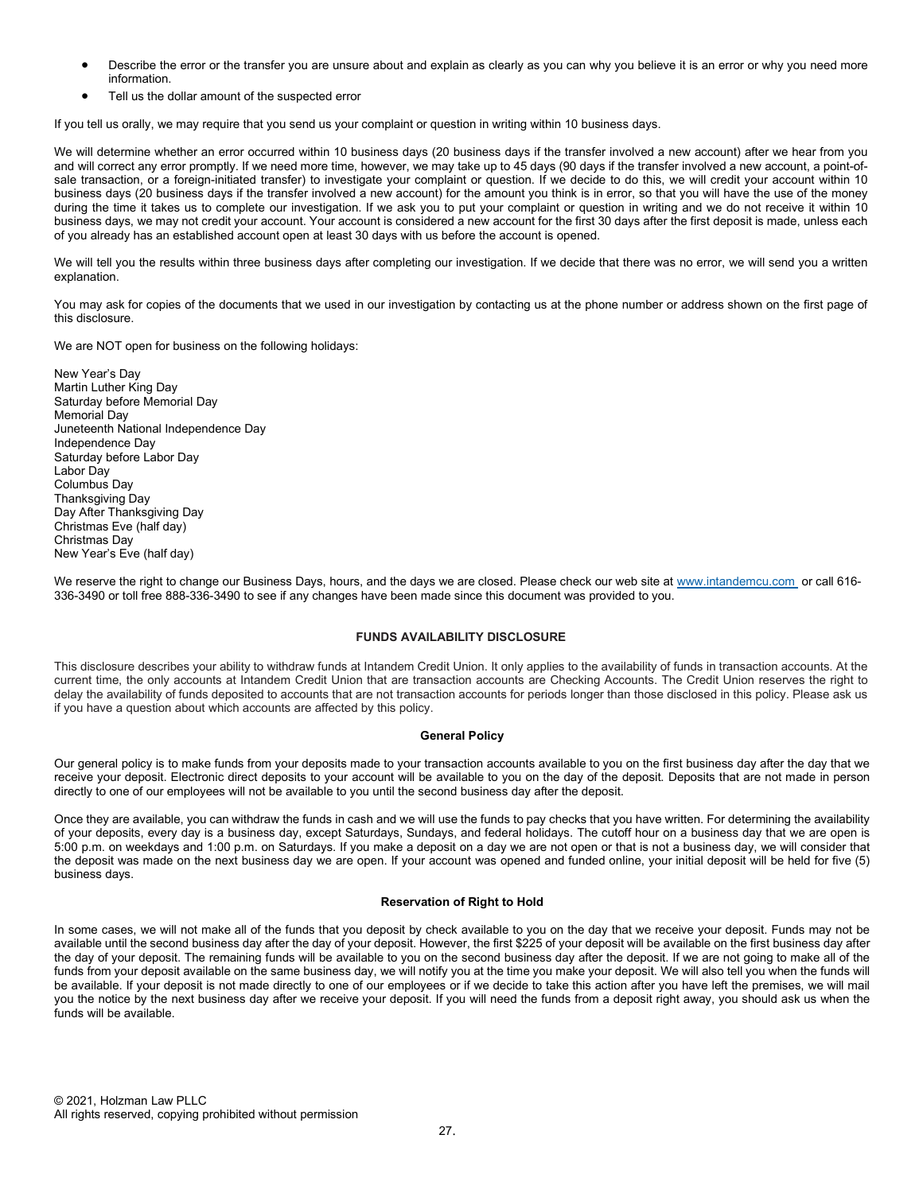- Describe the error or the transfer you are unsure about and explain as clearly as you can why you believe it is an error or why you need more information.
- Tell us the dollar amount of the suspected error

If you tell us orally, we may require that you send us your complaint or question in writing within 10 business days.

We will determine whether an error occurred within 10 business days (20 business days if the transfer involved a new account) after we hear from you and will correct any error promptly. If we need more time, however, we may take up to 45 days (90 days if the transfer involved a new account, a point-ofsale transaction, or a foreign-initiated transfer) to investigate your complaint or question. If we decide to do this, we will credit your account within 10 business days (20 business days if the transfer involved a new account) for the amount you think is in error, so that you will have the use of the money during the time it takes us to complete our investigation. If we ask you to put your complaint or question in writing and we do not receive it within 10 business days, we may not credit your account. Your account is considered a new account for the first 30 days after the first deposit is made, unless each of you already has an established account open at least 30 days with us before the account is opened.

We will tell you the results within three business days after completing our investigation. If we decide that there was no error, we will send you a written explanation.

You may ask for copies of the documents that we used in our investigation by contacting us at the phone number or address shown on the first page of this disclosure.

We are NOT open for business on the following holidays:

| New Year's Day                       |
|--------------------------------------|
| Martin Luther King Day               |
| Saturday before Memorial Day         |
| Memorial Day                         |
| Juneteenth National Independence Day |
| Independence Day                     |
| Saturday before Labor Day            |
| Labor Day                            |
| Columbus Day                         |
| <b>Thanksgiving Day</b>              |
| Day After Thanksgiving Day           |
| Christmas Eve (half day)             |
| Christmas Day                        |
| New Year's Eve (half day)            |

We reserve the right to change our Business Days, hours, and the days we are closed. Please check our web site at www.intandemcu.com or call 616-336-3490 or toll free 888-336-3490 to see if any changes have been made since this document was provided to you.

#### FUNDS AVAILABILITY DISCLOSURE

This disclosure describes your ability to withdraw funds at Intandem Credit Union. It only applies to the availability of funds in transaction accounts. At the current time, the only accounts at Intandem Credit Union that are transaction accounts are Checking Accounts. The Credit Union reserves the right to delay the availability of funds deposited to accounts that are not transaction accounts for periods longer than those disclosed in this policy. Please ask us if you have a question about which accounts are affected by this policy.

# General Policy

Our general policy is to make funds from your deposits made to your transaction accounts available to you on the first business day after the day that we receive your deposit. Electronic direct deposits to your account will be available to you on the day of the deposit. Deposits that are not made in person directly to one of our employees will not be available to you until the second business day after the deposit.

Once they are available, you can withdraw the funds in cash and we will use the funds to pay checks that you have written. For determining the availability of your deposits, every day is a business day, except Saturdays, Sundays, and federal holidays. The cutoff hour on a business day that we are open is 5:00 p.m. on weekdays and 1:00 p.m. on Saturdays. If you make a deposit on a day we are not open or that is not a business day, we will consider that the deposit was made on the next business day we are open. If your account was opened and funded online, your initial deposit will be held for five (5) business days.

### Reservation of Right to Hold

In some cases, we will not make all of the funds that you deposit by check available to you on the day that we receive your deposit. Funds may not be available until the second business day after the day of your deposit. However, the first \$225 of your deposit will be available on the first business day after the day of your deposit. The remaining funds will be available to you on the second business day after the deposit. If we are not going to make all of the funds from your deposit available on the same business day, we will notify you at the time you make your deposit. We will also tell you when the funds will be available. If your deposit is not made directly to one of our employees or if we decide to take this action after you have left the premises, we will mail you the notice by the next business day after we receive your deposit. If you will need the funds from a deposit right away, you should ask us when the funds will be available.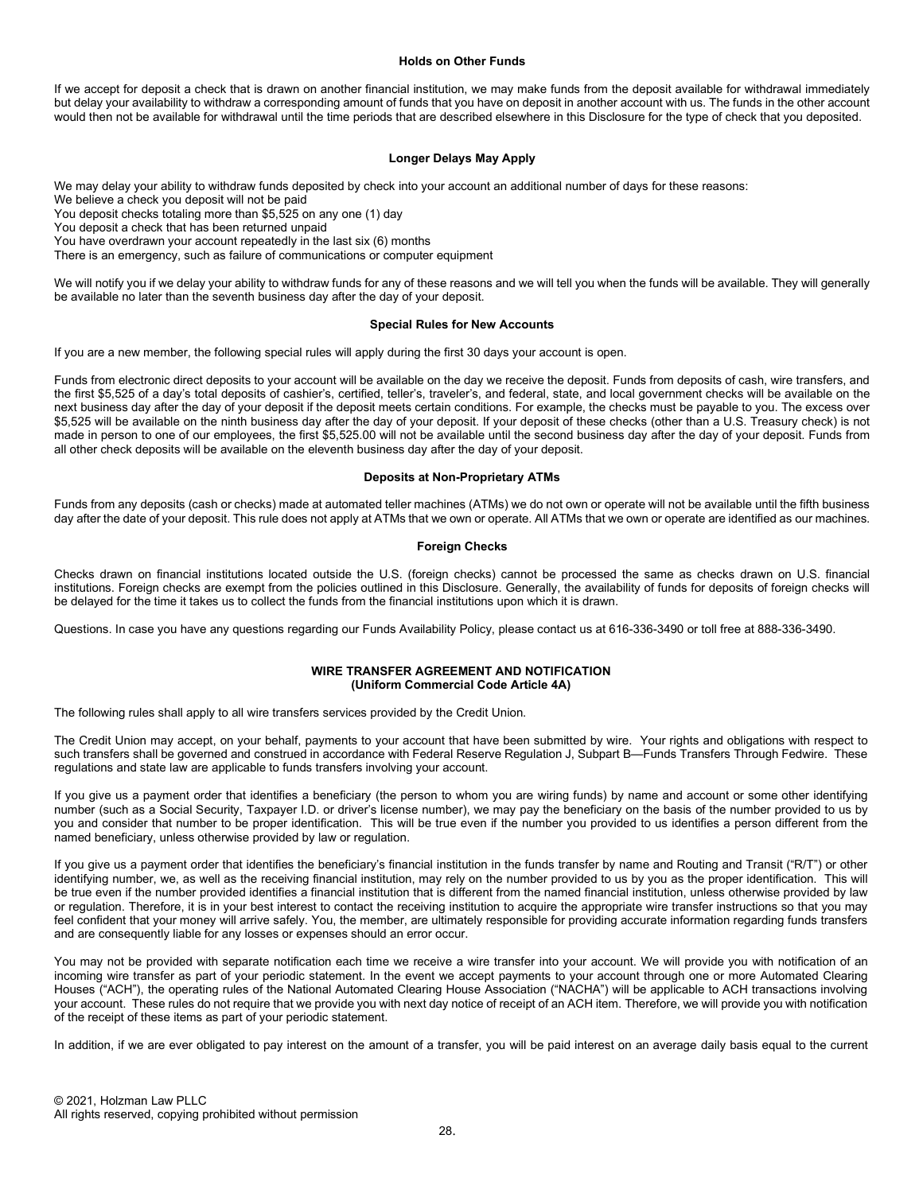#### Holds on Other Funds

If we accept for deposit a check that is drawn on another financial institution, we may make funds from the deposit available for withdrawal immediately but delay your availability to withdraw a corresponding amount of funds that you have on deposit in another account with us. The funds in the other account would then not be available for withdrawal until the time periods that are described elsewhere in this Disclosure for the type of check that you deposited.

#### Longer Delays May Apply

We may delay your ability to withdraw funds deposited by check into your account an additional number of days for these reasons:

We believe a check you deposit will not be paid

You deposit checks totaling more than \$5,525 on any one (1) day

You deposit a check that has been returned unpaid

You have overdrawn your account repeatedly in the last six (6) months

There is an emergency, such as failure of communications or computer equipment

We will notify you if we delay your ability to withdraw funds for any of these reasons and we will tell you when the funds will be available. They will generally be available no later than the seventh business day after the day of your deposit.

#### Special Rules for New Accounts

If you are a new member, the following special rules will apply during the first 30 days your account is open.

Funds from electronic direct deposits to your account will be available on the day we receive the deposit. Funds from deposits of cash, wire transfers, and the first \$5,525 of a day's total deposits of cashier's, certified, teller's, traveler's, and federal, state, and local government checks will be available on the next business day after the day of your deposit if the deposit meets certain conditions. For example, the checks must be payable to you. The excess over \$5,525 will be available on the ninth business day after the day of your deposit. If your deposit of these checks (other than a U.S. Treasury check) is not made in person to one of our employees, the first \$5,525.00 will not be available until the second business day after the day of your deposit. Funds from all other check deposits will be available on the eleventh business day after the day of your deposit.

#### Deposits at Non-Proprietary ATMs

Funds from any deposits (cash or checks) made at automated teller machines (ATMs) we do not own or operate will not be available until the fifth business day after the date of your deposit. This rule does not apply at ATMs that we own or operate. All ATMs that we own or operate are identified as our machines.

### Foreign Checks

Checks drawn on financial institutions located outside the U.S. (foreign checks) cannot be processed the same as checks drawn on U.S. financial institutions. Foreign checks are exempt from the policies outlined in this Disclosure. Generally, the availability of funds for deposits of foreign checks will be delayed for the time it takes us to collect the funds from the financial institutions upon which it is drawn.

Questions. In case you have any questions regarding our Funds Availability Policy, please contact us at 616-336-3490 or toll free at 888-336-3490.

#### WIRE TRANSFER AGREEMENT AND NOTIFICATION (Uniform Commercial Code Article 4A)

The following rules shall apply to all wire transfers services provided by the Credit Union.

The Credit Union may accept, on your behalf, payments to your account that have been submitted by wire. Your rights and obligations with respect to such transfers shall be governed and construed in accordance with Federal Reserve Regulation J, Subpart B—Funds Transfers Through Fedwire. These regulations and state law are applicable to funds transfers involving your account.

If you give us a payment order that identifies a beneficiary (the person to whom you are wiring funds) by name and account or some other identifying number (such as a Social Security, Taxpayer I.D. or driver's license number), we may pay the beneficiary on the basis of the number provided to us by you and consider that number to be proper identification. This will be true even if the number you provided to us identifies a person different from the named beneficiary, unless otherwise provided by law or regulation.

If you give us a payment order that identifies the beneficiary's financial institution in the funds transfer by name and Routing and Transit ("R/T") or other identifying number, we, as well as the receiving financial institution, may rely on the number provided to us by you as the proper identification. This will be true even if the number provided identifies a financial institution that is different from the named financial institution, unless otherwise provided by law or regulation. Therefore, it is in your best interest to contact the receiving institution to acquire the appropriate wire transfer instructions so that you may feel confident that your money will arrive safely. You, the member, are ultimately responsible for providing accurate information regarding funds transfers and are consequently liable for any losses or expenses should an error occur.

You may not be provided with separate notification each time we receive a wire transfer into your account. We will provide you with notification of an incoming wire transfer as part of your periodic statement. In the event we accept payments to your account through one or more Automated Clearing Houses ("ACH"), the operating rules of the National Automated Clearing House Association ("NACHA") will be applicable to ACH transactions involving your account. These rules do not require that we provide you with next day notice of receipt of an ACH item. Therefore, we will provide you with notification of the receipt of these items as part of your periodic statement.

In addition, if we are ever obligated to pay interest on the amount of a transfer, you will be paid interest on an average daily basis equal to the current